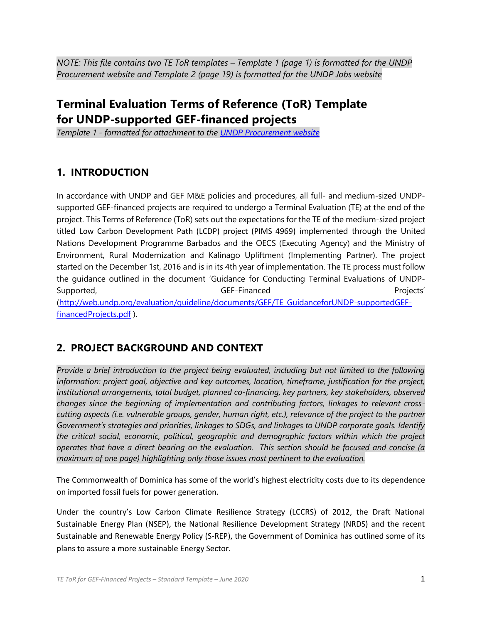*NOTE: This file contains two TE ToR templates – Template 1 (page 1) is formatted for the UNDP Procurement website and Template 2 (page 19) is formatted for the UNDP Jobs website*

# **Terminal Evaluation Terms of Reference (ToR) Template for UNDP-supported GEF-financed projects**

*Template 1 - formatted for attachment to the [UNDP Procurement website](http://procurement-notices.undp.org/)*

## **1. INTRODUCTION**

In accordance with UNDP and GEF M&E policies and procedures, all full- and medium-sized UNDPsupported GEF-financed projects are required to undergo a Terminal Evaluation (TE) at the end of the project. This Terms of Reference (ToR) sets out the expectations for the TE of the medium-sized project titled Low Carbon Development Path (LCDP) project (PIMS 4969) implemented through the United Nations Development Programme Barbados and the OECS (Executing Agency) and the Ministry of Environment, Rural Modernization and Kalinago Upliftment (Implementing Partner). The project started on the December 1st, 2016 and is in its 4th year of implementation. The TE process must follow the guidance outlined in the document 'Guidance for Conducting Terminal Evaluations of UNDP-Supported, The Contract Contract Contract GEF-Financed Contract Contract Contract Projects' [\(http://web.undp.org/evaluation/guideline/documents/GEF/TE\\_GuidanceforUNDP-supportedGEF](http://web.undp.org/evaluation/guideline/documents/GEF/TE_GuidanceforUNDP-supportedGEF-financedProjects.pdf)[financedProjects.pdf](http://web.undp.org/evaluation/guideline/documents/GEF/TE_GuidanceforUNDP-supportedGEF-financedProjects.pdf)).

## **2. PROJECT BACKGROUND AND CONTEXT**

*Provide a brief introduction to the project being evaluated, including but not limited to the following information: project goal, objective and key outcomes, location, timeframe, justification for the project, institutional arrangements, total budget, planned co-financing, key partners, key stakeholders, observed changes since the beginning of implementation and contributing factors, linkages to relevant crosscutting aspects (i.e. vulnerable groups, gender, human right, etc.), relevance of the project to the partner Government's strategies and priorities, linkages to SDGs, and linkages to UNDP corporate goals. Identify the critical social, economic, political, geographic and demographic factors within which the project operates that have a direct bearing on the evaluation. This section should be focused and concise (a maximum of one page) highlighting only those issues most pertinent to the evaluation.*

The Commonwealth of Dominica has some of the world's highest electricity costs due to its dependence on imported fossil fuels for power generation.

Under the country's Low Carbon Climate Resilience Strategy (LCCRS) of 2012, the Draft National Sustainable Energy Plan (NSEP), the National Resilience Development Strategy (NRDS) and the recent Sustainable and Renewable Energy Policy (S-REP), the Government of Dominica has outlined some of its plans to assure a more sustainable Energy Sector.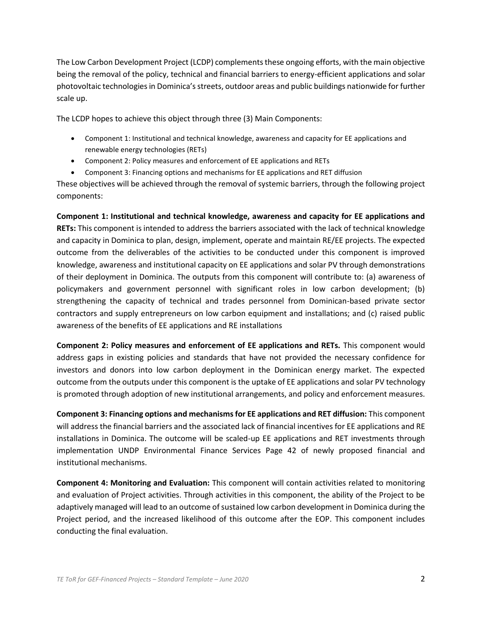The Low Carbon Development Project (LCDP) complements these ongoing efforts, with the main objective being the removal of the policy, technical and financial barriers to energy-efficient applications and solar photovoltaic technologies in Dominica's streets, outdoor areas and public buildings nationwide for further scale up.

The LCDP hopes to achieve this object through three (3) Main Components:

- Component 1: Institutional and technical knowledge, awareness and capacity for EE applications and renewable energy technologies (RETs)
- Component 2: Policy measures and enforcement of EE applications and RETs
- Component 3: Financing options and mechanisms for EE applications and RET diffusion

These objectives will be achieved through the removal of systemic barriers, through the following project components:

**Component 1: Institutional and technical knowledge, awareness and capacity for EE applications and RETs:** This component is intended to address the barriers associated with the lack of technical knowledge and capacity in Dominica to plan, design, implement, operate and maintain RE/EE projects. The expected outcome from the deliverables of the activities to be conducted under this component is improved knowledge, awareness and institutional capacity on EE applications and solar PV through demonstrations of their deployment in Dominica. The outputs from this component will contribute to: (a) awareness of policymakers and government personnel with significant roles in low carbon development; (b) strengthening the capacity of technical and trades personnel from Dominican-based private sector contractors and supply entrepreneurs on low carbon equipment and installations; and (c) raised public awareness of the benefits of EE applications and RE installations

**Component 2: Policy measures and enforcement of EE applications and RETs.** This component would address gaps in existing policies and standards that have not provided the necessary confidence for investors and donors into low carbon deployment in the Dominican energy market. The expected outcome from the outputs under this component is the uptake of EE applications and solar PV technology is promoted through adoption of new institutional arrangements, and policy and enforcement measures.

**Component 3: Financing options and mechanisms for EE applications and RET diffusion:** This component will address the financial barriers and the associated lack of financial incentives for EE applications and RE installations in Dominica. The outcome will be scaled-up EE applications and RET investments through implementation UNDP Environmental Finance Services Page 42 of newly proposed financial and institutional mechanisms.

**Component 4: Monitoring and Evaluation:** This component will contain activities related to monitoring and evaluation of Project activities. Through activities in this component, the ability of the Project to be adaptively managed will lead to an outcome of sustained low carbon development in Dominica during the Project period, and the increased likelihood of this outcome after the EOP. This component includes conducting the final evaluation.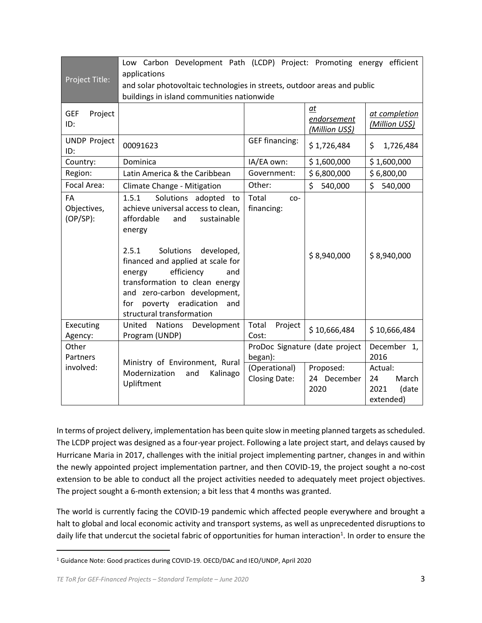| Project Title:                                                                                | Low Carbon Development Path (LCDP) Project: Promoting energy efficient<br>applications<br>and solar photovoltaic technologies in streets, outdoor areas and public<br>buildings in island communities nationwide                                                                                                                                              |                                           |                                     |                                                      |  |  |  |
|-----------------------------------------------------------------------------------------------|---------------------------------------------------------------------------------------------------------------------------------------------------------------------------------------------------------------------------------------------------------------------------------------------------------------------------------------------------------------|-------------------------------------------|-------------------------------------|------------------------------------------------------|--|--|--|
| <b>GEF</b><br>Project<br>ID:                                                                  |                                                                                                                                                                                                                                                                                                                                                               |                                           | at<br>endorsement<br>(Million US\$) | at completion<br>(Million US\$)                      |  |  |  |
| <b>UNDP Project</b><br>ID:                                                                    | 00091623                                                                                                                                                                                                                                                                                                                                                      | <b>GEF financing:</b>                     | \$1,726,484                         | \$<br>1,726,484                                      |  |  |  |
| Country:                                                                                      | Dominica                                                                                                                                                                                                                                                                                                                                                      | IA/EA own:                                | \$1,600,000                         | \$1,600,000                                          |  |  |  |
| Region:                                                                                       | Latin America & the Caribbean                                                                                                                                                                                                                                                                                                                                 | Government:                               | \$6,800,000                         | \$6,800,00                                           |  |  |  |
| Focal Area:                                                                                   | Climate Change - Mitigation                                                                                                                                                                                                                                                                                                                                   | Other:                                    | \$<br>540,000                       | \$<br>540,000                                        |  |  |  |
| FA<br>Objectives,<br>$(OP/SP)$ :                                                              | Solutions adopted to<br>1.5.1<br>achieve universal access to clean,<br>affordable<br>and<br>sustainable<br>energy<br>2.5.1<br>Solutions<br>developed,<br>financed and applied at scale for<br>efficiency<br>and<br>energy<br>transformation to clean energy<br>and zero-carbon development,<br>poverty eradication<br>for<br>and<br>structural transformation | Total<br>$CO-$<br>financing:              | \$8,940,000                         | \$8,940,000                                          |  |  |  |
| Executing<br>Agency:                                                                          | United<br><b>Nations</b><br>Development<br>Program (UNDP)                                                                                                                                                                                                                                                                                                     | Total<br>Project<br>Cost:                 | \$10,666,484                        | \$10,666,484                                         |  |  |  |
| Other<br>Partners                                                                             |                                                                                                                                                                                                                                                                                                                                                               | ProDoc Signature (date project<br>began): |                                     | December 1,<br>2016                                  |  |  |  |
| Ministry of Environment, Rural<br>involved:<br>Modernization<br>Kalinago<br>and<br>Upliftment |                                                                                                                                                                                                                                                                                                                                                               | (Operational)<br><b>Closing Date:</b>     | Proposed:<br>24 December<br>2020    | Actual:<br>March<br>24<br>2021<br>(date<br>extended) |  |  |  |

In terms of project delivery, implementation has been quite slow in meeting planned targets as scheduled. The LCDP project was designed as a four-year project. Following a late project start, and delays caused by Hurricane Maria in 2017, challenges with the initial project implementing partner, changes in and within the newly appointed project implementation partner, and then COVID-19, the project sought a no-cost extension to be able to conduct all the project activities needed to adequately meet project objectives. The project sought a 6-month extension; a bit less that 4 months was granted.

The world is currently facing the COVID-19 pandemic which affected people everywhere and brought a halt to global and local economic activity and transport systems, as well as unprecedented disruptions to daily life that undercut the societal fabric of opportunities for human interaction<sup>1</sup>. In order to ensure the

<sup>1</sup> Guidance Note: Good practices during COVID-19. OECD/DAC and IEO/UNDP, April 2020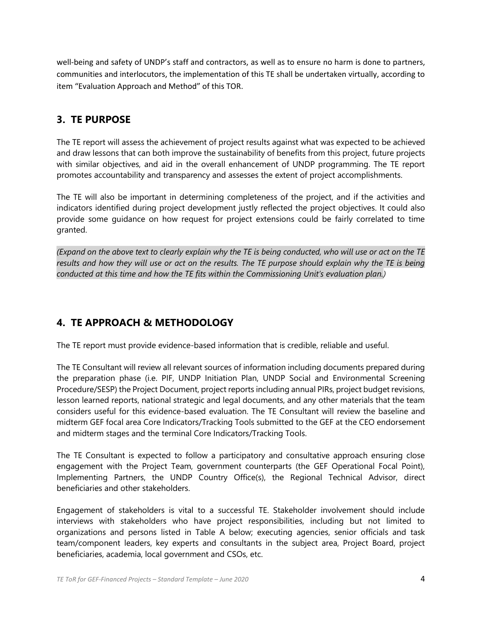well-being and safety of UNDP's staff and contractors, as well as to ensure no harm is done to partners, communities and interlocutors, the implementation of this TE shall be undertaken virtually, according to item "Evaluation Approach and Method" of this TOR.

### **3. TE PURPOSE**

The TE report will assess the achievement of project results against what was expected to be achieved and draw lessons that can both improve the sustainability of benefits from this project, future projects with similar objectives, and aid in the overall enhancement of UNDP programming. The TE report promotes accountability and transparency and assesses the extent of project accomplishments.

The TE will also be important in determining completeness of the project, and if the activities and indicators identified during project development justly reflected the project objectives. It could also provide some guidance on how request for project extensions could be fairly correlated to time granted.

*(Expand on the above text to clearly explain why the TE is being conducted, who will use or act on the TE results and how they will use or act on the results. The TE purpose should explain why the TE is being conducted at this time and how the TE fits within the Commissioning Unit's evaluation plan.)*

## **4. TE APPROACH & METHODOLOGY**

The TE report must provide evidence-based information that is credible, reliable and useful.

The TE Consultant will review all relevant sources of information including documents prepared during the preparation phase (i.e. PIF, UNDP Initiation Plan, UNDP Social and Environmental Screening Procedure/SESP) the Project Document, project reports including annual PIRs, project budget revisions, lesson learned reports, national strategic and legal documents, and any other materials that the team considers useful for this evidence-based evaluation. The TE Consultant will review the baseline and midterm GEF focal area Core Indicators/Tracking Tools submitted to the GEF at the CEO endorsement and midterm stages and the terminal Core Indicators/Tracking Tools.

The TE Consultant is expected to follow a participatory and consultative approach ensuring close engagement with the Project Team, government counterparts (the GEF Operational Focal Point), Implementing Partners, the UNDP Country Office(s), the Regional Technical Advisor, direct beneficiaries and other stakeholders.

Engagement of stakeholders is vital to a successful TE. Stakeholder involvement should include interviews with stakeholders who have project responsibilities, including but not limited to organizations and persons listed in Table A below; executing agencies, senior officials and task team/component leaders, key experts and consultants in the subject area, Project Board, project beneficiaries, academia, local government and CSOs, etc.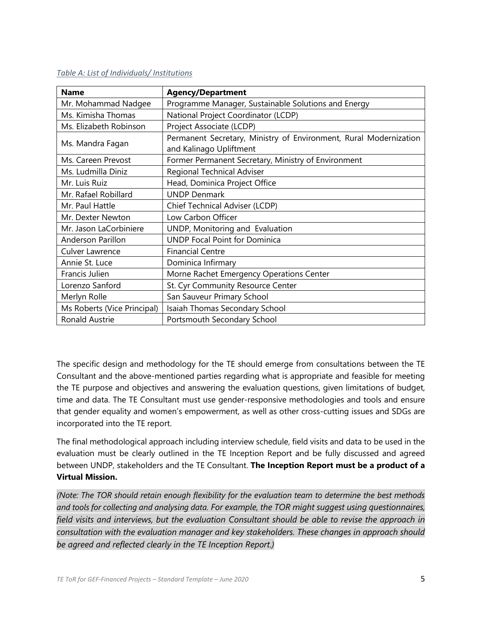#### *Table A: List of Individuals/ Institutions*

| <b>Name</b>                 | <b>Agency/Department</b>                                                                     |
|-----------------------------|----------------------------------------------------------------------------------------------|
| Mr. Mohammad Nadgee         | Programme Manager, Sustainable Solutions and Energy                                          |
| Ms. Kimisha Thomas          | National Project Coordinator (LCDP)                                                          |
| Ms. Elizabeth Robinson      | Project Associate (LCDP)                                                                     |
| Ms. Mandra Fagan            | Permanent Secretary, Ministry of Environment, Rural Modernization<br>and Kalinago Upliftment |
| Ms. Careen Prevost          | Former Permanent Secretary, Ministry of Environment                                          |
| Ms. Ludmilla Diniz          | <b>Regional Technical Adviser</b>                                                            |
| Mr. Luis Ruiz               | Head, Dominica Project Office                                                                |
| Mr. Rafael Robillard        | <b>UNDP Denmark</b>                                                                          |
| Mr. Paul Hattle             | Chief Technical Adviser (LCDP)                                                               |
| Mr. Dexter Newton           | Low Carbon Officer                                                                           |
| Mr. Jason LaCorbiniere      | UNDP, Monitoring and Evaluation                                                              |
| Anderson Parillon           | <b>UNDP Focal Point for Dominica</b>                                                         |
| <b>Culver Lawrence</b>      | <b>Financial Centre</b>                                                                      |
| Annie St. Luce              | Dominica Infirmary                                                                           |
| Francis Julien              | Morne Rachet Emergency Operations Center                                                     |
| Lorenzo Sanford             | St. Cyr Community Resource Center                                                            |
| Merlyn Rolle                | San Sauveur Primary School                                                                   |
| Ms Roberts (Vice Principal) | Isaiah Thomas Secondary School                                                               |
| <b>Ronald Austrie</b>       | Portsmouth Secondary School                                                                  |

The specific design and methodology for the TE should emerge from consultations between the TE Consultant and the above-mentioned parties regarding what is appropriate and feasible for meeting the TE purpose and objectives and answering the evaluation questions, given limitations of budget, time and data. The TE Consultant must use gender-responsive methodologies and tools and ensure that gender equality and women's empowerment, as well as other cross-cutting issues and SDGs are incorporated into the TE report.

The final methodological approach including interview schedule, field visits and data to be used in the evaluation must be clearly outlined in the TE Inception Report and be fully discussed and agreed between UNDP, stakeholders and the TE Consultant. **The Inception Report must be a product of a Virtual Mission.** 

*(Note: The TOR should retain enough flexibility for the evaluation team to determine the best methods and tools for collecting and analysing data. For example, the TOR might suggest using questionnaires, field visits and interviews, but the evaluation Consultant should be able to revise the approach in consultation with the evaluation manager and key stakeholders. These changes in approach should be agreed and reflected clearly in the TE Inception Report.)*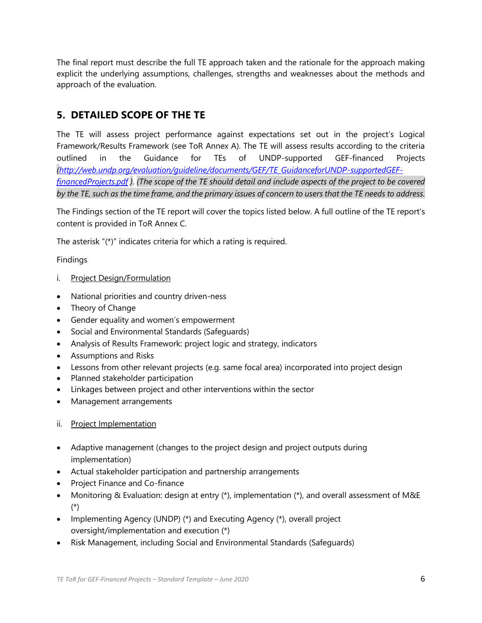The final report must describe the full TE approach taken and the rationale for the approach making explicit the underlying assumptions, challenges, strengths and weaknesses about the methods and approach of the evaluation.

### **5. DETAILED SCOPE OF THE TE**

The TE will assess project performance against expectations set out in the project's Logical Framework/Results Framework (see ToR Annex A). The TE will assess results according to the criteria outlined in the Guidance for TEs of UNDP-supported GEF-financed Projects *[\(http://web.undp.org/evaluation/guideline/documents/GEF/TE\\_GuidanceforUNDP-supportedGEF](http://web.undp.org/evaluation/guideline/documents/GEF/TE_GuidanceforUNDP-supportedGEF-financedProjects.pdf)[financedProjects.pdf](http://web.undp.org/evaluation/guideline/documents/GEF/TE_GuidanceforUNDP-supportedGEF-financedProjects.pdf) )*. *(The scope of the TE should detail and include aspects of the project to be covered by the TE, such as the time frame, and the primary issues of concern to users that the TE needs to address.*

The Findings section of the TE report will cover the topics listed below. A full outline of the TE report's content is provided in ToR Annex C.

The asterisk "(\*)" indicates criteria for which a rating is required.

Findings

- i. Project Design/Formulation
- National priorities and country driven-ness
- Theory of Change
- Gender equality and women's empowerment
- Social and Environmental Standards (Safeguards)
- Analysis of Results Framework: project logic and strategy, indicators
- Assumptions and Risks
- Lessons from other relevant projects (e.g. same focal area) incorporated into project design
- Planned stakeholder participation
- Linkages between project and other interventions within the sector
- Management arrangements
- ii. Project Implementation
- Adaptive management (changes to the project design and project outputs during implementation)
- Actual stakeholder participation and partnership arrangements
- Project Finance and Co-finance
- Monitoring & Evaluation: design at entry (\*), implementation (\*), and overall assessment of M&E (\*)
- Implementing Agency (UNDP) (\*) and Executing Agency (\*), overall project oversight/implementation and execution (\*)
- Risk Management, including Social and Environmental Standards (Safeguards)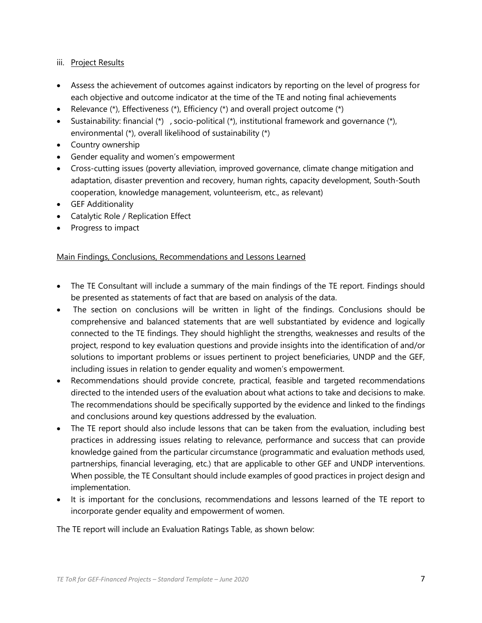#### iii. Project Results

- Assess the achievement of outcomes against indicators by reporting on the level of progress for each objective and outcome indicator at the time of the TE and noting final achievements
- Relevance  $(*)$ , Effectiveness  $(*)$ , Efficiency  $(*)$  and overall project outcome  $(*)$
- Sustainability: financial (\*), socio-political (\*), institutional framework and governance (\*), environmental (\*), overall likelihood of sustainability (\*)
- Country ownership
- Gender equality and women's empowerment
- Cross-cutting issues (poverty alleviation, improved governance, climate change mitigation and adaptation, disaster prevention and recovery, human rights, capacity development, South-South cooperation, knowledge management, volunteerism, etc., as relevant)
- GEF Additionality
- Catalytic Role / Replication Effect
- Progress to impact

#### Main Findings, Conclusions, Recommendations and Lessons Learned

- The TE Consultant will include a summary of the main findings of the TE report. Findings should be presented as statements of fact that are based on analysis of the data.
- The section on conclusions will be written in light of the findings. Conclusions should be comprehensive and balanced statements that are well substantiated by evidence and logically connected to the TE findings. They should highlight the strengths, weaknesses and results of the project, respond to key evaluation questions and provide insights into the identification of and/or solutions to important problems or issues pertinent to project beneficiaries, UNDP and the GEF, including issues in relation to gender equality and women's empowerment.
- Recommendations should provide concrete, practical, feasible and targeted recommendations directed to the intended users of the evaluation about what actions to take and decisions to make. The recommendations should be specifically supported by the evidence and linked to the findings and conclusions around key questions addressed by the evaluation.
- The TE report should also include lessons that can be taken from the evaluation, including best practices in addressing issues relating to relevance, performance and success that can provide knowledge gained from the particular circumstance (programmatic and evaluation methods used, partnerships, financial leveraging, etc.) that are applicable to other GEF and UNDP interventions. When possible, the TE Consultant should include examples of good practices in project design and implementation.
- It is important for the conclusions, recommendations and lessons learned of the TE report to incorporate gender equality and empowerment of women.

The TE report will include an Evaluation Ratings Table, as shown below: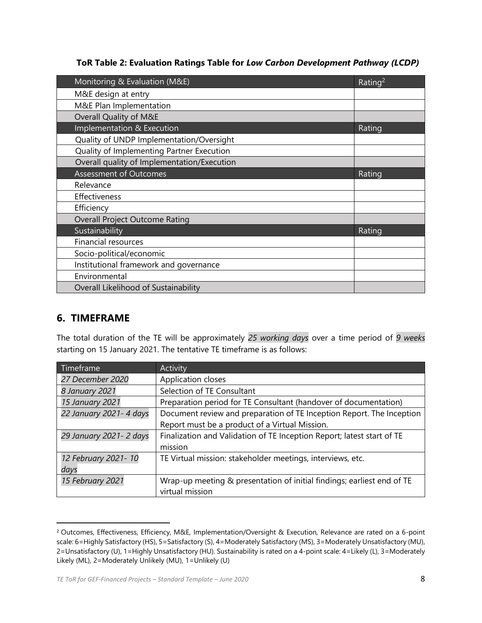**ToR Table 2: Evaluation Ratings Table for** *Low Carbon Development Pathway (LCDP)*

| Monitoring & Evaluation (M&E)               | Rating <sup>2</sup> |
|---------------------------------------------|---------------------|
| M&E design at entry                         |                     |
| M&E Plan Implementation                     |                     |
| Overall Quality of M&E                      |                     |
| Implementation & Execution                  | Rating              |
| Quality of UNDP Implementation/Oversight    |                     |
| Quality of Implementing Partner Execution   |                     |
| Overall quality of Implementation/Execution |                     |
| <b>Assessment of Outcomes</b>               | Rating              |
| Relevance                                   |                     |
| Effectiveness                               |                     |
| Efficiency                                  |                     |
| Overall Project Outcome Rating              |                     |
| Sustainability                              | Rating              |
| <b>Financial resources</b>                  |                     |
| Socio-political/economic                    |                     |
| Institutional framework and governance      |                     |
| Environmental                               |                     |
| Overall Likelihood of Sustainability        |                     |

### **6. TIMEFRAME**

The total duration of the TE will be approximately *25 working days* over a time period of *9 weeks* starting on 15 January 2021. The tentative TE timeframe is as follows:

| Timeframe                | <b>Activity</b>                                                        |
|--------------------------|------------------------------------------------------------------------|
| 27 December 2020         | Application closes                                                     |
| 8 January 2021           | Selection of TE Consultant                                             |
| 15 January 2021          | Preparation period for TE Consultant (handover of documentation)       |
| 22 January 2021- 4 days  | Document review and preparation of TE Inception Report. The Inception  |
|                          | Report must be a product of a Virtual Mission.                         |
| 29 January 2021 - 2 days | Finalization and Validation of TE Inception Report; latest start of TE |
|                          | mission                                                                |
| 12 February 2021-10      | TE Virtual mission: stakeholder meetings, interviews, etc.             |
| days                     |                                                                        |
| 15 February 2021         | Wrap-up meeting & presentation of initial findings; earliest end of TE |
|                          | virtual mission                                                        |

<sup>2</sup> Outcomes, Effectiveness, Efficiency, M&E, Implementation/Oversight & Execution, Relevance are rated on a 6-point scale: 6=Highly Satisfactory (HS), 5=Satisfactory (S), 4=Moderately Satisfactory (MS), 3=Moderately Unsatisfactory (MU), 2=Unsatisfactory (U), 1=Highly Unsatisfactory (HU). Sustainability is rated on a 4-point scale: 4=Likely (L), 3=Moderately Likely (ML), 2=Moderately Unlikely (MU), 1=Unlikely (U)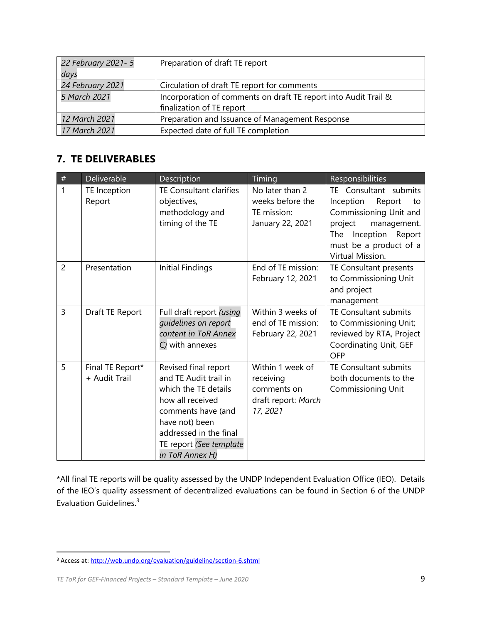| 22 February 2021- 5<br>days | Preparation of draft TE report                                  |
|-----------------------------|-----------------------------------------------------------------|
| 24 February 2021            | Circulation of draft TE report for comments                     |
| 5 March 2021                | Incorporation of comments on draft TE report into Audit Trail & |
|                             | finalization of TE report                                       |
| 12 March 2021               | Preparation and Issuance of Management Response                 |
| 17 March 2021               | Expected date of full TE completion                             |

## **7. TE DELIVERABLES**

| $\#$           | Deliverable                       | Description                                                                                                                                                                                               | Timing                                                                          | Responsibilities                                                                                                                                                                   |
|----------------|-----------------------------------|-----------------------------------------------------------------------------------------------------------------------------------------------------------------------------------------------------------|---------------------------------------------------------------------------------|------------------------------------------------------------------------------------------------------------------------------------------------------------------------------------|
| 1              | TE Inception<br>Report            | <b>TE Consultant clarifies</b><br>objectives,<br>methodology and<br>timing of the TE                                                                                                                      | No later than 2<br>weeks before the<br>TE mission:<br>January 22, 2021          | TE Consultant submits<br>Inception<br>Report<br>to<br>Commissioning Unit and<br>project<br>management.<br>Inception<br>The<br>Report<br>must be a product of a<br>Virtual Mission. |
| $\overline{2}$ | Presentation                      | Initial Findings                                                                                                                                                                                          | End of TE mission:<br>February 12, 2021                                         | TE Consultant presents<br>to Commissioning Unit<br>and project<br>management                                                                                                       |
| $\overline{3}$ | Draft TE Report                   | Full draft report (using<br>quidelines on report<br>content in ToR Annex<br>C) with annexes                                                                                                               | Within 3 weeks of<br>end of TE mission:<br>February 22, 2021                    | TE Consultant submits<br>to Commissioning Unit;<br>reviewed by RTA, Project<br>Coordinating Unit, GEF<br><b>OFP</b>                                                                |
| 5              | Final TE Report*<br>+ Audit Trail | Revised final report<br>and TE Audit trail in<br>which the TE details<br>how all received<br>comments have (and<br>have not) been<br>addressed in the final<br>TE report (See template<br>in ToR Annex H) | Within 1 week of<br>receiving<br>comments on<br>draft report: March<br>17, 2021 | TE Consultant submits<br>both documents to the<br><b>Commissioning Unit</b>                                                                                                        |

\*All final TE reports will be quality assessed by the UNDP Independent Evaluation Office (IEO). Details of the IEO's quality assessment of decentralized evaluations can be found in Section 6 of the UNDP Evaluation Guidelines.<sup>3</sup>

<sup>3</sup> Access at[: http://web.undp.org/evaluation/guideline/section-6.shtml](http://web.undp.org/evaluation/guideline/section-6.shtml)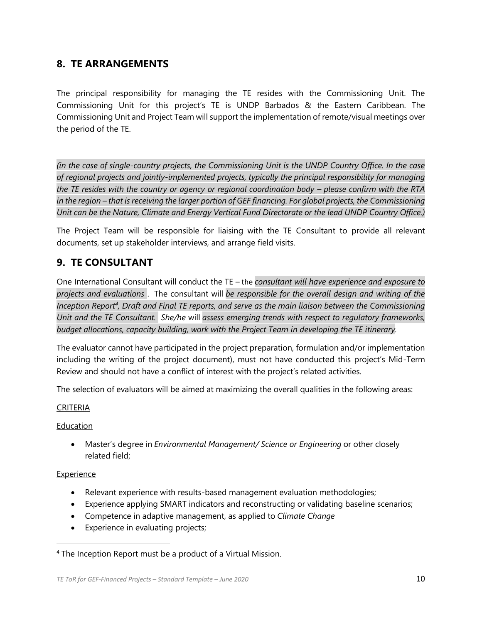#### **8. TE ARRANGEMENTS**

The principal responsibility for managing the TE resides with the Commissioning Unit. The Commissioning Unit for this project's TE is UNDP Barbados & the Eastern Caribbean. The Commissioning Unit and Project Team will support the implementation of remote/visual meetings over the period of the TE.

*(in the case of single-country projects, the Commissioning Unit is the UNDP Country Office. In the case of regional projects and jointly-implemented projects, typically the principal responsibility for managing the TE resides with the country or agency or regional coordination body – please confirm with the RTA in the region – that is receiving the larger portion of GEF financing. For global projects, the Commissioning Unit can be the Nature, Climate and Energy Vertical Fund Directorate or the lead UNDP Country Office.)*

The Project Team will be responsible for liaising with the TE Consultant to provide all relevant documents, set up stakeholder interviews, and arrange field visits.

### **9. TE CONSULTANT**

One International Consultant will conduct the TE – the *consultant will have experience and exposure to projects and evaluations* . The consultant will *be responsible for the overall design and writing of the Inception Report<sup>4</sup> , Draft and Final TE reports, and serve as the main liaison between the Commissioning Unit and the TE Consultant. She/he* will *assess emerging trends with respect to regulatory frameworks, budget allocations, capacity building, work with the Project Team in developing the TE itinerary.*

The evaluator cannot have participated in the project preparation, formulation and/or implementation including the writing of the project document), must not have conducted this project's Mid-Term Review and should not have a conflict of interest with the project's related activities.

The selection of evaluators will be aimed at maximizing the overall qualities in the following areas:

#### CRITERIA

#### Education

• Master's degree in *Environmental Management/ Science or Engineering* or other closely related field;

#### Experience

- Relevant experience with results-based management evaluation methodologies;
- Experience applying SMART indicators and reconstructing or validating baseline scenarios;
- Competence in adaptive management, as applied to *Climate Change*
- Experience in evaluating projects;

<sup>4</sup> The Inception Report must be a product of a Virtual Mission.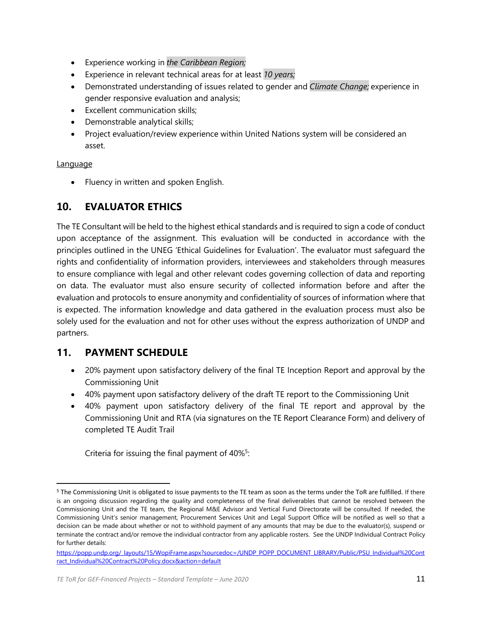- Experience working in *the Caribbean Region;*
- Experience in relevant technical areas for at least *10 years;*
- Demonstrated understanding of issues related to gender and *Climate Change;* experience in gender responsive evaluation and analysis;
- Excellent communication skills;
- Demonstrable analytical skills;
- Project evaluation/review experience within United Nations system will be considered an asset.

Language

• Fluency in written and spoken English.

### **10. EVALUATOR ETHICS**

The TE Consultant will be held to the highest ethical standards and is required to sign a code of conduct upon acceptance of the assignment. This evaluation will be conducted in accordance with the principles outlined in the UNEG 'Ethical Guidelines for Evaluation'. The evaluator must safeguard the rights and confidentiality of information providers, interviewees and stakeholders through measures to ensure compliance with legal and other relevant codes governing collection of data and reporting on data. The evaluator must also ensure security of collected information before and after the evaluation and protocols to ensure anonymity and confidentiality of sources of information where that is expected. The information knowledge and data gathered in the evaluation process must also be solely used for the evaluation and not for other uses without the express authorization of UNDP and partners.

#### **11. PAYMENT SCHEDULE**

- 20% payment upon satisfactory delivery of the final TE Inception Report and approval by the Commissioning Unit
- 40% payment upon satisfactory delivery of the draft TE report to the Commissioning Unit
- 40% payment upon satisfactory delivery of the final TE report and approval by the Commissioning Unit and RTA (via signatures on the TE Report Clearance Form) and delivery of completed TE Audit Trail

Criteria for issuing the final payment of 40%<sup>5</sup>:

<sup>5</sup> The Commissioning Unit is obligated to issue payments to the TE team as soon as the terms under the ToR are fulfilled. If there is an ongoing discussion regarding the quality and completeness of the final deliverables that cannot be resolved between the Commissioning Unit and the TE team, the Regional M&E Advisor and Vertical Fund Directorate will be consulted. If needed, the Commissioning Unit's senior management, Procurement Services Unit and Legal Support Office will be notified as well so that a decision can be made about whether or not to withhold payment of any amounts that may be due to the evaluator(s), suspend or terminate the contract and/or remove the individual contractor from any applicable rosters. See the UNDP Individual Contract Policy for further details:

[https://popp.undp.org/\\_layouts/15/WopiFrame.aspx?sourcedoc=/UNDP\\_POPP\\_DOCUMENT\\_LIBRARY/Public/PSU\\_Individual%20Cont](https://popp.undp.org/_layouts/15/WopiFrame.aspx?sourcedoc=/UNDP_POPP_DOCUMENT_LIBRARY/Public/PSU_Individual%20Contract_Individual%20Contract%20Policy.docx&action=default) [ract\\_Individual%20Contract%20Policy.docx&action=default](https://popp.undp.org/_layouts/15/WopiFrame.aspx?sourcedoc=/UNDP_POPP_DOCUMENT_LIBRARY/Public/PSU_Individual%20Contract_Individual%20Contract%20Policy.docx&action=default)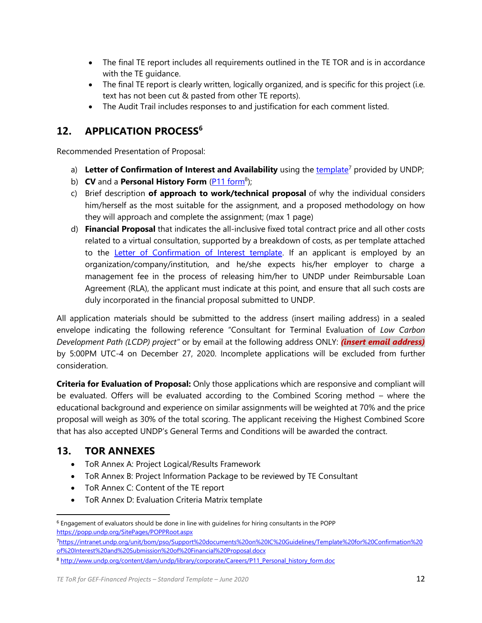- The final TE report includes all requirements outlined in the TE TOR and is in accordance with the TE guidance.
- The final TE report is clearly written, logically organized, and is specific for this project (i.e. text has not been cut & pasted from other TE reports).
- The Audit Trail includes responses to and justification for each comment listed.

## **12. APPLICATION PROCESS<sup>6</sup>**

Recommended Presentation of Proposal:

- a) Letter of Confirmation of Interest and Availability using th[e template](https://intranet.undp.org/unit/bom/pso/Support%20documents%20on%20IC%20Guidelines/Template%20for%20Confirmation%20of%20Interest%20and%20Submission%20of%20Financial%20Proposal.docx)<sup>7</sup> provided by UNDP;
- b) **CV** and a **Personal History Form** [\(P11 form](http://www.undp.org/content/dam/undp/library/corporate/Careers/P11_Personal_history_form.doc)<sup>8</sup>);
- c) Brief description **of approach to work/technical proposal** of why the individual considers him/herself as the most suitable for the assignment, and a proposed methodology on how they will approach and complete the assignment; (max 1 page)
- d) **Financial Proposal** that indicates the all-inclusive fixed total contract price and all other costs related to a virtual consultation, supported by a breakdown of costs, as per template attached to the [Letter of Confirmation of Interest template.](https://popp.undp.org/_layouts/15/WopiFrame.aspx?sourcedoc=/UNDP_POPP_DOCUMENT_LIBRARY/Public/PSU_%20Individual%20Contract_Offerors%20Letter%20to%20UNDP%20Confirming%20Interest%20and%20Availability.docx&action=default) If an applicant is employed by an organization/company/institution, and he/she expects his/her employer to charge a management fee in the process of releasing him/her to UNDP under Reimbursable Loan Agreement (RLA), the applicant must indicate at this point, and ensure that all such costs are duly incorporated in the financial proposal submitted to UNDP.

All application materials should be submitted to the address (insert mailing address) in a sealed envelope indicating the following reference "Consultant for Terminal Evaluation of *Low Carbon Development Path (LCDP) project"* or by email at the following address ONLY: *(insert email address)* by 5:00PM UTC-4 on December 27, 2020. Incomplete applications will be excluded from further consideration.

**Criteria for Evaluation of Proposal:** Only those applications which are responsive and compliant will be evaluated. Offers will be evaluated according to the Combined Scoring method – where the educational background and experience on similar assignments will be weighted at 70% and the price proposal will weigh as 30% of the total scoring. The applicant receiving the Highest Combined Score that has also accepted UNDP's General Terms and Conditions will be awarded the contract.

## **13. TOR ANNEXES**

- ToR Annex A: Project Logical/Results Framework
- ToR Annex B: Project Information Package to be reviewed by TE Consultant
- ToR Annex C: Content of the TE report
- ToR Annex D: Evaluation Criteria Matrix template

<sup>6</sup> Engagement of evaluators should be done in line with guidelines for hiring consultants in the POPP <https://popp.undp.org/SitePages/POPPRoot.aspx>

<sup>7</sup>[https://intranet.undp.org/unit/bom/pso/Support%20documents%20on%20IC%20Guidelines/Template%20for%20Confirmation%20](https://intranet.undp.org/unit/bom/pso/Support%20documents%20on%20IC%20Guidelines/Template%20for%20Confirmation%20of%20Interest%20and%20Submission%20of%20Financial%20Proposal.docx) [of%20Interest%20and%20Submission%20of%20Financial%20Proposal.docx](https://intranet.undp.org/unit/bom/pso/Support%20documents%20on%20IC%20Guidelines/Template%20for%20Confirmation%20of%20Interest%20and%20Submission%20of%20Financial%20Proposal.docx)

<sup>8</sup> [http://www.undp.org/content/dam/undp/library/corporate/Careers/P11\\_Personal\\_history\\_form.doc](http://www.undp.org/content/dam/undp/library/corporate/Careers/P11_Personal_history_form.doc)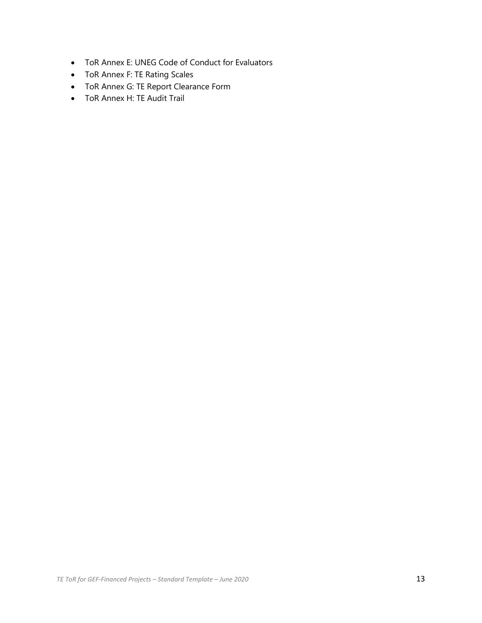- ToR Annex E: UNEG Code of Conduct for Evaluators
- ToR Annex F: TE Rating Scales
- ToR Annex G: TE Report Clearance Form
- ToR Annex H: TE Audit Trail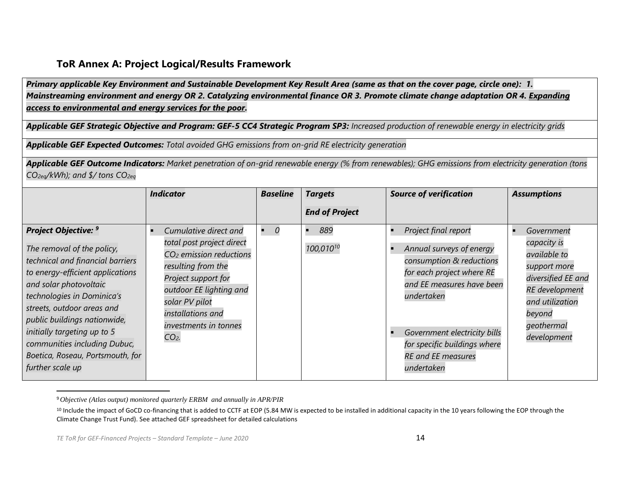#### **ToR Annex A: Project Logical/Results Framework**

*Primary applicable Key Environment and Sustainable Development Key Result Area (same as that on the cover page, circle one): 1. Mainstreaming environment and energy OR 2. Catalyzing environmental finance OR 3. Promote climate change adaptation OR 4. Expanding access to environmental and energy services for the poor.*

Applicable GEF Strategic Objective and Program: GEF-5 CC4 Strategic Program SP3: *Increased production of renewable energy in electricity grids* 

*Applicable GEF Expected Outcomes: Total avoided GHG emissions from on-grid RE electricity generation*

*Applicable GEF Outcome Indicators: Market penetration of on-grid renewable energy (% from renewables); GHG emissions from electricity generation (tons CO2eq/kWh); and \$/ tons CO2eq*

|                                                                                                                                                                                                                                                                                                                                                                         | <b>Indicator</b>                                                                                                                                                                                                                             | <b>Baseline</b> | <b>Targets</b>               | <b>Source of verification</b>                                                                                                                                                                                                                                          | <b>Assumptions</b>                                                                                                                                          |
|-------------------------------------------------------------------------------------------------------------------------------------------------------------------------------------------------------------------------------------------------------------------------------------------------------------------------------------------------------------------------|----------------------------------------------------------------------------------------------------------------------------------------------------------------------------------------------------------------------------------------------|-----------------|------------------------------|------------------------------------------------------------------------------------------------------------------------------------------------------------------------------------------------------------------------------------------------------------------------|-------------------------------------------------------------------------------------------------------------------------------------------------------------|
|                                                                                                                                                                                                                                                                                                                                                                         |                                                                                                                                                                                                                                              |                 | <b>End of Project</b>        |                                                                                                                                                                                                                                                                        |                                                                                                                                                             |
| Project Objective: 9<br>The removal of the policy,<br>technical and financial barriers<br>to energy-efficient applications<br>and solar photovoltaic<br>technologies in Dominica's<br>streets, outdoor areas and<br>public buildings nationwide,<br>initially targeting up to 5<br>communities including Dubuc,<br>Boetica, Roseau, Portsmouth, for<br>further scale up | Cumulative direct and<br>total post project direct<br>CO <sub>2</sub> emission reductions<br>resulting from the<br>Project support for<br>outdoor EE lighting and<br>solar PV pilot<br>installations and<br>investments in tonnes<br>$CO2$ . |                 | 889<br>100,010 <sup>10</sup> | Project final report<br>Annual surveys of energy<br>consumption & reductions<br>for each project where RE<br>and EE measures have been<br>undertaken<br>Government electricity bills<br>for specific buildings where<br><b>RE</b> and <b>EE</b> measures<br>undertaken | Government<br>capacity is<br>available to<br>support more<br>diversified EE and<br>RE development<br>and utilization<br>beyond<br>geothermal<br>development |

<sup>9</sup>*Objective (Atlas output) monitored quarterly ERBM and annually in APR/PIR*

<sup>10</sup> Include the impact of GoCD co-financing that is added to CCTF at EOP (5.84 MW is expected to be installed in additional capacity in the 10 years following the EOP through the Climate Change Trust Fund). See attached GEF spreadsheet for detailed calculations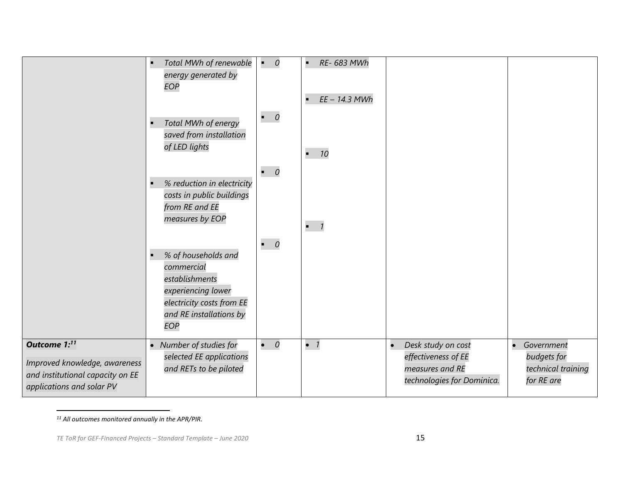|                                                                                                                            | Total MWh of renewable<br>energy generated by<br>EOP                                                                                            | $\mathbf{r}_{\mathrm{in}}$<br>$\overline{0}$<br>$\bullet$ 0 | RE- 683 MWh<br>$\blacksquare$<br>EE - 14.3 MWh |                                                                                                         |                                                                 |
|----------------------------------------------------------------------------------------------------------------------------|-------------------------------------------------------------------------------------------------------------------------------------------------|-------------------------------------------------------------|------------------------------------------------|---------------------------------------------------------------------------------------------------------|-----------------------------------------------------------------|
|                                                                                                                            | Total MWh of energy<br>saved from installation<br>of LED lights                                                                                 |                                                             | 10<br>$\blacksquare$                           |                                                                                                         |                                                                 |
|                                                                                                                            | % reduction in electricity<br>costs in public buildings<br>from RE and EE<br>measures by EOP                                                    | $\bullet$ 0                                                 |                                                |                                                                                                         |                                                                 |
|                                                                                                                            | % of households and<br>commercial<br>establishments<br>experiencing lower<br>electricity costs from EE<br>and RE installations by<br><b>EOP</b> | $\bullet$ 0                                                 | $-7$                                           |                                                                                                         |                                                                 |
| Outcome 1: <sup>11</sup><br>Improved knowledge, awareness<br>and institutional capacity on EE<br>applications and solar PV | • Number of studies for<br>selected EE applications<br>and RETs to be piloted                                                                   | $\bullet$ 0                                                 | $\bullet$ 1                                    | Desk study on cost<br>$\bullet$<br>effectiveness of EE<br>measures and RE<br>technologies for Dominica. | • Government<br>budgets for<br>technical training<br>for RE are |

*<sup>11</sup> All outcomes monitored annually in the APR/PIR.*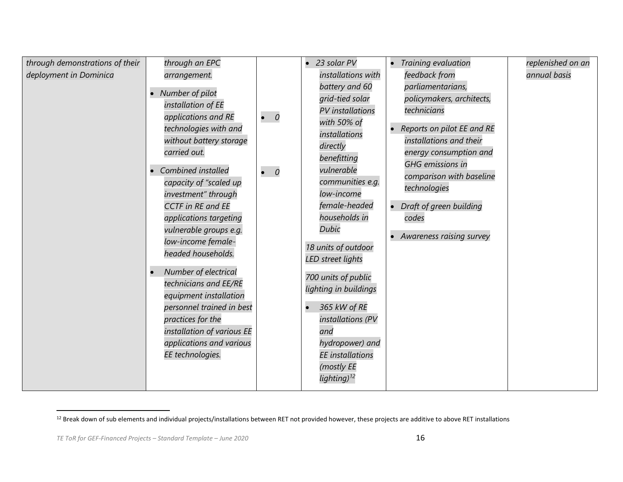| through demonstrations of their<br>deployment in Dominica | through an EPC<br>arrangement.<br>Number of pilot<br>installation of EE<br>applications and RE<br>technologies with and                                                                                                       | $\bullet$ 0 | 23 solar PV<br>$\bullet$<br>installations with<br>battery and 60<br>grid-tied solar<br>PV installations<br>with 50% of                                                                                                   | Training evaluation<br>feedback from<br>parliamentarians,<br>policymakers, architects,<br>technicians<br>Reports on pilot EE and RE                                                                   | replenished on an<br>annual basis |
|-----------------------------------------------------------|-------------------------------------------------------------------------------------------------------------------------------------------------------------------------------------------------------------------------------|-------------|--------------------------------------------------------------------------------------------------------------------------------------------------------------------------------------------------------------------------|-------------------------------------------------------------------------------------------------------------------------------------------------------------------------------------------------------|-----------------------------------|
|                                                           | without battery storage<br>carried out.<br>Combined installed<br>capacity of "scaled up<br>investment" through<br><b>CCTF</b> in RE and EE<br>applications targeting<br>vulnerable groups e.g.<br>low-income female-          | $\bullet$ 0 | installations<br>directly<br>benefitting<br>vulnerable<br>communities e.g.<br>low-income<br>female-headed<br>households in<br><b>Dubic</b><br>18 units of outdoor                                                        | installations and their<br>energy consumption and<br><b>GHG</b> emissions in<br>comparison with baseline<br>technologies<br>Draft of green building<br>$\bullet$<br>codes<br>Awareness raising survey |                                   |
|                                                           | headed households.<br>Number of electrical<br>technicians and EE/RE<br>equipment installation<br>personnel trained in best<br>practices for the<br>installation of various EE<br>applications and various<br>EE technologies. |             | <b>LED</b> street lights<br>700 units of public<br>lighting in buildings<br>365 kW of RE<br>$\bullet$<br>installations (PV<br>and<br>hydropower) and<br><b>EE</b> installations<br>(mostly EE<br>lighting) <sup>12</sup> |                                                                                                                                                                                                       |                                   |

<sup>&</sup>lt;sup>12</sup> Break down of sub elements and individual projects/installations between RET not provided however, these projects are additive to above RET installations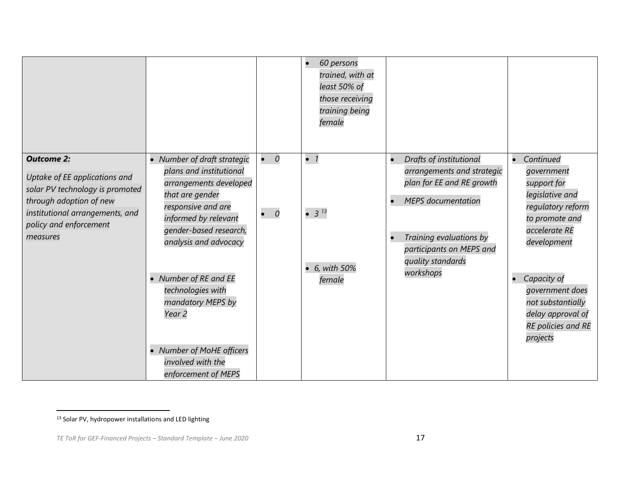|                                                                                                                                                                                           |                                                                                                                                                                                                                                                                                                                                                                          |                            | 60 persons<br>trained, with at<br>least 50% of<br>those receiving<br>training being<br>female |                                                                                                                                                                                                                       |                                                                                                                                                                                                                                                |
|-------------------------------------------------------------------------------------------------------------------------------------------------------------------------------------------|--------------------------------------------------------------------------------------------------------------------------------------------------------------------------------------------------------------------------------------------------------------------------------------------------------------------------------------------------------------------------|----------------------------|-----------------------------------------------------------------------------------------------|-----------------------------------------------------------------------------------------------------------------------------------------------------------------------------------------------------------------------|------------------------------------------------------------------------------------------------------------------------------------------------------------------------------------------------------------------------------------------------|
| <b>Outcome 2:</b><br>Uptake of EE applications and<br>solar PV technology is promoted<br>through adoption of new<br>institutional arrangements, and<br>policy and enforcement<br>measures | • Number of draft strategic<br>plans and institutional<br>arrangements developed<br>that are gender<br>responsive and are<br>informed by relevant<br>gender-based research,<br>analysis and advocacy<br>Number of RE and EE<br>technologies with<br>mandatory MEPS by<br>Year <sub>2</sub><br><b>Number of MoHE officers</b><br>involved with the<br>enforcement of MEPS | $\bullet$ 0<br>$\bullet$ 0 | $\bullet$ 1<br>• $3^{13}$<br>• 6, with 50%<br>female                                          | Drafts of institutional<br>$\bullet$<br>arrangements and strategic<br>plan for EE and RE growth<br><b>MEPS</b> documentation<br>Training evaluations by<br>participants on MEPS and<br>quality standards<br>workshops | Continued<br>government<br>support for<br>legislative and<br>regulatory reform<br>to promote and<br>accelerate RE<br>development<br>Capacity of<br>government does<br>not substantially<br>delay approval of<br>RE policies and RE<br>projects |

<sup>13</sup> Solar PV, hydropower installations and LED lighting

*TE ToR for GEF-Financed Projects – Standard Template – June 2020* 17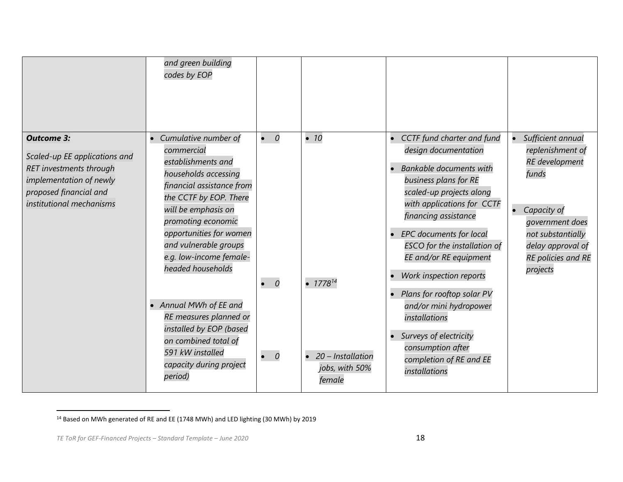|                                                                                                                                                                | and green building<br>codes by EOP                                                                                                                                                                                                                                                                                                                                                                                                                      |                                           |                                                                                  |                                                                                                                                                                                                                                                                                                                                                                                                                                                                                                |                                                                                                                                                                                |
|----------------------------------------------------------------------------------------------------------------------------------------------------------------|---------------------------------------------------------------------------------------------------------------------------------------------------------------------------------------------------------------------------------------------------------------------------------------------------------------------------------------------------------------------------------------------------------------------------------------------------------|-------------------------------------------|----------------------------------------------------------------------------------|------------------------------------------------------------------------------------------------------------------------------------------------------------------------------------------------------------------------------------------------------------------------------------------------------------------------------------------------------------------------------------------------------------------------------------------------------------------------------------------------|--------------------------------------------------------------------------------------------------------------------------------------------------------------------------------|
| <b>Outcome 3:</b><br>Scaled-up EE applications and<br>RET investments through<br>implementation of newly<br>proposed financial and<br>institutional mechanisms | Cumulative number of<br>commercial<br>establishments and<br>households accessing<br>financial assistance from<br>the CCTF by EOP. There<br>will be emphasis on<br>promoting economic<br>opportunities for women<br>and vulnerable groups<br>e.g. low-income female-<br>headed households<br>Annual MWh of EE and<br>RE measures planned or<br>installed by EOP (based<br>on combined total of<br>591 kW installed<br>capacity during project<br>period) | $\bullet$ 0<br>$\bullet$ 0<br>$\bullet$ 0 | $\bullet$ 10<br>• $1778^{14}$<br>• 20 - Installation<br>jobs, with 50%<br>female | CCTF fund charter and fund<br>design documentation<br><b>Bankable documents with</b><br>business plans for RE<br>scaled-up projects along<br>with applications for CCTF<br>financing assistance<br>• EPC documents for local<br><b>ESCO</b> for the installation of<br>EE and/or RE equipment<br>Work inspection reports<br>• Plans for rooftop solar PV<br>and/or mini hydropower<br>installations<br>Surveys of electricity<br>consumption after<br>completion of RE and EE<br>installations | Sufficient annual<br>replenishment of<br>RE development<br>funds<br>Capacity of<br>government does<br>not substantially<br>delay approval of<br>RE policies and RE<br>projects |

<sup>14</sup> Based on MWh generated of RE and EE (1748 MWh) and LED lighting (30 MWh) by 2019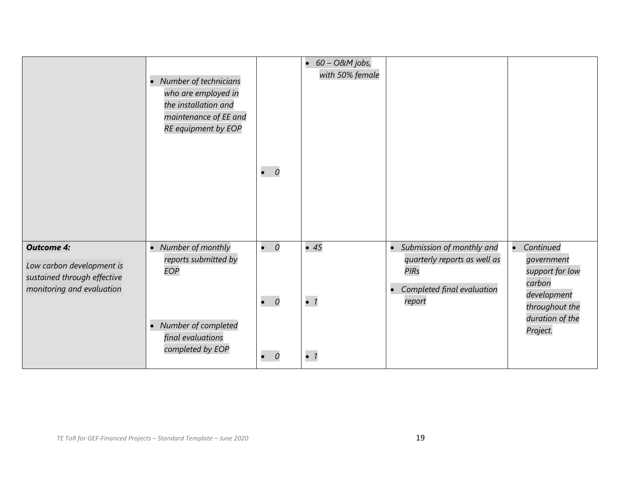|                                                                                                            | • Number of technicians<br>who are employed in<br>the installation and<br>maintenance of EE and<br>RE equipment by EOP | $\bullet$ 0                               | $\bullet$ 60 - O&M jobs,<br>with 50% female |                                                                                                                                 |                                                                                                                      |
|------------------------------------------------------------------------------------------------------------|------------------------------------------------------------------------------------------------------------------------|-------------------------------------------|---------------------------------------------|---------------------------------------------------------------------------------------------------------------------------------|----------------------------------------------------------------------------------------------------------------------|
| <b>Outcome 4:</b><br>Low carbon development is<br>sustained through effective<br>monitoring and evaluation | • Number of monthly<br>reports submitted by<br>EOP<br>• Number of completed<br>final evaluations<br>completed by EOP   | $\bullet$ 0<br>$\bullet$ 0<br>$\bullet$ 0 | $\bullet$ 45<br>$\bullet$ 1<br>$\bullet$ 1  | • Submission of monthly and<br>quarterly reports as well as<br><b>PIRs</b><br>Completed final evaluation<br>$\bullet$<br>report | Continued<br>government<br>support for low<br>carbon<br>development<br>throughout the<br>duration of the<br>Project. |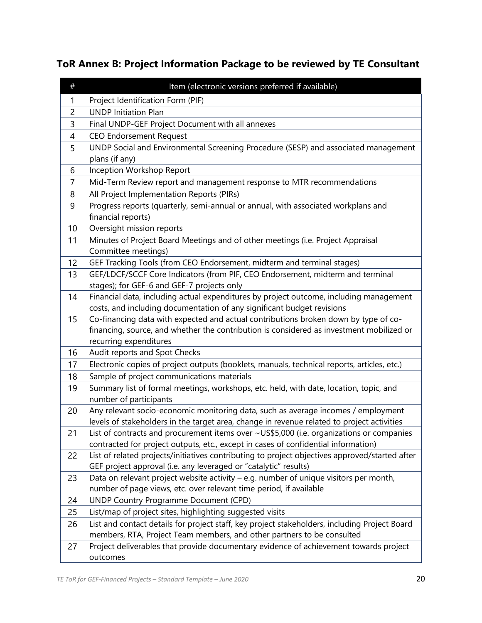# **ToR Annex B: Project Information Package to be reviewed by TE Consultant**

| $\#$           | Item (electronic versions preferred if available)                                                                                                                                    |
|----------------|--------------------------------------------------------------------------------------------------------------------------------------------------------------------------------------|
| 1              | Project Identification Form (PIF)                                                                                                                                                    |
| $\overline{2}$ | <b>UNDP Initiation Plan</b>                                                                                                                                                          |
| 3              | Final UNDP-GEF Project Document with all annexes                                                                                                                                     |
| 4              | <b>CEO Endorsement Request</b>                                                                                                                                                       |
| 5              | UNDP Social and Environmental Screening Procedure (SESP) and associated management                                                                                                   |
|                | plans (if any)                                                                                                                                                                       |
| 6              | Inception Workshop Report                                                                                                                                                            |
| $\overline{7}$ | Mid-Term Review report and management response to MTR recommendations                                                                                                                |
| 8              | All Project Implementation Reports (PIRs)                                                                                                                                            |
| 9              | Progress reports (quarterly, semi-annual or annual, with associated workplans and                                                                                                    |
|                | financial reports)                                                                                                                                                                   |
| 10             | Oversight mission reports                                                                                                                                                            |
| 11             | Minutes of Project Board Meetings and of other meetings (i.e. Project Appraisal                                                                                                      |
|                | Committee meetings)                                                                                                                                                                  |
| 12             | GEF Tracking Tools (from CEO Endorsement, midterm and terminal stages)                                                                                                               |
| 13             | GEF/LDCF/SCCF Core Indicators (from PIF, CEO Endorsement, midterm and terminal                                                                                                       |
|                | stages); for GEF-6 and GEF-7 projects only                                                                                                                                           |
| 14             | Financial data, including actual expenditures by project outcome, including management                                                                                               |
|                | costs, and including documentation of any significant budget revisions                                                                                                               |
| 15             | Co-financing data with expected and actual contributions broken down by type of co-                                                                                                  |
|                | financing, source, and whether the contribution is considered as investment mobilized or                                                                                             |
|                | recurring expenditures                                                                                                                                                               |
| 16             | Audit reports and Spot Checks                                                                                                                                                        |
| 17             | Electronic copies of project outputs (booklets, manuals, technical reports, articles, etc.)                                                                                          |
| 18             | Sample of project communications materials                                                                                                                                           |
| 19             | Summary list of formal meetings, workshops, etc. held, with date, location, topic, and                                                                                               |
|                | number of participants                                                                                                                                                               |
| 20             | Any relevant socio-economic monitoring data, such as average incomes / employment                                                                                                    |
|                | levels of stakeholders in the target area, change in revenue related to project activities                                                                                           |
| 21             | List of contracts and procurement items over ~US\$5,000 (i.e. organizations or companies                                                                                             |
| 22             | contracted for project outputs, etc., except in cases of confidential information)<br>List of related projects/initiatives contributing to project objectives approved/started after |
|                | GEF project approval (i.e. any leveraged or "catalytic" results)                                                                                                                     |
| 23             | Data on relevant project website activity - e.g. number of unique visitors per month,                                                                                                |
|                | number of page views, etc. over relevant time period, if available                                                                                                                   |
| 24             | UNDP Country Programme Document (CPD)                                                                                                                                                |
| 25             | List/map of project sites, highlighting suggested visits                                                                                                                             |
| 26             | List and contact details for project staff, key project stakeholders, including Project Board                                                                                        |
|                | members, RTA, Project Team members, and other partners to be consulted                                                                                                               |
| 27             | Project deliverables that provide documentary evidence of achievement towards project                                                                                                |
|                | outcomes                                                                                                                                                                             |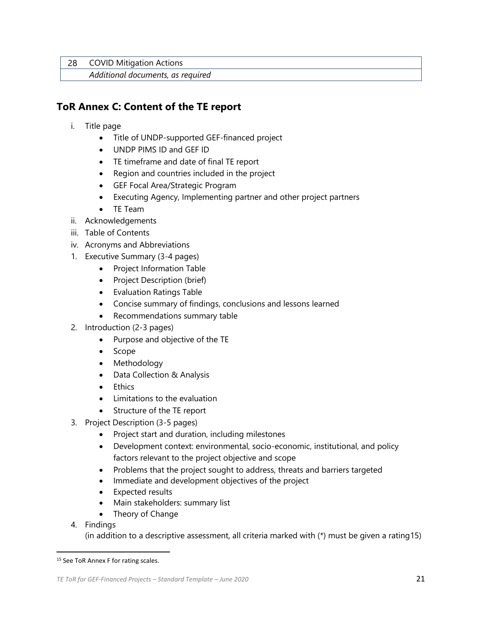28 COVID Mitigation Actions

*Additional documents, as required*

## **ToR Annex C: Content of the TE report**

- i. Title page
	- Title of UNDP-supported GEF-financed project
	- UNDP PIMS ID and GEF ID
	- TE timeframe and date of final TE report
	- Region and countries included in the project
	- GEF Focal Area/Strategic Program
	- Executing Agency, Implementing partner and other project partners
	- TE Team
- ii. Acknowledgements
- iii. Table of Contents
- iv. Acronyms and Abbreviations
- 1. Executive Summary (3-4 pages)
	- Project Information Table
	- Project Description (brief)
	- Evaluation Ratings Table
	- Concise summary of findings, conclusions and lessons learned
	- Recommendations summary table
- 2. Introduction (2-3 pages)
	- Purpose and objective of the TE
	- Scope
	- Methodology
	- Data Collection & Analysis
	- Ethics
	- Limitations to the evaluation
	- Structure of the TE report
- 3. Project Description (3-5 pages)
	- Project start and duration, including milestones
	- Development context: environmental, socio-economic, institutional, and policy factors relevant to the project objective and scope
	- Problems that the project sought to address, threats and barriers targeted
	- Immediate and development objectives of the project
	- Expected results
	- Main stakeholders: summary list
	- Theory of Change
- 4. Findings

(in addition to a descriptive assessment, all criteria marked with (\*) must be given a rating15)

<sup>15</sup> See ToR Annex F for rating scales.

*TE ToR for GEF-Financed Projects – Standard Template – June 2020* 21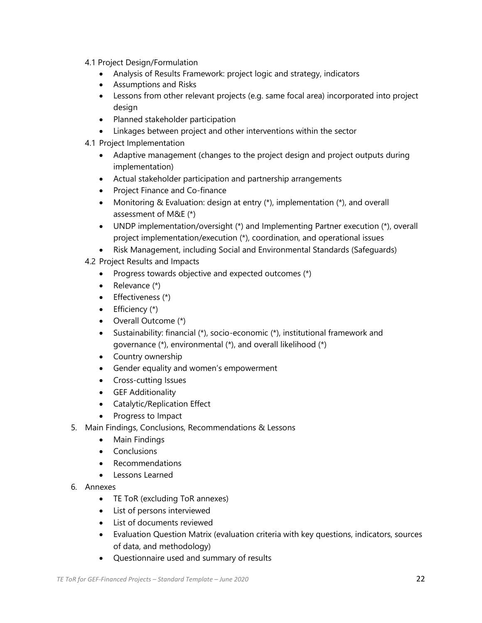- 4.1 Project Design/Formulation
	- Analysis of Results Framework: project logic and strategy, indicators
	- Assumptions and Risks
	- Lessons from other relevant projects (e.g. same focal area) incorporated into project design
	- Planned stakeholder participation
	- Linkages between project and other interventions within the sector
- 4.1 Project Implementation
	- Adaptive management (changes to the project design and project outputs during implementation)
	- Actual stakeholder participation and partnership arrangements
	- Project Finance and Co-finance
	- Monitoring & Evaluation: design at entry (\*), implementation (\*), and overall assessment of M&E (\*)
	- UNDP implementation/oversight (\*) and Implementing Partner execution (\*), overall project implementation/execution (\*), coordination, and operational issues
	- Risk Management, including Social and Environmental Standards (Safeguards)
- 4.2 Project Results and Impacts
	- Progress towards objective and expected outcomes (\*)
	- Relevance (\*)
	- Effectiveness (\*)
	- $\bullet$  Efficiency  $(*)$
	- Overall Outcome (\*)
	- Sustainability: financial (\*), socio-economic (\*), institutional framework and governance (\*), environmental (\*), and overall likelihood (\*)
	- Country ownership
	- Gender equality and women's empowerment
	- Cross-cutting Issues
	- GEF Additionality
	- Catalytic/Replication Effect
	- Progress to Impact
- 5. Main Findings, Conclusions, Recommendations & Lessons
	- Main Findings
	- Conclusions
	- Recommendations
	- Lessons Learned
- 6. Annexes
	- TE ToR (excluding ToR annexes)
	- List of persons interviewed
	- List of documents reviewed
	- Evaluation Question Matrix (evaluation criteria with key questions, indicators, sources of data, and methodology)
	- Questionnaire used and summary of results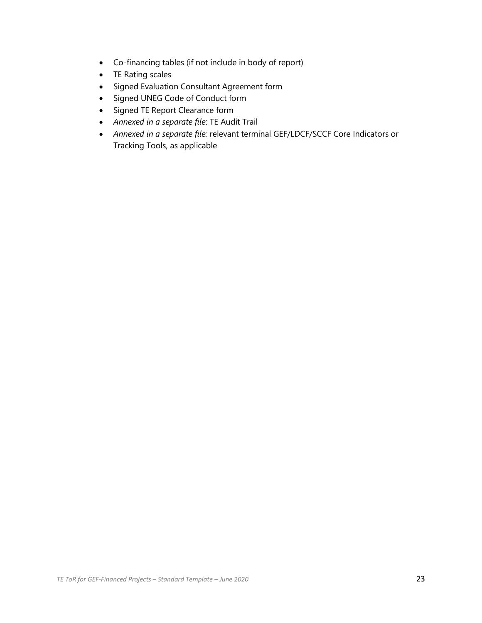- Co-financing tables (if not include in body of report)
- TE Rating scales
- Signed Evaluation Consultant Agreement form
- Signed UNEG Code of Conduct form
- Signed TE Report Clearance form
- *Annexed in a separate file*: TE Audit Trail
- *Annexed in a separate file:* relevant terminal GEF/LDCF/SCCF Core Indicators or Tracking Tools, as applicable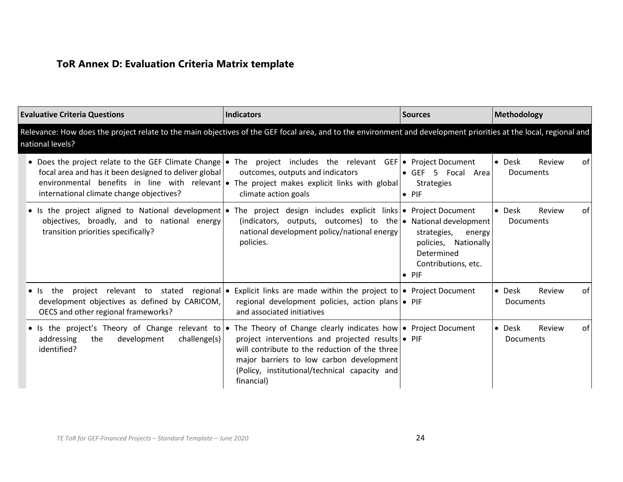# **ToR Annex D: Evaluation Criteria Matrix template**

| <b>Evaluative Criteria Questions</b>                                                                                                                                                                                                                                                                                | <b>Indicators</b>                                                                                                                                                                                             | <b>Sources</b>                                                                                      | Methodology                                             |
|---------------------------------------------------------------------------------------------------------------------------------------------------------------------------------------------------------------------------------------------------------------------------------------------------------------------|---------------------------------------------------------------------------------------------------------------------------------------------------------------------------------------------------------------|-----------------------------------------------------------------------------------------------------|---------------------------------------------------------|
| Relevance: How does the project relate to the main objectives of the GEF focal area, and to the environment and development priorities at the local, regional and<br>national levels?                                                                                                                               |                                                                                                                                                                                                               |                                                                                                     |                                                         |
| • Does the project relate to the GEF Climate Change • The project includes the relevant GEF • Project Document<br>focal area and has it been designed to deliver global<br>environmental benefits in line with relevant  • The project makes explicit links with global<br>international climate change objectives? | outcomes, outputs and indicators<br>climate action goals                                                                                                                                                      | • GEF 5 Focal Area<br><b>Strategies</b><br>$\bullet$ PIF                                            | $\bullet$<br>Desk<br>Review<br>of I<br><b>Documents</b> |
| • Is the project aligned to National development • The project design includes explicit links • Project Document<br>objectives, broadly, and to national energy<br>transition priorities specifically?                                                                                                              | (indicators, outputs, outcomes) to the $\bullet$ National development<br>national development policy/national energy<br>policies.                                                                             | strategies,<br>energy<br>policies, Nationally<br>Determined<br>Contributions, etc.<br>$\bullet$ PIF | $\bullet$ Desk<br>Review<br>of I<br><b>Documents</b>    |
| the<br>$\bullet$ Is<br>development objectives as defined by CARICOM,<br>OECS and other regional frameworks?                                                                                                                                                                                                         | project relevant to stated regional • Explicit links are made within the project to • Project Document<br>regional development policies, action plans • PIF<br>and associated initiatives                     |                                                                                                     | $\bullet$ Desk<br>Review<br>of l<br><b>Documents</b>    |
| • Is the project's Theory of Change relevant to • The Theory of Change clearly indicates how • Project Document<br>addressing<br>development<br>challenge(s)<br>the<br>identified?                                                                                                                                  | project interventions and projected results • PIF<br>will contribute to the reduction of the three<br>major barriers to low carbon development<br>(Policy, institutional/technical capacity and<br>financial) |                                                                                                     | $\bullet$ Desk<br>Review<br>of  <br><b>Documents</b>    |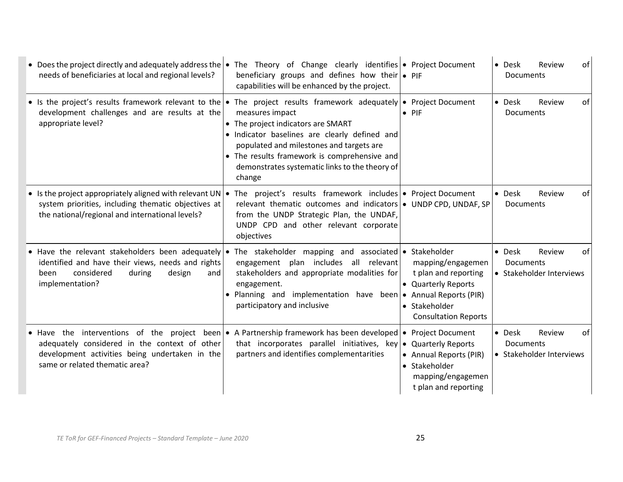| • Does the project directly and adequately address the $\bullet$<br>needs of beneficiaries at local and regional levels?                                                                                                         | The Theory of Change clearly identifies $\bullet$ Project Document<br>beneficiary groups and defines how their $\bullet$ PIF<br>capabilities will be enhanced by the project.                                                                                                                                                                                                                                                          | $\bullet$ Desk<br>Documents                             | Review | of |
|----------------------------------------------------------------------------------------------------------------------------------------------------------------------------------------------------------------------------------|----------------------------------------------------------------------------------------------------------------------------------------------------------------------------------------------------------------------------------------------------------------------------------------------------------------------------------------------------------------------------------------------------------------------------------------|---------------------------------------------------------|--------|----|
| development challenges and are results at the<br>appropriate level?                                                                                                                                                              | • Is the project's results framework relevant to the • The project results framework adequately • Project Document<br>measures impact<br>$\bullet$ PIF<br>• The project indicators are SMART<br>· Indicator baselines are clearly defined and<br>populated and milestones and targets are<br>• The results framework is comprehensive and<br>demonstrates systematic links to the theory of<br>change                                  | • Desk<br><b>Documents</b>                              | Review | of |
| • Is the project appropriately aligned with relevant UN $\cdot$<br>system priorities, including thematic objectives at<br>the national/regional and international levels?                                                        | The project's results framework includes • Project Document<br>relevant thematic outcomes and indicators • UNDP CPD, UNDAF, SP<br>from the UNDP Strategic Plan, the UNDAF,<br>UNDP CPD and other relevant corporate<br>objectives                                                                                                                                                                                                      | • Desk<br>Documents                                     | Review | of |
| identified and have their views, needs and rights<br>considered<br>during<br>design<br>been<br>and<br>implementation?                                                                                                            | • Have the relevant stakeholders been adequately • The stakeholder mapping and associated • Stakeholder<br>engagement plan includes all relevant<br>mapping/engagemen<br>stakeholders and appropriate modalities for<br>t plan and reporting<br>• Quarterly Reports<br>engagement.<br>• Planning and implementation have been<br>• Annual Reports (PIR)<br>participatory and inclusive<br>• Stakeholder<br><b>Consultation Reports</b> | $\bullet$ Desk<br>Documents<br>• Stakeholder Interviews | Review | of |
| • Have the interventions of the project been • A Partnership framework has been developed •<br>adequately considered in the context of other<br>development activities being undertaken in the<br>same or related thematic area? | <b>Project Document</b><br>that incorporates parallel initiatives, key<br>• Quarterly Reports<br>partners and identifies complementarities<br>• Annual Reports (PIR)<br>• Stakeholder<br>mapping/engagemen<br>t plan and reporting                                                                                                                                                                                                     | $\bullet$ Desk<br>Documents<br>• Stakeholder Interviews | Review | of |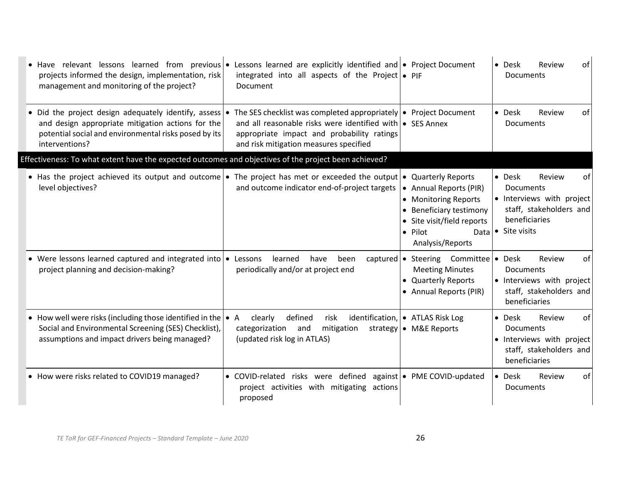| • Have relevant lessons learned from previous • Lessons learned are explicitly identified and • Project Document<br>projects informed the design, implementation, risk<br>management and monitoring of the project? | integrated into all aspects of the Project $\bullet$ PIF<br>Document                                                                                                                                                          |                                                                                                                                                | • Desk<br>Review<br>of<br><b>Documents</b>                                                                                                           |
|---------------------------------------------------------------------------------------------------------------------------------------------------------------------------------------------------------------------|-------------------------------------------------------------------------------------------------------------------------------------------------------------------------------------------------------------------------------|------------------------------------------------------------------------------------------------------------------------------------------------|------------------------------------------------------------------------------------------------------------------------------------------------------|
| • Did the project design adequately identify, assess $\bullet$<br>and design appropriate mitigation actions for the<br>potential social and environmental risks posed by its<br>interventions?                      | The SES checklist was completed appropriately $\bullet$ Project Document<br>and all reasonable risks were identified with • SES Annex<br>appropriate impact and probability ratings<br>and risk mitigation measures specified |                                                                                                                                                | $\bullet$ Desk<br>Review<br>of<br>Documents                                                                                                          |
| Effectiveness: To what extent have the expected outcomes and objectives of the project been achieved?                                                                                                               |                                                                                                                                                                                                                               |                                                                                                                                                |                                                                                                                                                      |
| • Has the project achieved its output and outcome • The project has met or exceeded the output • Quarterly Reports<br>level objectives?                                                                             | and outcome indicator end-of-project targets                                                                                                                                                                                  | • Annual Reports (PIR)<br>• Monitoring Reports<br>• Beneficiary testimony<br>• Site visit/field reports<br>• Pilot<br>Data<br>Analysis/Reports | $\bullet$ Desk<br>Review<br>0f<br><b>Documents</b><br>• Interviews with project<br>staff, stakeholders and<br>beneficiaries<br>$\bullet$ Site visits |
| • Were lessons learned captured and integrated into $\bullet$<br>project planning and decision-making?                                                                                                              | learned<br>Lessons<br>have<br>been<br>periodically and/or at project end                                                                                                                                                      | captured $\bullet$ Steering Committee<br><b>Meeting Minutes</b><br>• Quarterly Reports<br>• Annual Reports (PIR)                               | <b>Desk</b><br>Review<br>οf<br>$\bullet$<br><b>Documents</b><br>• Interviews with project<br>staff, stakeholders and<br>beneficiaries                |
| • How well were risks (including those identified in the $\bullet$ A<br>Social and Environmental Screening (SES) Checklist),<br>assumptions and impact drivers being managed?                                       | defined<br>risk<br>clearly<br>categorization and<br>mitigation<br>(updated risk log in ATLAS)                                                                                                                                 | identification, • ATLAS Risk Log<br>strategy • M&E Reports                                                                                     | of<br>• Desk<br>Review<br><b>Documents</b><br>· Interviews with project<br>staff, stakeholders and<br>beneficiaries                                  |
| • How were risks related to COVID19 managed?                                                                                                                                                                        | • COVID-related risks were defined against   • PME COVID-updated<br>project activities with mitigating actions<br>proposed                                                                                                    |                                                                                                                                                | • Desk<br>Review<br>of<br>Documents                                                                                                                  |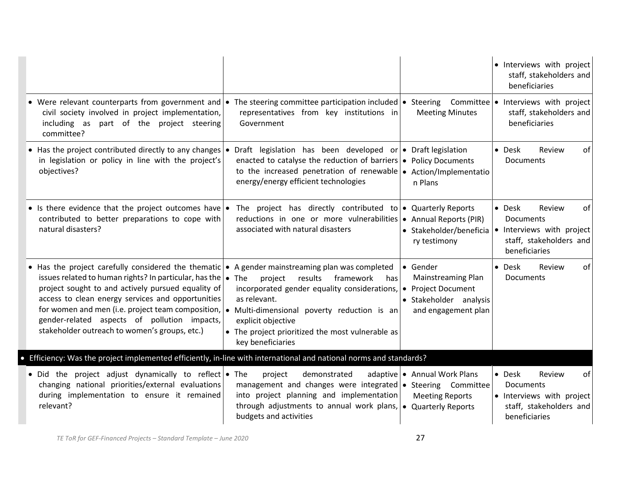|                                                                                                                                                                                                                                                                                                                                                                                                                                    |                                                                                                                                                                                                                                                                                               |                                                                                 | · Interviews with project<br>staff, stakeholders and<br>beneficiaries                                               |
|------------------------------------------------------------------------------------------------------------------------------------------------------------------------------------------------------------------------------------------------------------------------------------------------------------------------------------------------------------------------------------------------------------------------------------|-----------------------------------------------------------------------------------------------------------------------------------------------------------------------------------------------------------------------------------------------------------------------------------------------|---------------------------------------------------------------------------------|---------------------------------------------------------------------------------------------------------------------|
| • Were relevant counterparts from government and • The steering committee participation included • Steering Committee • Interviews with project<br>civil society involved in project implementation,<br>including as part of the project steering<br>committee?                                                                                                                                                                    | representatives from key institutions in<br>Government                                                                                                                                                                                                                                        | <b>Meeting Minutes</b>                                                          | staff, stakeholders and<br>beneficiaries                                                                            |
| • Has the project contributed directly to any changes $\bullet$<br>in legislation or policy in line with the project's<br>objectives?                                                                                                                                                                                                                                                                                              | Draft legislation has been developed or $\bullet$ Draft legislation<br>enacted to catalyse the reduction of barriers $\bullet$ Policy Documents<br>to the increased penetration of renewable $\bullet$ Action/Implementatio<br>energy/energy efficient technologies                           | n Plans                                                                         | • Desk<br>Review<br>of<br><b>Documents</b>                                                                          |
| • Is there evidence that the project outcomes have • The project has directly contributed to • Quarterly Reports<br>contributed to better preparations to cope with<br>natural disasters?                                                                                                                                                                                                                                          | reductions in one or more vulnerabilities • Annual Reports (PIR)<br>associated with natural disasters                                                                                                                                                                                         | • Stakeholder/beneficia<br>ry testimony                                         | • Desk<br>Review<br>οf<br><b>Documents</b><br>• Interviews with project<br>staff, stakeholders and<br>beneficiaries |
| • Has the project carefully considered the thematic<br>issues related to human rights? In particular, has the<br>project sought to and actively pursued equality of<br>access to clean energy services and opportunities<br>for women and men (i.e. project team composition, $\bullet$ Multi-dimensional poverty reduction is an<br>gender-related aspects of pollution impacts,<br>stakeholder outreach to women's groups, etc.) | • A gender mainstreaming plan was completed<br>$\bullet$ The<br>results framework<br>project<br>has<br>incorporated gender equality considerations, $\bullet$ Project Document<br>as relevant.<br>explicit objective<br>• The project prioritized the most vulnerable as<br>key beneficiaries | ● Gender<br>Mainstreaming Plan<br>• Stakeholder analysis<br>and engagement plan | • Desk<br>Review<br>of<br><b>Documents</b>                                                                          |
| Efficiency: Was the project implemented efficiently, in-line with international and national norms and standards?                                                                                                                                                                                                                                                                                                                  |                                                                                                                                                                                                                                                                                               |                                                                                 |                                                                                                                     |
| • Did the project adjust dynamically to reflect $\bullet$ The<br>changing national priorities/external evaluations<br>during implementation to ensure it remained<br>relevant?                                                                                                                                                                                                                                                     | demonstrated<br>project<br>management and changes were integrated   • Steering Committee<br>into project planning and implementation<br>through adjustments to annual work plans, $\bullet$ Quarterly Reports<br>budgets and activities                                                       | adaptive • Annual Work Plans<br><b>Meeting Reports</b>                          | • Desk<br>Review<br>of<br><b>Documents</b><br>• Interviews with project<br>staff, stakeholders and<br>beneficiaries |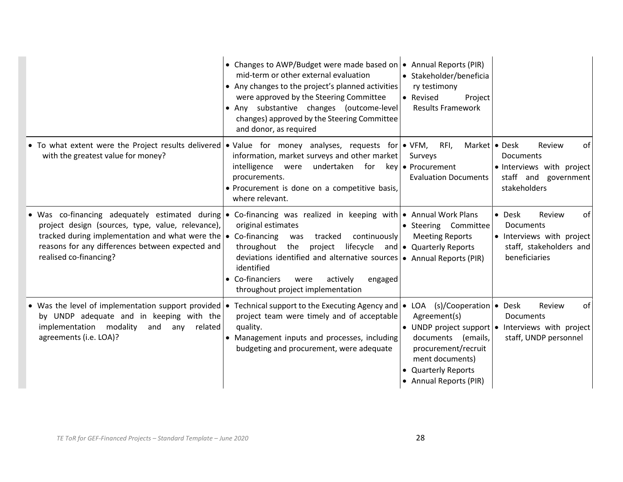|                                                                                                                                                                                                           | • Changes to AWP/Budget were made based on<br>mid-term or other external evaluation<br>• Any changes to the project's planned activities<br>were approved by the Steering Committee<br>• Any substantive changes (outcome-level<br>changes) approved by the Steering Committee<br>and donor, as required                                                                                                                     | • Annual Reports (PIR)<br>• Stakeholder/beneficia<br>ry testimony<br>• Revised<br>Project<br><b>Results Framework</b>              |                                                                                                              |
|-----------------------------------------------------------------------------------------------------------------------------------------------------------------------------------------------------------|------------------------------------------------------------------------------------------------------------------------------------------------------------------------------------------------------------------------------------------------------------------------------------------------------------------------------------------------------------------------------------------------------------------------------|------------------------------------------------------------------------------------------------------------------------------------|--------------------------------------------------------------------------------------------------------------|
| with the greatest value for money?                                                                                                                                                                        | • To what extent were the Project results delivered • Value for money analyses, requests for • VFM,<br>information, market surveys and other market<br>intelligence<br>undertaken for key • Procurement<br>were<br>procurements.<br>• Procurement is done on a competitive basis,<br>where relevant.                                                                                                                         | RFI,<br>Market   • Desk<br>Surveys<br><b>Evaluation Documents</b>                                                                  | Review<br>of<br>Documents<br>· Interviews with project<br>staff and government<br>stakeholders               |
| project design (sources, type, value, relevance),<br>tracked during implementation and what were the $\bullet$ Co-financing<br>reasons for any differences between expected and<br>realised co-financing? | • Was co-financing adequately estimated during • Co-financing was realized in keeping with • Annual Work Plans<br>original estimates<br>tracked continuously<br>was<br>project lifecycle and $\bullet$ Quarterly Reports<br>throughout<br>the<br>deviations identified and alternative sources   • Annual Reports (PIR)<br>identified<br>• Co-financiers<br>actively<br>were<br>engaged<br>throughout project implementation | • Steering Committee<br><b>Meeting Reports</b>                                                                                     | of<br>• Desk<br>Review<br>Documents<br>• Interviews with project<br>staff, stakeholders and<br>beneficiaries |
| • Was the level of implementation support provided $\cdot$<br>by UNDP adequate and in keeping with the<br>implementation modality<br>and<br>any<br>agreements (i.e. LOA)?                                 | Technical support to the Executing Agency and $\bullet$ LOA (s)/Cooperation $\bullet$ Desk<br>project team were timely and of acceptable<br>related<br>quality.<br>• Management inputs and processes, including<br>budgeting and procurement, were adequate                                                                                                                                                                  | Agreement(s)<br>documents (emails,<br>procurement/recruit<br>ment documents)<br><b>Quarterly Reports</b><br>• Annual Reports (PIR) | Review<br>of<br>Documents<br>• UNDP project support $\cdot$ Interviews with project<br>staff, UNDP personnel |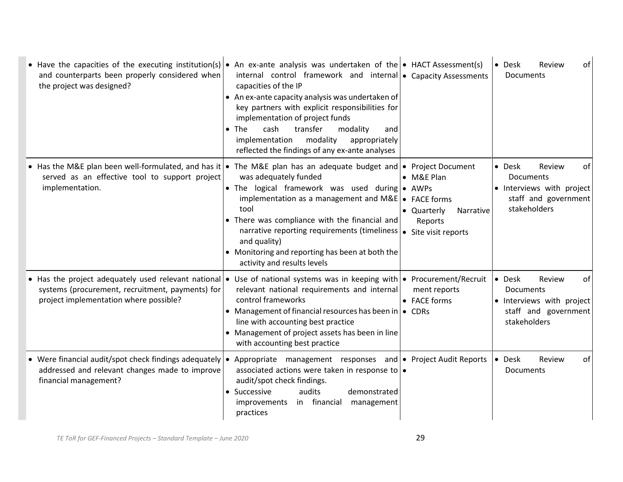| • Have the capacities of the executing institution(s) • An ex-ante analysis was undertaken of the • HACT Assessment(s)<br>and counterparts been properly considered when<br>the project was designed?                 | internal control framework and internal • Capacity Assessments<br>capacities of the IP<br>• An ex-ante capacity analysis was undertaken of<br>key partners with explicit responsibilities for<br>implementation of project funds<br>cash<br>transfer<br>$\bullet$ The<br>modality<br>and<br>implementation<br>modality<br>appropriately<br>reflected the findings of any ex-ante analyses |                                                          | • Desk<br>Review<br>οf<br>Documents                                                                                     |
|-----------------------------------------------------------------------------------------------------------------------------------------------------------------------------------------------------------------------|-------------------------------------------------------------------------------------------------------------------------------------------------------------------------------------------------------------------------------------------------------------------------------------------------------------------------------------------------------------------------------------------|----------------------------------------------------------|-------------------------------------------------------------------------------------------------------------------------|
| • Has the M&E plan been well-formulated, and has it • The M&E plan has an adequate budget and • Project Document<br>served as an effective tool to support project<br>implementation.                                 | was adequately funded<br>• The logical framework was used during • AWPs<br>implementation as a management and $M\&E$ $\bullet$ FACE forms<br>tool<br>• There was compliance with the financial and<br>narrative reporting requirements (timeliness   • Site visit reports<br>and quality)<br>• Monitoring and reporting has been at both the<br>activity and results levels               | • M&E Plan<br>• Quarterly<br><b>Narrative</b><br>Reports | • Desk<br>Review<br>οf<br>Documents<br>• Interviews with project<br>staff and government<br>stakeholders                |
| • Has the project adequately used relevant national • Use of national systems was in keeping with • Procurement/Recruit<br>systems (procurement, recruitment, payments) for<br>project implementation where possible? | relevant national requirements and internal<br>control frameworks<br>• Management of financial resources has been in $\bullet$ CDRs<br>line with accounting best practice<br>• Management of project assets has been in line<br>with accounting best practice                                                                                                                             | ment reports<br>• FACE forms                             | $\bullet$ Desk<br>Review<br>οf<br><b>Documents</b><br>• Interviews with project<br>staff and government<br>stakeholders |
| • Were financial audit/spot check findings adequately $\cdot$<br>addressed and relevant changes made to improve<br>financial management?                                                                              | Appropriate management responses and • Project Audit Reports<br>associated actions were taken in response to $\bullet$<br>audit/spot check findings.<br>• Successive<br>audits<br>demonstrated<br>in financial<br>improvements<br>management<br>practices                                                                                                                                 |                                                          | • Desk<br>Review<br>of<br>Documents                                                                                     |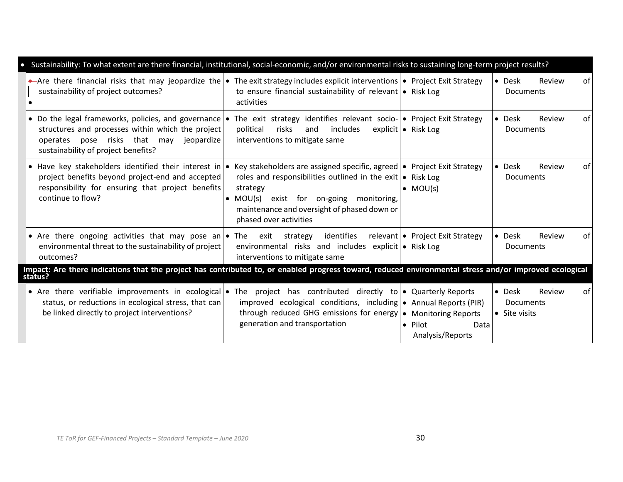| Sustainability: To what extent are there financial, institutional, social-economic, and/or environmental risks to sustaining long-term project results?                                                                                                           |                                                                                                                                                                                                                                                     |                                             |                                                             |
|-------------------------------------------------------------------------------------------------------------------------------------------------------------------------------------------------------------------------------------------------------------------|-----------------------------------------------------------------------------------------------------------------------------------------------------------------------------------------------------------------------------------------------------|---------------------------------------------|-------------------------------------------------------------|
| Are there financial risks that may jeopardize the $\bullet$ The exit strategy includes explicit interventions $\bullet$ Project Exit Strategy<br>sustainability of project outcomes?                                                                              | to ensure financial sustainability of relevant $\bullet$ Risk Log<br>activities                                                                                                                                                                     |                                             | • Desk<br>Review<br>оf<br><b>Documents</b>                  |
| • Do the legal frameworks, policies, and governance • The exit strategy identifies relevant socio- • Project Exit Strategy<br>structures and processes within which the project<br>operates pose risks that may jeopardize<br>sustainability of project benefits? | political<br>risks<br>includes<br>and<br>interventions to mitigate same                                                                                                                                                                             | explicit   • Risk Log                       | • Desk<br>Review<br>0f<br><b>Documents</b>                  |
| • Have key stakeholders identified their interest in • Key stakeholders are assigned specific, agreed • Project Exit Strategy<br>project benefits beyond project-end and accepted<br>responsibility for ensuring that project benefits<br>continue to flow?       | roles and responsibilities outlined in the exit $\bullet$ Risk Log<br>strategy<br>exist for on-going<br>$\bullet$ MOU(s)<br>monitoring,<br>maintenance and oversight of phased down or<br>phased over activities                                    | $\bullet$ MOU(s)                            | $\bullet$ Desk<br>Review<br>0f<br><b>Documents</b>          |
| • Are there ongoing activities that may pose an • The exit strategy<br>environmental threat to the sustainability of project<br>outcomes?                                                                                                                         | identifies<br>environmental risks and includes explicit • Risk Log<br>interventions to mitigate same                                                                                                                                                | relevant   • Project Exit Strategy          | • Desk<br>Review<br>0f<br><b>Documents</b>                  |
| Impact: Are there indications that the project has contributed to, or enabled progress toward, reduced environmental stress and/or improved ecological<br>status?                                                                                                 |                                                                                                                                                                                                                                                     |                                             |                                                             |
| • Are there verifiable improvements in ecological •<br>status, or reductions in ecological stress, that can<br>be linked directly to project interventions?                                                                                                       | The project has contributed directly to $\bullet$ Quarterly Reports<br>improved ecological conditions, including $\bullet$ Annual Reports (PIR)<br>through reduced GHG emissions for energy   • Monitoring Reports<br>generation and transportation | $\bullet$ Pilot<br>Data<br>Analysis/Reports | • Desk<br>Review<br>of<br><b>Documents</b><br>• Site visits |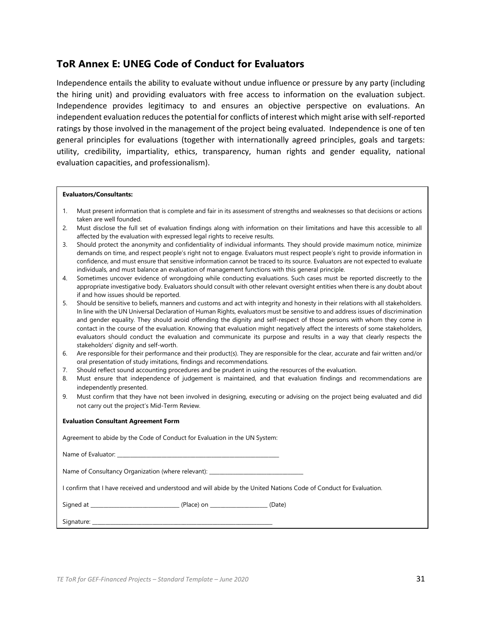#### **ToR Annex E: UNEG Code of Conduct for Evaluators**

Independence entails the ability to evaluate without undue influence or pressure by any party (including the hiring unit) and providing evaluators with free access to information on the evaluation subject. Independence provides legitimacy to and ensures an objective perspective on evaluations. An independent evaluation reduces the potential for conflicts of interest which might arise with self-reported ratings by those involved in the management of the project being evaluated. Independence is one of ten general principles for evaluations (together with internationally agreed principles, goals and targets: utility, credibility, impartiality, ethics, transparency, human rights and gender equality, national evaluation capacities, and professionalism).

#### **Evaluators/Consultants:**

- 1. Must present information that is complete and fair in its assessment of strengths and weaknesses so that decisions or actions taken are well founded.
- 2. Must disclose the full set of evaluation findings along with information on their limitations and have this accessible to all affected by the evaluation with expressed legal rights to receive results.
- 3. Should protect the anonymity and confidentiality of individual informants. They should provide maximum notice, minimize demands on time, and respect people's right not to engage. Evaluators must respect people's right to provide information in confidence, and must ensure that sensitive information cannot be traced to its source. Evaluators are not expected to evaluate individuals, and must balance an evaluation of management functions with this general principle.
- 4. Sometimes uncover evidence of wrongdoing while conducting evaluations. Such cases must be reported discreetly to the appropriate investigative body. Evaluators should consult with other relevant oversight entities when there is any doubt about if and how issues should be reported.
- 5. Should be sensitive to beliefs, manners and customs and act with integrity and honesty in their relations with all stakeholders. In line with the UN Universal Declaration of Human Rights, evaluators must be sensitive to and address issues of discrimination and gender equality. They should avoid offending the dignity and self-respect of those persons with whom they come in contact in the course of the evaluation. Knowing that evaluation might negatively affect the interests of some stakeholders, evaluators should conduct the evaluation and communicate its purpose and results in a way that clearly respects the stakeholders' dignity and self-worth.
- 6. Are responsible for their performance and their product(s). They are responsible for the clear, accurate and fair written and/or oral presentation of study imitations, findings and recommendations.
- 7. Should reflect sound accounting procedures and be prudent in using the resources of the evaluation.
- 8. Must ensure that independence of judgement is maintained, and that evaluation findings and recommendations are independently presented.
- 9. Must confirm that they have not been involved in designing, executing or advising on the project being evaluated and did not carry out the project's Mid-Term Review.

#### **Evaluation Consultant Agreement Form**

| Agreement to abide by the Code of Conduct for Evaluation in the UN System: |  |
|----------------------------------------------------------------------------|--|
|                                                                            |  |

| Name of Evaluator: |  |
|--------------------|--|
|                    |  |
|                    |  |

Name of Consultancy Organization (where relevant): \_

I confirm that I have received and understood and will abide by the United Nations Code of Conduct for Evaluation.

| Signed at | - - |  |
|-----------|-----|--|
|           |     |  |

Signature: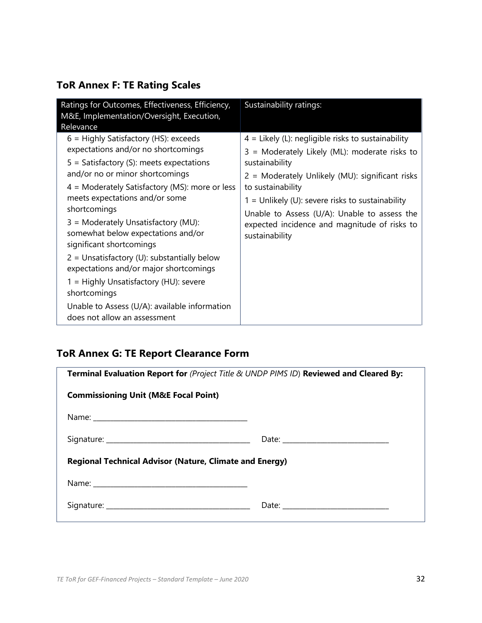## **ToR Annex F: TE Rating Scales**

| Ratings for Outcomes, Effectiveness, Efficiency,<br>M&E, Implementation/Oversight, Execution,                                                                                                                                                                                                                                                                                                                                                                                                                                                                                                                                   | Sustainability ratings:                                                                                                                                                                                                                                                                                                                                                 |
|---------------------------------------------------------------------------------------------------------------------------------------------------------------------------------------------------------------------------------------------------------------------------------------------------------------------------------------------------------------------------------------------------------------------------------------------------------------------------------------------------------------------------------------------------------------------------------------------------------------------------------|-------------------------------------------------------------------------------------------------------------------------------------------------------------------------------------------------------------------------------------------------------------------------------------------------------------------------------------------------------------------------|
| Relevance<br>6 = Highly Satisfactory (HS): exceeds<br>expectations and/or no shortcomings<br>$5 =$ Satisfactory (S): meets expectations<br>and/or no or minor shortcomings<br>$4$ = Moderately Satisfactory (MS): more or less<br>meets expectations and/or some<br>shortcomings<br>3 = Moderately Unsatisfactory (MU):<br>somewhat below expectations and/or<br>significant shortcomings<br>$2 =$ Unsatisfactory (U): substantially below<br>expectations and/or major shortcomings<br>1 = Highly Unsatisfactory (HU): severe<br>shortcomings<br>Unable to Assess (U/A): available information<br>does not allow an assessment | $4$ = Likely (L): negligible risks to sustainability<br>3 = Moderately Likely (ML): moderate risks to<br>sustainability<br>2 = Moderately Unlikely (MU): significant risks<br>to sustainability<br>$1 =$ Unlikely (U): severe risks to sustainability<br>Unable to Assess (U/A): Unable to assess the<br>expected incidence and magnitude of risks to<br>sustainability |

## **ToR Annex G: TE Report Clearance Form**

| Terminal Evaluation Report for (Project Title & UNDP PIMS ID) Reviewed and Cleared By:                                                                                                                                        |  |  |  |  |  |
|-------------------------------------------------------------------------------------------------------------------------------------------------------------------------------------------------------------------------------|--|--|--|--|--|
| <b>Commissioning Unit (M&amp;E Focal Point)</b>                                                                                                                                                                               |  |  |  |  |  |
| Name: Name: Name: Name: Name: Name: Name: Name: Name: Name: Name: Name: Name: Name: Name: Name: Name: Name: Name: Name: Name: Name: Name: Name: Name: Name: Name: Name: Name: Name: Name: Name: Name: Name: Name: Name: Name: |  |  |  |  |  |
|                                                                                                                                                                                                                               |  |  |  |  |  |
| <b>Regional Technical Advisor (Nature, Climate and Energy)</b>                                                                                                                                                                |  |  |  |  |  |
|                                                                                                                                                                                                                               |  |  |  |  |  |
|                                                                                                                                                                                                                               |  |  |  |  |  |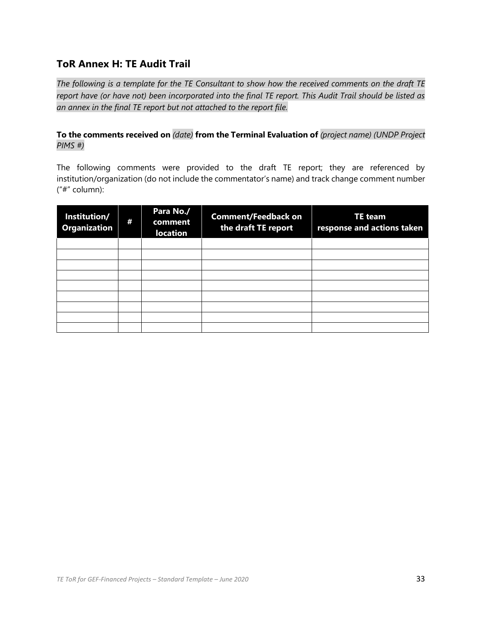#### **ToR Annex H: TE Audit Trail**

*The following is a template for the TE Consultant to show how the received comments on the draft TE report have (or have not) been incorporated into the final TE report. This Audit Trail should be listed as an annex in the final TE report but not attached to the report file.* 

#### **To the comments received on** *(date)* **from the Terminal Evaluation of** *(project name) (UNDP Project PIMS #)*

The following comments were provided to the draft TE report; they are referenced by institution/organization (do not include the commentator's name) and track change comment number ("#" column):

| Institution/<br><b>Organization</b> | ₩ | Para No./<br>comment<br><b>location</b> | <b>Comment/Feedback on</b><br>the draft TE report | <b>TE</b> team<br>response and actions taken |
|-------------------------------------|---|-----------------------------------------|---------------------------------------------------|----------------------------------------------|
|                                     |   |                                         |                                                   |                                              |
|                                     |   |                                         |                                                   |                                              |
|                                     |   |                                         |                                                   |                                              |
|                                     |   |                                         |                                                   |                                              |
|                                     |   |                                         |                                                   |                                              |
|                                     |   |                                         |                                                   |                                              |
|                                     |   |                                         |                                                   |                                              |
|                                     |   |                                         |                                                   |                                              |
|                                     |   |                                         |                                                   |                                              |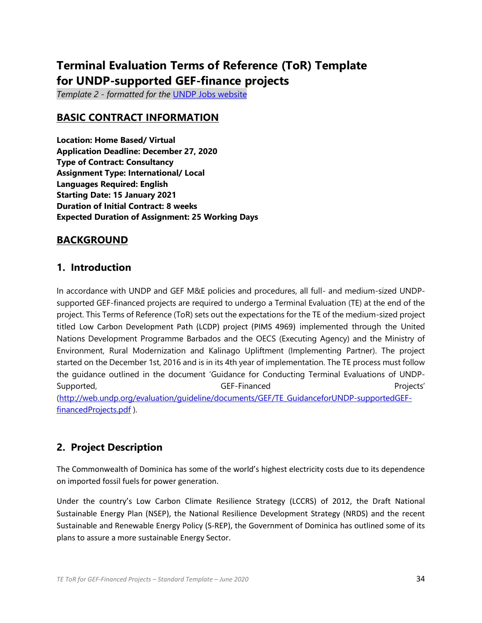# **Terminal Evaluation Terms of Reference (ToR) Template for UNDP-supported GEF-finance projects**

*Template 2 - formatted for the* [UNDP Jobs website](https://jobs.undp.org/cj_view_jobs.cfm)

#### **BASIC CONTRACT INFORMATION**

**Location: Home Based/ Virtual Application Deadline: December 27, 2020 Type of Contract: Consultancy Assignment Type: International/ Local Languages Required: English Starting Date: 15 January 2021 Duration of Initial Contract: 8 weeks Expected Duration of Assignment: 25 Working Days**

#### **BACKGROUND**

#### **1. Introduction**

In accordance with UNDP and GEF M&E policies and procedures, all full- and medium-sized UNDPsupported GEF-financed projects are required to undergo a Terminal Evaluation (TE) at the end of the project. This Terms of Reference (ToR) sets out the expectations for the TE of the medium-sized project titled Low Carbon Development Path (LCDP) project (PIMS 4969) implemented through the United Nations Development Programme Barbados and the OECS (Executing Agency) and the Ministry of Environment, Rural Modernization and Kalinago Upliftment (Implementing Partner). The project started on the December 1st, 2016 and is in its 4th year of implementation. The TE process must follow the guidance outlined in the document 'Guidance for Conducting Terminal Evaluations of UNDP-Supported, GEF-Financed Projects' [\(http://web.undp.org/evaluation/guideline/documents/GEF/TE\\_GuidanceforUNDP-supportedGEF](http://web.undp.org/evaluation/guideline/documents/GEF/TE_GuidanceforUNDP-supportedGEF-financedProjects.pdf)[financedProjects.pdf](http://web.undp.org/evaluation/guideline/documents/GEF/TE_GuidanceforUNDP-supportedGEF-financedProjects.pdf) ).

#### **2. Project Description**

The Commonwealth of Dominica has some of the world's highest electricity costs due to its dependence on imported fossil fuels for power generation.

Under the country's Low Carbon Climate Resilience Strategy (LCCRS) of 2012, the Draft National Sustainable Energy Plan (NSEP), the National Resilience Development Strategy (NRDS) and the recent Sustainable and Renewable Energy Policy (S-REP), the Government of Dominica has outlined some of its plans to assure a more sustainable Energy Sector.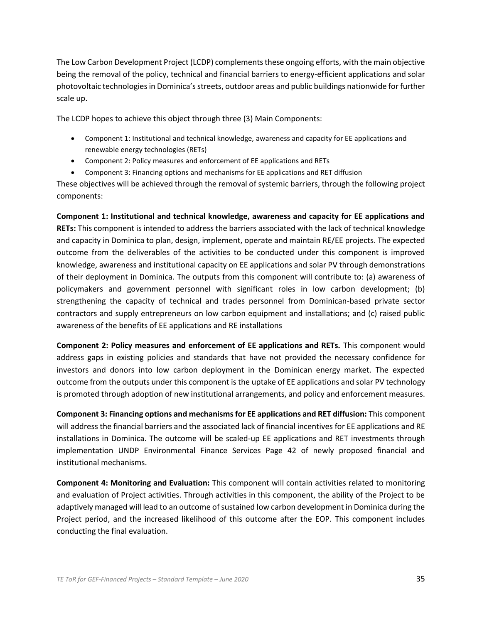The Low Carbon Development Project (LCDP) complements these ongoing efforts, with the main objective being the removal of the policy, technical and financial barriers to energy-efficient applications and solar photovoltaic technologies in Dominica's streets, outdoor areas and public buildings nationwide for further scale up.

The LCDP hopes to achieve this object through three (3) Main Components:

- Component 1: Institutional and technical knowledge, awareness and capacity for EE applications and renewable energy technologies (RETs)
- Component 2: Policy measures and enforcement of EE applications and RETs
- Component 3: Financing options and mechanisms for EE applications and RET diffusion

These objectives will be achieved through the removal of systemic barriers, through the following project components:

**Component 1: Institutional and technical knowledge, awareness and capacity for EE applications and RETs:** This component is intended to address the barriers associated with the lack of technical knowledge and capacity in Dominica to plan, design, implement, operate and maintain RE/EE projects. The expected outcome from the deliverables of the activities to be conducted under this component is improved knowledge, awareness and institutional capacity on EE applications and solar PV through demonstrations of their deployment in Dominica. The outputs from this component will contribute to: (a) awareness of policymakers and government personnel with significant roles in low carbon development; (b) strengthening the capacity of technical and trades personnel from Dominican-based private sector contractors and supply entrepreneurs on low carbon equipment and installations; and (c) raised public awareness of the benefits of EE applications and RE installations

**Component 2: Policy measures and enforcement of EE applications and RETs.** This component would address gaps in existing policies and standards that have not provided the necessary confidence for investors and donors into low carbon deployment in the Dominican energy market. The expected outcome from the outputs under this component is the uptake of EE applications and solar PV technology is promoted through adoption of new institutional arrangements, and policy and enforcement measures.

**Component 3: Financing options and mechanisms for EE applications and RET diffusion:** This component will address the financial barriers and the associated lack of financial incentives for EE applications and RE installations in Dominica. The outcome will be scaled-up EE applications and RET investments through implementation UNDP Environmental Finance Services Page 42 of newly proposed financial and institutional mechanisms.

**Component 4: Monitoring and Evaluation:** This component will contain activities related to monitoring and evaluation of Project activities. Through activities in this component, the ability of the Project to be adaptively managed will lead to an outcome of sustained low carbon development in Dominica during the Project period, and the increased likelihood of this outcome after the EOP. This component includes conducting the final evaluation.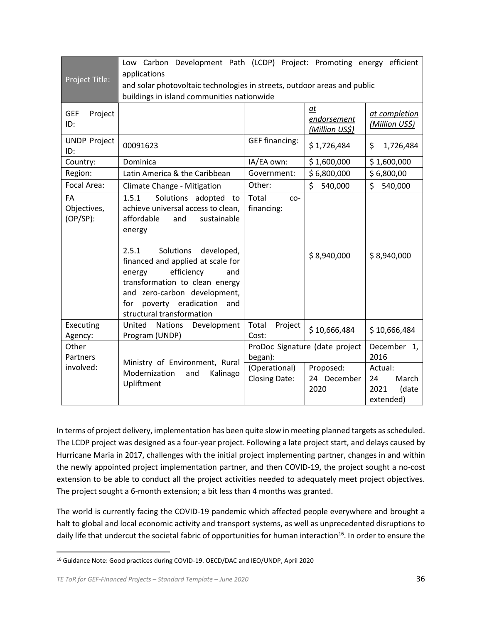| Project Title:                   | Low Carbon Development Path (LCDP) Project: Promoting energy efficient<br>applications<br>and solar photovoltaic technologies in streets, outdoor areas and public<br>buildings in island communities nationwide                                                                                                                                              |                                       |                                     |                                                      |
|----------------------------------|---------------------------------------------------------------------------------------------------------------------------------------------------------------------------------------------------------------------------------------------------------------------------------------------------------------------------------------------------------------|---------------------------------------|-------------------------------------|------------------------------------------------------|
| <b>GEF</b><br>Project<br>ID:     |                                                                                                                                                                                                                                                                                                                                                               |                                       | at<br>endorsement<br>(Million US\$) | at completion<br>(Million US\$)                      |
| <b>UNDP Project</b><br>ID:       | 00091623                                                                                                                                                                                                                                                                                                                                                      | <b>GEF financing:</b>                 | \$1,726,484                         | \$<br>1,726,484                                      |
| Country:                         | Dominica                                                                                                                                                                                                                                                                                                                                                      | IA/EA own:                            | \$1,600,000                         | \$1,600,000                                          |
| Region:                          | Latin America & the Caribbean                                                                                                                                                                                                                                                                                                                                 | Government:                           | \$6,800,000                         | \$6,800,00                                           |
| Focal Area:                      | Climate Change - Mitigation                                                                                                                                                                                                                                                                                                                                   | Other:                                | \$<br>540,000                       | \$<br>540,000                                        |
| FA<br>Objectives,<br>$(OP/SP)$ : | Solutions adopted to<br>1.5.1<br>achieve universal access to clean,<br>affordable<br>and<br>sustainable<br>energy<br>2.5.1<br>Solutions<br>developed,<br>financed and applied at scale for<br>efficiency<br>and<br>energy<br>transformation to clean energy<br>and zero-carbon development,<br>poverty eradication<br>for<br>and<br>structural transformation | Total<br>$CO-$<br>financing:          | \$8,940,000                         | \$8,940,000                                          |
| Executing<br>Agency:             | United<br><b>Nations</b><br>Development<br>Program (UNDP)                                                                                                                                                                                                                                                                                                     | Total<br>Project<br>Cost:             | \$10,666,484                        | \$10,666,484                                         |
| Other<br>Partners                |                                                                                                                                                                                                                                                                                                                                                               | began):                               | ProDoc Signature (date project      | December 1,<br>2016                                  |
| involved:                        | Ministry of Environment, Rural<br>Modernization<br>Kalinago<br>and<br>Upliftment                                                                                                                                                                                                                                                                              | (Operational)<br><b>Closing Date:</b> | Proposed:<br>24 December<br>2020    | Actual:<br>March<br>24<br>2021<br>(date<br>extended) |

In terms of project delivery, implementation has been quite slow in meeting planned targets as scheduled. The LCDP project was designed as a four-year project. Following a late project start, and delays caused by Hurricane Maria in 2017, challenges with the initial project implementing partner, changes in and within the newly appointed project implementation partner, and then COVID-19, the project sought a no-cost extension to be able to conduct all the project activities needed to adequately meet project objectives. The project sought a 6-month extension; a bit less than 4 months was granted.

The world is currently facing the COVID-19 pandemic which affected people everywhere and brought a halt to global and local economic activity and transport systems, as well as unprecedented disruptions to daily life that undercut the societal fabric of opportunities for human interaction<sup>16</sup>. In order to ensure the

<sup>16</sup> Guidance Note: Good practices during COVID-19. OECD/DAC and IEO/UNDP, April 2020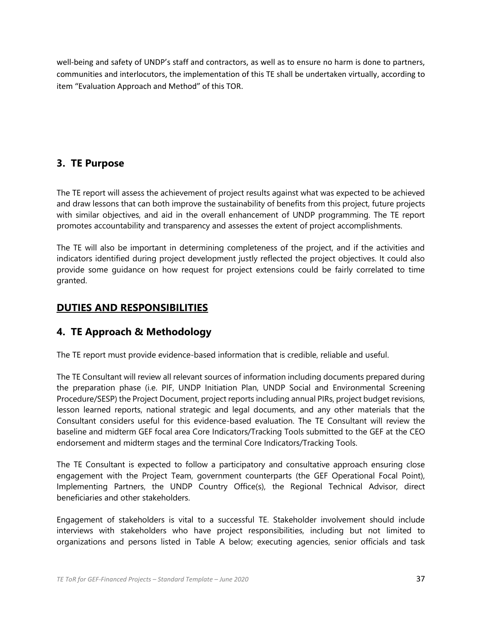well-being and safety of UNDP's staff and contractors, as well as to ensure no harm is done to partners, communities and interlocutors, the implementation of this TE shall be undertaken virtually, according to item "Evaluation Approach and Method" of this TOR.

#### **3. TE Purpose**

The TE report will assess the achievement of project results against what was expected to be achieved and draw lessons that can both improve the sustainability of benefits from this project, future projects with similar objectives, and aid in the overall enhancement of UNDP programming. The TE report promotes accountability and transparency and assesses the extent of project accomplishments.

The TE will also be important in determining completeness of the project, and if the activities and indicators identified during project development justly reflected the project objectives. It could also provide some guidance on how request for project extensions could be fairly correlated to time granted.

### **DUTIES AND RESPONSIBILITIES**

#### **4. TE Approach & Methodology**

The TE report must provide evidence-based information that is credible, reliable and useful.

The TE Consultant will review all relevant sources of information including documents prepared during the preparation phase (i.e. PIF, UNDP Initiation Plan, UNDP Social and Environmental Screening Procedure/SESP) the Project Document, project reports including annual PIRs, project budget revisions, lesson learned reports, national strategic and legal documents, and any other materials that the Consultant considers useful for this evidence-based evaluation. The TE Consultant will review the baseline and midterm GEF focal area Core Indicators/Tracking Tools submitted to the GEF at the CEO endorsement and midterm stages and the terminal Core Indicators/Tracking Tools.

The TE Consultant is expected to follow a participatory and consultative approach ensuring close engagement with the Project Team, government counterparts (the GEF Operational Focal Point), Implementing Partners, the UNDP Country Office(s), the Regional Technical Advisor, direct beneficiaries and other stakeholders.

Engagement of stakeholders is vital to a successful TE. Stakeholder involvement should include interviews with stakeholders who have project responsibilities, including but not limited to organizations and persons listed in Table A below; executing agencies, senior officials and task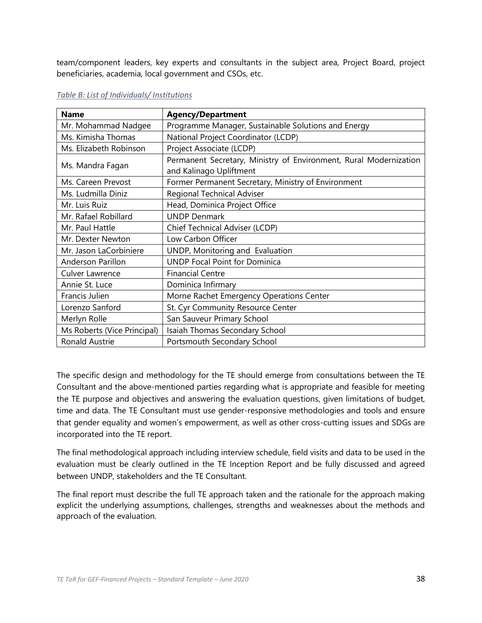team/component leaders, key experts and consultants in the subject area, Project Board, project beneficiaries, academia, local government and CSOs, etc.

| <b>Name</b>                 | <b>Agency/Department</b>                                          |
|-----------------------------|-------------------------------------------------------------------|
| Mr. Mohammad Nadgee         | Programme Manager, Sustainable Solutions and Energy               |
| Ms. Kimisha Thomas          | National Project Coordinator (LCDP)                               |
| Ms. Elizabeth Robinson      | Project Associate (LCDP)                                          |
|                             | Permanent Secretary, Ministry of Environment, Rural Modernization |
| Ms. Mandra Fagan            | and Kalinago Upliftment                                           |
| Ms. Careen Prevost          | Former Permanent Secretary, Ministry of Environment               |
| Ms. Ludmilla Diniz          | <b>Regional Technical Adviser</b>                                 |
| Mr. Luis Ruiz               | Head, Dominica Project Office                                     |
| Mr. Rafael Robillard        | <b>UNDP Denmark</b>                                               |
| Mr. Paul Hattle             | Chief Technical Adviser (LCDP)                                    |
| Mr. Dexter Newton           | Low Carbon Officer                                                |
| Mr. Jason LaCorbiniere      | UNDP, Monitoring and Evaluation                                   |
| Anderson Parillon           | <b>UNDP Focal Point for Dominica</b>                              |
| Culver Lawrence             | <b>Financial Centre</b>                                           |
| Annie St. Luce              | Dominica Infirmary                                                |
| Francis Julien              | Morne Rachet Emergency Operations Center                          |
| Lorenzo Sanford             | St. Cyr Community Resource Center                                 |
| Merlyn Rolle                | San Sauveur Primary School                                        |
| Ms Roberts (Vice Principal) | Isaiah Thomas Secondary School                                    |
| <b>Ronald Austrie</b>       | Portsmouth Secondary School                                       |

#### *Table B: List of Individuals/ Institutions*

The specific design and methodology for the TE should emerge from consultations between the TE Consultant and the above-mentioned parties regarding what is appropriate and feasible for meeting the TE purpose and objectives and answering the evaluation questions, given limitations of budget, time and data. The TE Consultant must use gender-responsive methodologies and tools and ensure that gender equality and women's empowerment, as well as other cross-cutting issues and SDGs are incorporated into the TE report.

The final methodological approach including interview schedule, field visits and data to be used in the evaluation must be clearly outlined in the TE Inception Report and be fully discussed and agreed between UNDP, stakeholders and the TE Consultant.

The final report must describe the full TE approach taken and the rationale for the approach making explicit the underlying assumptions, challenges, strengths and weaknesses about the methods and approach of the evaluation.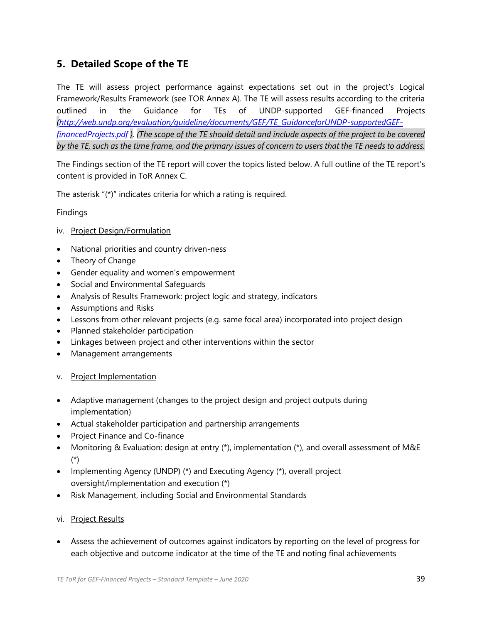### **5. Detailed Scope of the TE**

The TE will assess project performance against expectations set out in the project's Logical Framework/Results Framework (see TOR Annex A). The TE will assess results according to the criteria outlined in the Guidance for TEs of UNDP-supported GEF-financed Projects *[\(http://web.undp.org/evaluation/guideline/documents/GEF/TE\\_GuidanceforUNDP-supportedGEF](http://web.undp.org/evaluation/guideline/documents/GEF/TE_GuidanceforUNDP-supportedGEF-financedProjects.pdf)[financedProjects.pdf](http://web.undp.org/evaluation/guideline/documents/GEF/TE_GuidanceforUNDP-supportedGEF-financedProjects.pdf) )*. *(The scope of the TE should detail and include aspects of the project to be covered by the TE, such as the time frame, and the primary issues of concern to users that the TE needs to address.*

The Findings section of the TE report will cover the topics listed below. A full outline of the TE report's content is provided in ToR Annex C.

The asterisk "(\*)" indicates criteria for which a rating is required.

#### Findings

- iv. Project Design/Formulation
- National priorities and country driven-ness
- Theory of Change
- Gender equality and women's empowerment
- Social and Environmental Safeguards
- Analysis of Results Framework: project logic and strategy, indicators
- Assumptions and Risks
- Lessons from other relevant projects (e.g. same focal area) incorporated into project design
- Planned stakeholder participation
- Linkages between project and other interventions within the sector
- Management arrangements
- v. Project Implementation
- Adaptive management (changes to the project design and project outputs during implementation)
- Actual stakeholder participation and partnership arrangements
- Project Finance and Co-finance
- Monitoring & Evaluation: design at entry (\*), implementation (\*), and overall assessment of M&E (\*)
- Implementing Agency (UNDP) (\*) and Executing Agency (\*), overall project oversight/implementation and execution (\*)
- Risk Management, including Social and Environmental Standards
- vi. Project Results
- Assess the achievement of outcomes against indicators by reporting on the level of progress for each objective and outcome indicator at the time of the TE and noting final achievements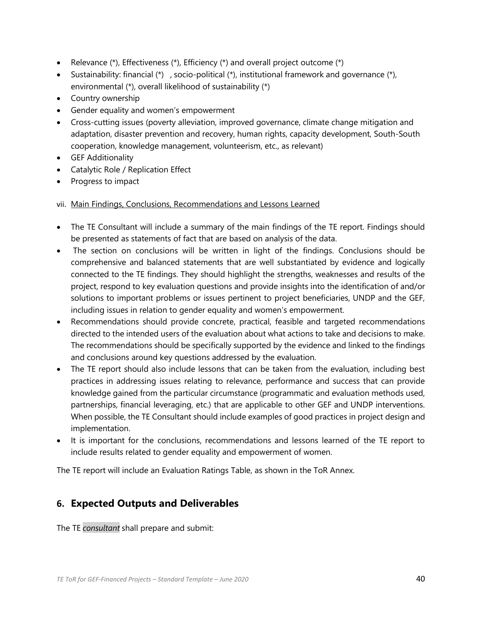- Relevance (\*), Effectiveness (\*), Efficiency (\*) and overall project outcome (\*)
- Sustainability: financial (\*) , socio-political (\*), institutional framework and governance (\*), environmental (\*), overall likelihood of sustainability (\*)
- Country ownership
- Gender equality and women's empowerment
- Cross-cutting issues (poverty alleviation, improved governance, climate change mitigation and adaptation, disaster prevention and recovery, human rights, capacity development, South-South cooperation, knowledge management, volunteerism, etc., as relevant)
- GEF Additionality
- Catalytic Role / Replication Effect
- Progress to impact

vii. Main Findings, Conclusions, Recommendations and Lessons Learned

- The TE Consultant will include a summary of the main findings of the TE report. Findings should be presented as statements of fact that are based on analysis of the data.
- The section on conclusions will be written in light of the findings. Conclusions should be comprehensive and balanced statements that are well substantiated by evidence and logically connected to the TE findings. They should highlight the strengths, weaknesses and results of the project, respond to key evaluation questions and provide insights into the identification of and/or solutions to important problems or issues pertinent to project beneficiaries, UNDP and the GEF, including issues in relation to gender equality and women's empowerment.
- Recommendations should provide concrete, practical, feasible and targeted recommendations directed to the intended users of the evaluation about what actions to take and decisions to make. The recommendations should be specifically supported by the evidence and linked to the findings and conclusions around key questions addressed by the evaluation.
- The TE report should also include lessons that can be taken from the evaluation, including best practices in addressing issues relating to relevance, performance and success that can provide knowledge gained from the particular circumstance (programmatic and evaluation methods used, partnerships, financial leveraging, etc.) that are applicable to other GEF and UNDP interventions. When possible, the TE Consultant should include examples of good practices in project design and implementation.
- It is important for the conclusions, recommendations and lessons learned of the TE report to include results related to gender equality and empowerment of women.

The TE report will include an Evaluation Ratings Table, as shown in the ToR Annex.

#### **6. Expected Outputs and Deliverables**

The TE *consultant* shall prepare and submit: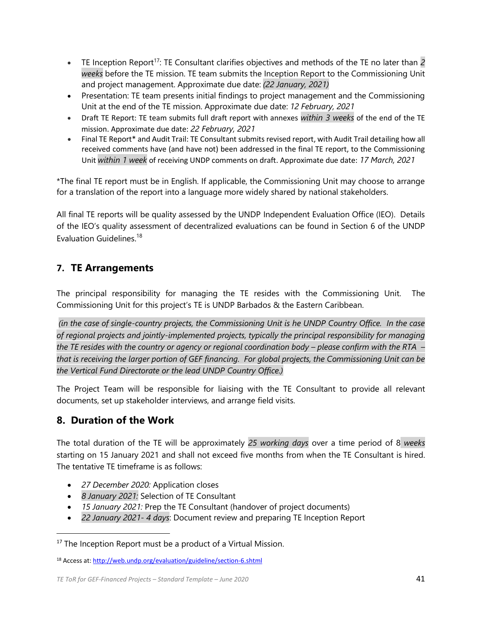- TE Inception Report<sup>17</sup>: TE Consultant clarifies objectives and methods of the TE no later than 2 *weeks* before the TE mission. TE team submits the Inception Report to the Commissioning Unit and project management. Approximate due date: *(22 January, 2021)*
- Presentation: TE team presents initial findings to project management and the Commissioning Unit at the end of the TE mission. Approximate due date: *12 February, 2021*
- Draft TE Report: TE team submits full draft report with annexes *within 3 weeks* of the end of the TE mission. Approximate due date: *22 February, 2021*
- Final TE Report\* and Audit Trail: TE Consultant submits revised report, with Audit Trail detailing how all received comments have (and have not) been addressed in the final TE report, to the Commissioning Unit *within 1 week* of receiving UNDP comments on draft. Approximate due date: *17 March, 2021*

\*The final TE report must be in English. If applicable, the Commissioning Unit may choose to arrange for a translation of the report into a language more widely shared by national stakeholders.

All final TE reports will be quality assessed by the UNDP Independent Evaluation Office (IEO). Details of the IEO's quality assessment of decentralized evaluations can be found in Section 6 of the UNDP Evaluation Guidelines.<sup>18</sup>

## **7. TE Arrangements**

The principal responsibility for managing the TE resides with the Commissioning Unit. The Commissioning Unit for this project's TE is UNDP Barbados & the Eastern Caribbean.

*(in the case of single-country projects, the Commissioning Unit is he UNDP Country Office. In the case of regional projects and jointly-implemented projects, typically the principal responsibility for managing the TE resides with the country or agency or regional coordination body – please confirm with the RTA – that is receiving the larger portion of GEF financing. For global projects, the Commissioning Unit can be the Vertical Fund Directorate or the lead UNDP Country Office.)*

The Project Team will be responsible for liaising with the TE Consultant to provide all relevant documents, set up stakeholder interviews, and arrange field visits.

## **8. Duration of the Work**

The total duration of the TE will be approximately *25 working days* over a time period of 8 *weeks* starting on 15 January 2021 and shall not exceed five months from when the TE Consultant is hired. The tentative TE timeframe is as follows:

- *27 December 2020:* Application closes
- *8 January 2021:* Selection of TE Consultant
- *15 January 2021:* Prep the TE Consultant (handover of project documents)
- *22 January 2021- 4 days*: Document review and preparing TE Inception Report

<sup>&</sup>lt;sup>17</sup> The Inception Report must be a product of a Virtual Mission.

<sup>18</sup> Access at[: http://web.undp.org/evaluation/guideline/section-6.shtml](http://web.undp.org/evaluation/guideline/section-6.shtml)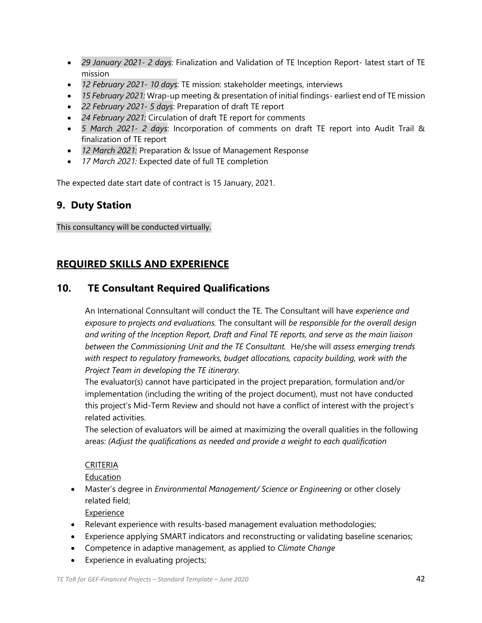- *29 January 2021- 2 days*: Finalization and Validation of TE Inception Report- latest start of TE mission
- *12 February 2021- 10 days*: TE mission: stakeholder meetings, interviews
- *15 February 2021:* Wrap-up meeting & presentation of initial findings- earliest end of TE mission
- *22 February 2021- 5 days*: Preparation of draft TE report
- *24 February 2021:* Circulation of draft TE report for comments
- *5 March 2021- 2 days*: Incorporation of comments on draft TE report into Audit Trail & finalization of TE report
- *12 March 2021:* Preparation & Issue of Management Response
- *17 March 2021:* Expected date of full TE completion

The expected date start date of contract is 15 January, 2021.

### **9. Duty Station**

This consultancy will be conducted virtually.

### **REQUIRED SKILLS AND EXPERIENCE**

### **10. TE Consultant Required Qualifications**

An International Connsultant will conduct the TE. The Consultant will have *experience and exposure to projects and evaluations.* The consultant will *be responsible for the overall design and writing of the Inception Report, Draft and Final TE reports, and serve as the main liaison between the Commissioning Unit and the TE Consultant.* He/she will *assess emerging trends with respect to regulatory frameworks, budget allocations, capacity building, work with the Project Team in developing the TE itinerary.*

The evaluator(s) cannot have participated in the project preparation, formulation and/or implementation (including the writing of the project document), must not have conducted this project's Mid-Term Review and should not have a conflict of interest with the project's related activities.

The selection of evaluators will be aimed at maximizing the overall qualities in the following areas: *(Adjust the qualifications as needed and provide a weight to each qualification*

#### CRITERIA

Education

• Master's degree in *Environmental Management/ Science or Engineering* or other closely related field;

Experience

- Relevant experience with results-based management evaluation methodologies;
- Experience applying SMART indicators and reconstructing or validating baseline scenarios;
- Competence in adaptive management, as applied to *Climate Change*
- Experience in evaluating projects;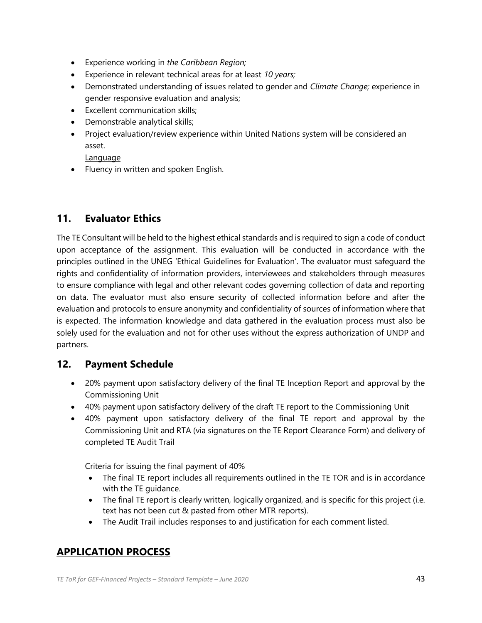- Experience working in *the Caribbean Region;*
- Experience in relevant technical areas for at least *10 years;*
- Demonstrated understanding of issues related to gender and *Climate Change;* experience in gender responsive evaluation and analysis;
- Excellent communication skills;
- Demonstrable analytical skills;
- Project evaluation/review experience within United Nations system will be considered an asset.

Language

• Fluency in written and spoken English.

#### **11. Evaluator Ethics**

The TE Consultant will be held to the highest ethical standards and is required to sign a code of conduct upon acceptance of the assignment. This evaluation will be conducted in accordance with the principles outlined in the UNEG 'Ethical Guidelines for Evaluation'. The evaluator must safeguard the rights and confidentiality of information providers, interviewees and stakeholders through measures to ensure compliance with legal and other relevant codes governing collection of data and reporting on data. The evaluator must also ensure security of collected information before and after the evaluation and protocols to ensure anonymity and confidentiality of sources of information where that is expected. The information knowledge and data gathered in the evaluation process must also be solely used for the evaluation and not for other uses without the express authorization of UNDP and partners.

#### **12. Payment Schedule**

- 20% payment upon satisfactory delivery of the final TE Inception Report and approval by the Commissioning Unit
- 40% payment upon satisfactory delivery of the draft TE report to the Commissioning Unit
- 40% payment upon satisfactory delivery of the final TE report and approval by the Commissioning Unit and RTA (via signatures on the TE Report Clearance Form) and delivery of completed TE Audit Trail

Criteria for issuing the final payment of 40%

- The final TE report includes all requirements outlined in the TE TOR and is in accordance with the TE guidance.
- The final TE report is clearly written, logically organized, and is specific for this project (i.e. text has not been cut & pasted from other MTR reports).
- The Audit Trail includes responses to and justification for each comment listed.

#### **APPLICATION PROCESS**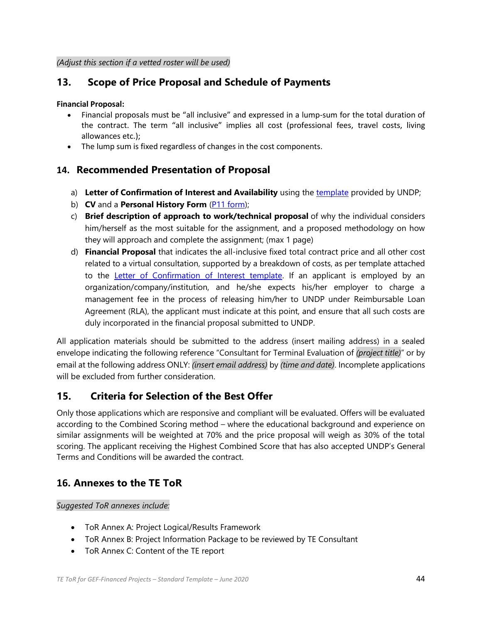### **13. Scope of Price Proposal and Schedule of Payments**

#### **Financial Proposal:**

- Financial proposals must be "all inclusive" and expressed in a lump-sum for the total duration of the contract. The term "all inclusive" implies all cost (professional fees, travel costs, living allowances etc.);
- The lump sum is fixed regardless of changes in the cost components.

#### **14. Recommended Presentation of Proposal**

- a) **Letter of Confirmation of Interest and Availability** using th[e template](https://intranet.undp.org/unit/bom/pso/Support%20documents%20on%20IC%20Guidelines/Template%20for%20Confirmation%20of%20Interest%20and%20Submission%20of%20Financial%20Proposal.docx) provided by UNDP;
- b) **CV** and a **Personal History Form** [\(P11 form\)](http://www.undp.org/content/dam/undp/library/corporate/Careers/P11_Personal_history_form.doc);
- c) **Brief description of approach to work/technical proposal** of why the individual considers him/herself as the most suitable for the assignment, and a proposed methodology on how they will approach and complete the assignment; (max 1 page)
- d) **Financial Proposal** that indicates the all-inclusive fixed total contract price and all other cost related to a virtual consultation, supported by a breakdown of costs, as per template attached to the [Letter of Confirmation of Interest template.](https://popp.undp.org/_layouts/15/WopiFrame.aspx?sourcedoc=/UNDP_POPP_DOCUMENT_LIBRARY/Public/PSU_%20Individual%20Contract_Offerors%20Letter%20to%20UNDP%20Confirming%20Interest%20and%20Availability.docx&action=default) If an applicant is employed by an organization/company/institution, and he/she expects his/her employer to charge a management fee in the process of releasing him/her to UNDP under Reimbursable Loan Agreement (RLA), the applicant must indicate at this point, and ensure that all such costs are duly incorporated in the financial proposal submitted to UNDP.

All application materials should be submitted to the address (insert mailing address) in a sealed envelope indicating the following reference "Consultant for Terminal Evaluation of *(project title)*" or by email at the following address ONLY: *(insert email address)* by *(time and date)*. Incomplete applications will be excluded from further consideration

#### **15. Criteria for Selection of the Best Offer**

Only those applications which are responsive and compliant will be evaluated. Offers will be evaluated according to the Combined Scoring method – where the educational background and experience on similar assignments will be weighted at 70% and the price proposal will weigh as 30% of the total scoring. The applicant receiving the Highest Combined Score that has also accepted UNDP's General Terms and Conditions will be awarded the contract.

#### **16. Annexes to the TE ToR**

#### *Suggested ToR annexes include:*

- ToR Annex A: Project Logical/Results Framework
- ToR Annex B: Project Information Package to be reviewed by TE Consultant
- ToR Annex C: Content of the TE report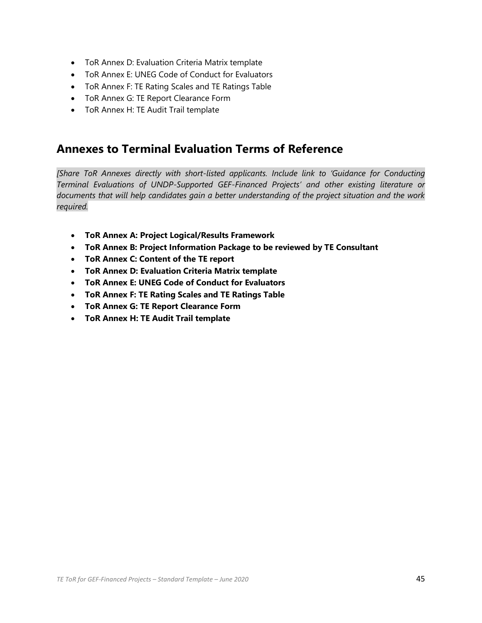- ToR Annex D: Evaluation Criteria Matrix template
- ToR Annex E: UNEG Code of Conduct for Evaluators
- ToR Annex F: TE Rating Scales and TE Ratings Table
- ToR Annex G: TE Report Clearance Form
- ToR Annex H: TE Audit Trail template

## **Annexes to Terminal Evaluation Terms of Reference**

*[Share ToR Annexes directly with short-listed applicants. Include link to 'Guidance for Conducting Terminal Evaluations of UNDP-Supported GEF-Financed Projects' and other existing literature or documents that will help candidates gain a better understanding of the project situation and the work required.*

- **ToR Annex A: Project Logical/Results Framework**
- **ToR Annex B: Project Information Package to be reviewed by TE Consultant**
- **ToR Annex C: Content of the TE report**
- **ToR Annex D: Evaluation Criteria Matrix template**
- **ToR Annex E: UNEG Code of Conduct for Evaluators**
- **ToR Annex F: TE Rating Scales and TE Ratings Table**
- **ToR Annex G: TE Report Clearance Form**
- **ToR Annex H: TE Audit Trail template**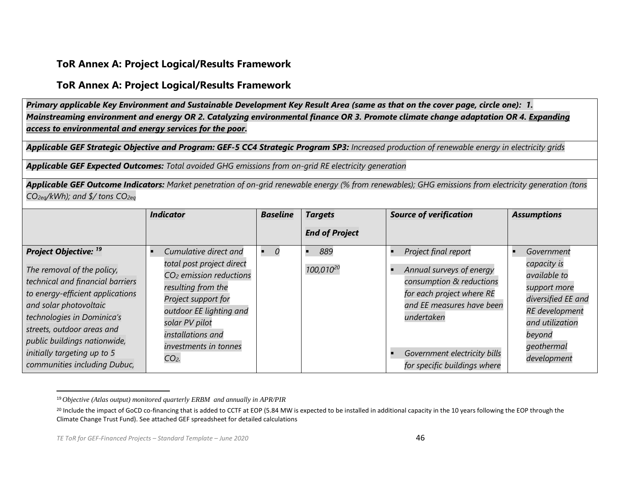#### **ToR Annex A: Project Logical/Results Framework**

#### **ToR Annex A: Project Logical/Results Framework**

*Primary applicable Key Environment and Sustainable Development Key Result Area (same as that on the cover page, circle one): 1. Mainstreaming environment and energy OR 2. Catalyzing environmental finance OR 3. Promote climate change adaptation OR 4. Expanding access to environmental and energy services for the poor.*

*Applicable GEF Strategic Objective and Program: GEF-5 CC4 Strategic Program SP3: Increased production of renewable energy in electricity grids*

*Applicable GEF Expected Outcomes: Total avoided GHG emissions from on-grid RE electricity generation*

*Applicable GEF Outcome Indicators: Market penetration of on-grid renewable energy (% from renewables); GHG emissions from electricity generation (tons CO2eq/kWh); and \$/ tons CO2eq*

|                                                                                                                                                                                                                                                                                                                                    | <b>Indicator</b>                                                                                                                                                                                                                             | <b>Baseline</b> | <b>Targets</b>               | <b>Source of verification</b>                                                                                                                                                                                        | <b>Assumptions</b>                                                                                                                                                        |
|------------------------------------------------------------------------------------------------------------------------------------------------------------------------------------------------------------------------------------------------------------------------------------------------------------------------------------|----------------------------------------------------------------------------------------------------------------------------------------------------------------------------------------------------------------------------------------------|-----------------|------------------------------|----------------------------------------------------------------------------------------------------------------------------------------------------------------------------------------------------------------------|---------------------------------------------------------------------------------------------------------------------------------------------------------------------------|
|                                                                                                                                                                                                                                                                                                                                    |                                                                                                                                                                                                                                              |                 | <b>End of Project</b>        |                                                                                                                                                                                                                      |                                                                                                                                                                           |
| <b>Project Objective: <sup>19</sup></b><br>The removal of the policy,<br>technical and financial barriers<br>to energy-efficient applications<br>and solar photovoltaic<br>technologies in Dominica's<br>streets, outdoor areas and<br>public buildings nationwide,<br>initially targeting up to 5<br>communities including Dubuc, | Cumulative direct and<br>total post project direct<br>CO <sub>2</sub> emission reductions<br>resulting from the<br>Project support for<br>outdoor EE lighting and<br>solar PV pilot<br>installations and<br>investments in tonnes<br>$CO2$ . |                 | 889<br>100,010 <sup>20</sup> | Project final report<br>Annual surveys of energy<br>consumption & reductions<br>for each project where RE<br>and EE measures have been<br>undertaken<br>Government electricity bills<br>for specific buildings where | Government<br>capacity is<br><i>available to</i><br>support more<br>diversified EE and<br><b>RE</b> development<br>and utilization<br>beyond<br>geothermal<br>development |

<sup>19</sup> *Objective (Atlas output) monitored quarterly ERBM and annually in APR/PIR*

<sup>&</sup>lt;sup>20</sup> Include the impact of GoCD co-financing that is added to CCTF at EOP (5.84 MW is expected to be installed in additional capacity in the 10 years following the EOP through the Climate Change Trust Fund). See attached GEF spreadsheet for detailed calculations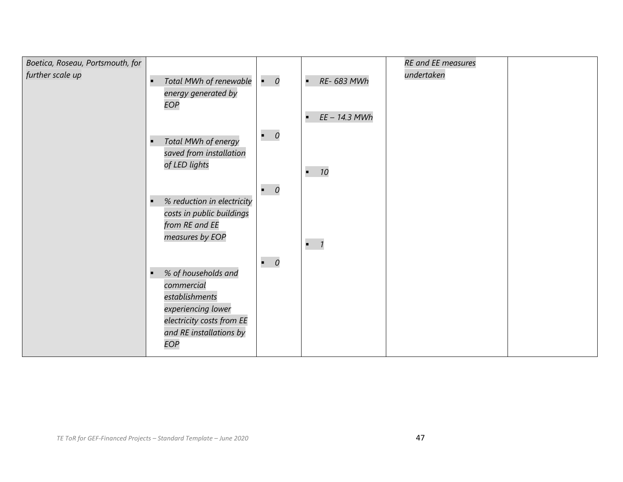| Boetica, Roseau, Portsmouth, for |                             |             |                      | <b>RE</b> and EE measures |  |
|----------------------------------|-----------------------------|-------------|----------------------|---------------------------|--|
| further scale up                 | Total MWh of renewable<br>п | $\bullet$ 0 | RE- 683 MWh<br>п     | undertaken                |  |
|                                  | energy generated by         |             |                      |                           |  |
|                                  | EOP                         |             |                      |                           |  |
|                                  |                             |             | EE - 14.3 MWh        |                           |  |
|                                  |                             |             |                      |                           |  |
|                                  | Total MWh of energy<br>E    | $\bullet$ 0 |                      |                           |  |
|                                  | saved from installation     |             |                      |                           |  |
|                                  | of LED lights               |             |                      |                           |  |
|                                  |                             |             | 10<br>$\blacksquare$ |                           |  |
|                                  |                             | $\bullet$ 0 |                      |                           |  |
|                                  | % reduction in electricity  |             |                      |                           |  |
|                                  | costs in public buildings   |             |                      |                           |  |
|                                  | from RE and EE              |             |                      |                           |  |
|                                  | measures by EOP             |             |                      |                           |  |
|                                  |                             |             | $-1$                 |                           |  |
|                                  |                             | $\bullet$ 0 |                      |                           |  |
|                                  | % of households and         |             |                      |                           |  |
|                                  | commercial                  |             |                      |                           |  |
|                                  | establishments              |             |                      |                           |  |
|                                  | experiencing lower          |             |                      |                           |  |
|                                  | electricity costs from EE   |             |                      |                           |  |
|                                  | and RE installations by     |             |                      |                           |  |
|                                  | EOP                         |             |                      |                           |  |
|                                  |                             |             |                      |                           |  |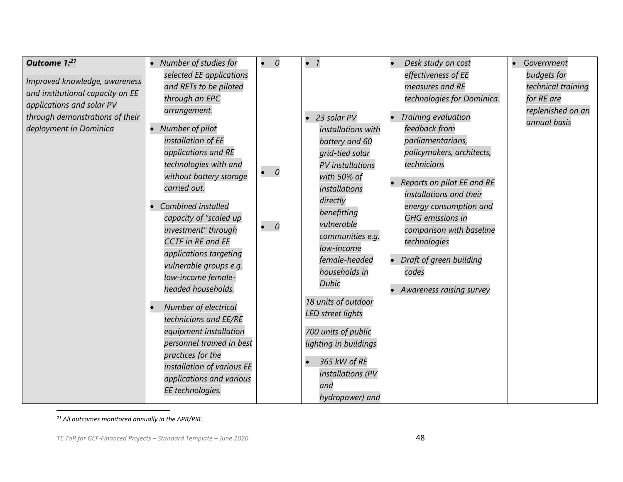| Outcome 1:21<br>Improved knowledge, awareness<br>and institutional capacity on EE<br>applications and solar PV<br>through demonstrations of their<br>deployment in Dominica | • Number of studies for<br>selected EE applications<br>and RETs to be piloted<br>through an EPC<br>arrangement.<br>• Number of pilot<br>installation of EE<br>applications and RE<br>technologies with and<br>without battery storage<br>carried out.<br>Combined installed<br>capacity of "scaled up<br>investment" through<br><b>CCTF</b> in RE and EE<br>applications targeting<br>vulnerable groups e.g.<br>low-income female-<br>headed households.<br>Number of electrical<br>technicians and EE/RE | $\boldsymbol{0}$<br>$\bullet$<br>$\bullet$ 0<br>$\overline{\phantom{a}}$<br>$\bullet$ | $\bullet$ 1<br>• 23 solar PV<br>installations with<br>battery and 60<br>grid-tied solar<br><b>PV</b> installations<br>with 50% of<br>installations<br>directly<br>benefitting<br>vulnerable<br>communities e.g.<br>low-income<br>female-headed<br>households in<br><b>Dubic</b><br>18 units of outdoor<br>LED street lights | Desk study on cost<br>effectiveness of EE<br>measures and RE<br>technologies for Dominica.<br>Training evaluation<br>feedback from<br>parliamentarians,<br>policymakers, architects,<br>technicians<br>Reports on pilot EE and RE<br>installations and their<br>energy consumption and<br><b>GHG</b> emissions in<br>comparison with baseline<br>technologies<br>Draft of green building<br>codes<br>Awareness raising survey | Government<br>$\bullet$<br>budgets for<br>technical training<br>for RE are<br>replenished on an<br>annual basis |
|-----------------------------------------------------------------------------------------------------------------------------------------------------------------------------|-----------------------------------------------------------------------------------------------------------------------------------------------------------------------------------------------------------------------------------------------------------------------------------------------------------------------------------------------------------------------------------------------------------------------------------------------------------------------------------------------------------|---------------------------------------------------------------------------------------|-----------------------------------------------------------------------------------------------------------------------------------------------------------------------------------------------------------------------------------------------------------------------------------------------------------------------------|-------------------------------------------------------------------------------------------------------------------------------------------------------------------------------------------------------------------------------------------------------------------------------------------------------------------------------------------------------------------------------------------------------------------------------|-----------------------------------------------------------------------------------------------------------------|
|                                                                                                                                                                             | equipment installation<br>personnel trained in best<br>practices for the<br>installation of various EE<br>applications and various<br>EE technologies.                                                                                                                                                                                                                                                                                                                                                    |                                                                                       | 700 units of public<br>lighting in buildings<br>365 kW of RE<br>installations (PV<br>and<br>hydropower) and                                                                                                                                                                                                                 |                                                                                                                                                                                                                                                                                                                                                                                                                               |                                                                                                                 |

*<sup>21</sup> All outcomes monitored annually in the APR/PIR.*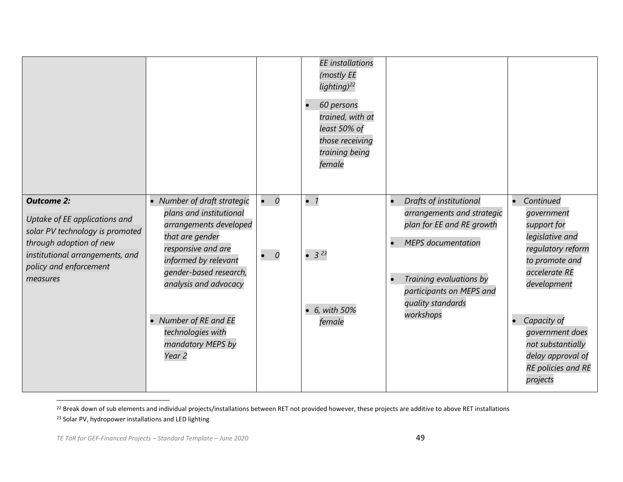|                                                                                                                                                                                           |                                                                                                                                                                                                                                                                                              |                            | <b>EE</b> installations<br>(mostly EE<br>lighting) <sup>22</sup><br>60 persons<br>$\bullet$<br>trained, with at<br>least 50% of<br>those receiving<br>training being<br>female |                                                                                                                                                                                                                       |                                                                                                                                                                                                                                                |
|-------------------------------------------------------------------------------------------------------------------------------------------------------------------------------------------|----------------------------------------------------------------------------------------------------------------------------------------------------------------------------------------------------------------------------------------------------------------------------------------------|----------------------------|--------------------------------------------------------------------------------------------------------------------------------------------------------------------------------|-----------------------------------------------------------------------------------------------------------------------------------------------------------------------------------------------------------------------|------------------------------------------------------------------------------------------------------------------------------------------------------------------------------------------------------------------------------------------------|
| <b>Outcome 2:</b><br>Uptake of EE applications and<br>solar PV technology is promoted<br>through adoption of new<br>institutional arrangements, and<br>policy and enforcement<br>measures | • Number of draft strategic<br>plans and institutional<br>arrangements developed<br>that are gender<br>responsive and are<br>informed by relevant<br>gender-based research,<br>analysis and advocacy<br>• Number of RE and EE<br>technologies with<br>mandatory MEPS by<br>Year <sub>2</sub> | $\bullet$ 0<br>$\bullet$ 0 | $\bullet$ 1<br>$\bullet$ 3 <sup>23</sup><br>$\bullet$ 6, with 50%<br>female                                                                                                    | Drafts of institutional<br>$\bullet$<br>arrangements and strategic<br>plan for EE and RE growth<br><b>MEPS</b> documentation<br>Training evaluations by<br>participants on MEPS and<br>quality standards<br>workshops | Continued<br>government<br>support for<br>legislative and<br>regulatory reform<br>to promote and<br>accelerate RE<br>development<br>Capacity of<br>government does<br>not substantially<br>delay approval of<br>RE policies and RE<br>projects |

<sup>22</sup> Break down of sub elements and individual projects/installations between RET not provided however, these projects are additive to above RET installations <sup>23</sup> Solar PV, hydropower installations and LED lighting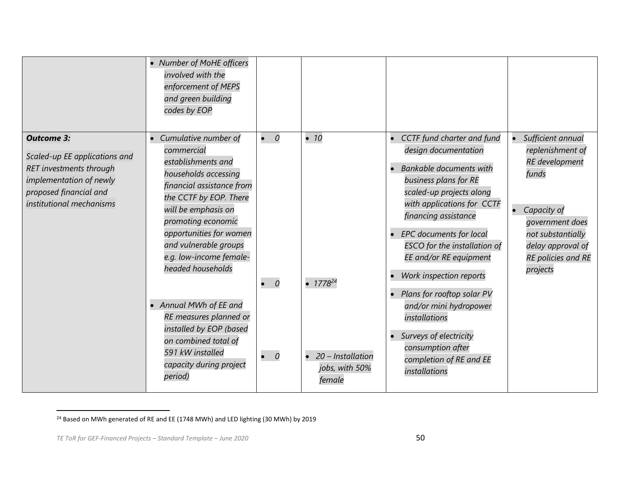|                                                                                                                                                                | • Number of MoHE officers<br>involved with the<br>enforcement of MEPS<br>and green building<br>codes by EOP                                                                                                                                                                                                                                                                                                                                               |                                           |                                                                                  |                                                                                                                                                                                                                                                                                                                                                                                                                                                                                                               |                                                                                                                                                                                                    |
|----------------------------------------------------------------------------------------------------------------------------------------------------------------|-----------------------------------------------------------------------------------------------------------------------------------------------------------------------------------------------------------------------------------------------------------------------------------------------------------------------------------------------------------------------------------------------------------------------------------------------------------|-------------------------------------------|----------------------------------------------------------------------------------|---------------------------------------------------------------------------------------------------------------------------------------------------------------------------------------------------------------------------------------------------------------------------------------------------------------------------------------------------------------------------------------------------------------------------------------------------------------------------------------------------------------|----------------------------------------------------------------------------------------------------------------------------------------------------------------------------------------------------|
| <b>Outcome 3:</b><br>Scaled-up EE applications and<br>RET investments through<br>implementation of newly<br>proposed financial and<br>institutional mechanisms | Cumulative number of<br>commercial<br>establishments and<br>households accessing<br>financial assistance from<br>the CCTF by EOP. There<br>will be emphasis on<br>promoting economic<br>opportunities for women<br>and vulnerable groups<br>e.g. low-income female-<br>headed households<br>• Annual MWh of EE and<br>RE measures planned or<br>installed by EOP (based<br>on combined total of<br>591 kW installed<br>capacity during project<br>period) | $\bullet$ 0<br>$\bullet$ 0<br>$\bullet$ 0 | $\bullet$ 10<br>• $1778^{24}$<br>• 20 - Installation<br>jobs, with 50%<br>female | CCTF fund charter and fund<br>$\bullet$<br>design documentation<br><b>Bankable documents with</b><br>business plans for RE<br>scaled-up projects along<br>with applications for CCTF<br>financing assistance<br>• EPC documents for local<br><b>ESCO</b> for the installation of<br>EE and/or RE equipment<br>Work inspection reports<br>• Plans for rooftop solar PV<br>and/or mini hydropower<br>installations<br>• Surveys of electricity<br>consumption after<br>completion of RE and EE<br>installations | Sufficient annual<br>replenishment of<br><b>RE</b> development<br>funds<br>Capacity of<br>$\bullet$<br>government does<br>not substantially<br>delay approval of<br>RE policies and RE<br>projects |

<sup>24</sup> Based on MWh generated of RE and EE (1748 MWh) and LED lighting (30 MWh) by 2019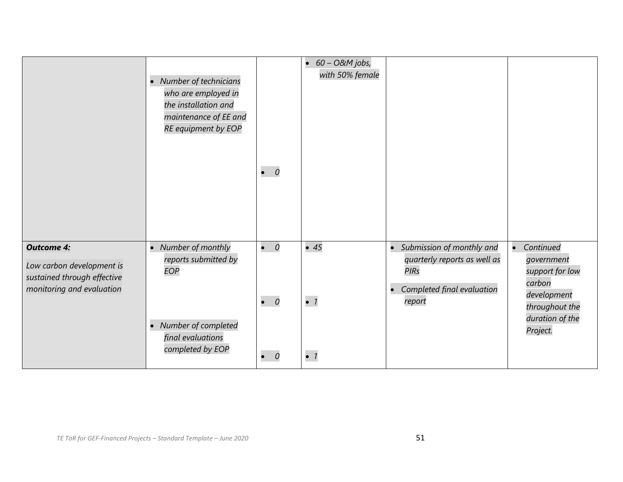|                                                                                                            | • Number of technicians<br>who are employed in<br>the installation and<br>maintenance of EE and<br>RE equipment by EOP | $\bullet$ 0                               | $\bullet$ 60 - O&M jobs,<br>with 50% female |                                                                                                                                 |                                                                                                                      |
|------------------------------------------------------------------------------------------------------------|------------------------------------------------------------------------------------------------------------------------|-------------------------------------------|---------------------------------------------|---------------------------------------------------------------------------------------------------------------------------------|----------------------------------------------------------------------------------------------------------------------|
| <b>Outcome 4:</b><br>Low carbon development is<br>sustained through effective<br>monitoring and evaluation | • Number of monthly<br>reports submitted by<br>EOP<br>• Number of completed<br>final evaluations<br>completed by EOP   | $\bullet$ 0<br>$\bullet$ 0<br>$\bullet$ 0 | $\bullet$ 45<br>$\bullet$ 1<br>$\bullet$ 1  | • Submission of monthly and<br>quarterly reports as well as<br><b>PIRs</b><br>Completed final evaluation<br>$\bullet$<br>report | Continued<br>government<br>support for low<br>carbon<br>development<br>throughout the<br>duration of the<br>Project. |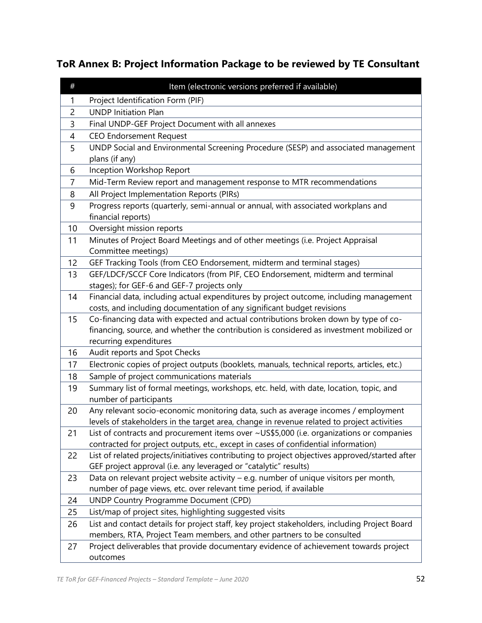# **ToR Annex B: Project Information Package to be reviewed by TE Consultant**

| UNDP Social and Environmental Screening Procedure (SESP) and associated management             |
|------------------------------------------------------------------------------------------------|
|                                                                                                |
|                                                                                                |
|                                                                                                |
|                                                                                                |
|                                                                                                |
|                                                                                                |
|                                                                                                |
|                                                                                                |
|                                                                                                |
|                                                                                                |
| GEF/LDCF/SCCF Core Indicators (from PIF, CEO Endorsement, midterm and terminal                 |
|                                                                                                |
| Financial data, including actual expenditures by project outcome, including management         |
|                                                                                                |
| Co-financing data with expected and actual contributions broken down by type of co-            |
| financing, source, and whether the contribution is considered as investment mobilized or       |
|                                                                                                |
|                                                                                                |
| Electronic copies of project outputs (booklets, manuals, technical reports, articles, etc.)    |
|                                                                                                |
| Summary list of formal meetings, workshops, etc. held, with date, location, topic, and         |
|                                                                                                |
| Any relevant socio-economic monitoring data, such as average incomes / employment              |
| levels of stakeholders in the target area, change in revenue related to project activities     |
| List of contracts and procurement items over ~US\$5,000 (i.e. organizations or companies       |
|                                                                                                |
| List of related projects/initiatives contributing to project objectives approved/started after |
| Data on relevant project website activity - e.g. number of unique visitors per month,          |
|                                                                                                |
|                                                                                                |
|                                                                                                |
| List and contact details for project staff, key project stakeholders, including Project Board  |
|                                                                                                |
| Project deliverables that provide documentary evidence of achievement towards project          |
|                                                                                                |
| Progress reports (quarterly, semi-annual or annual, with associated workplans and              |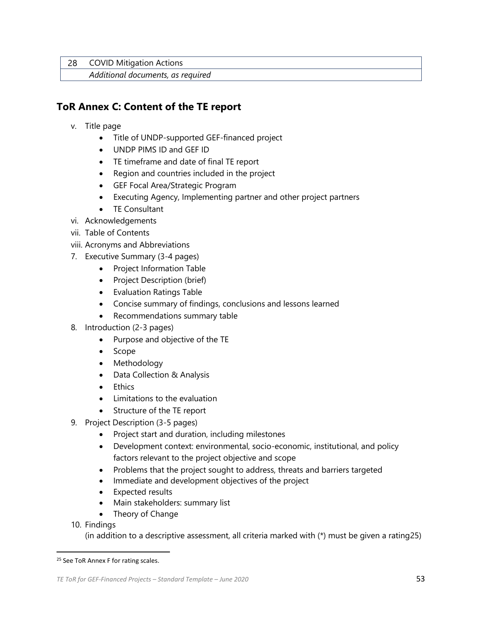28 COVID Mitigation Actions

*Additional documents, as required*

## **ToR Annex C: Content of the TE report**

- v. Title page
	- Title of UNDP-supported GEF-financed project
	- UNDP PIMS ID and GEF ID
	- TE timeframe and date of final TE report
	- Region and countries included in the project
	- GEF Focal Area/Strategic Program
	- Executing Agency, Implementing partner and other project partners
	- TE Consultant
- vi. Acknowledgements
- vii. Table of Contents
- viii. Acronyms and Abbreviations
- 7. Executive Summary (3-4 pages)
	- Project Information Table
	- Project Description (brief)
	- Evaluation Ratings Table
	- Concise summary of findings, conclusions and lessons learned
	- Recommendations summary table
- 8. Introduction (2-3 pages)
	- Purpose and objective of the TE
	- Scope
	- Methodology
	- Data Collection & Analysis
	- Ethics
	- Limitations to the evaluation
	- Structure of the TE report
- 9. Project Description (3-5 pages)
	- Project start and duration, including milestones
	- Development context: environmental, socio-economic, institutional, and policy factors relevant to the project objective and scope
	- Problems that the project sought to address, threats and barriers targeted
	- Immediate and development objectives of the project
	- Expected results
	- Main stakeholders: summary list
	- Theory of Change
- 10. Findings

(in addition to a descriptive assessment, all criteria marked with (\*) must be given a rating25)

<sup>&</sup>lt;sup>25</sup> See ToR Annex F for rating scales.

*TE ToR for GEF-Financed Projects – Standard Template – June 2020* 53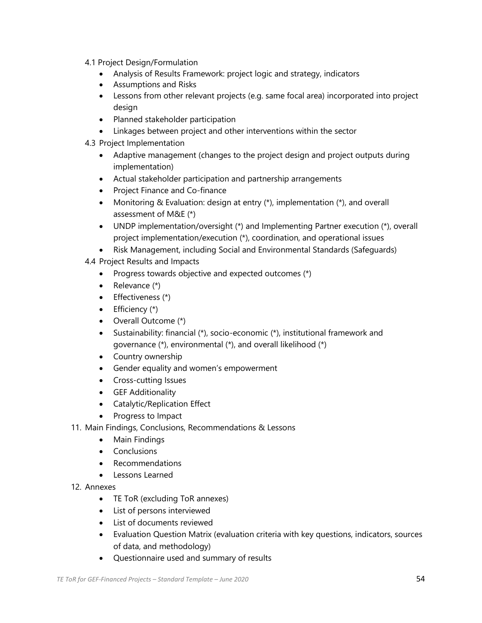- 4.1 Project Design/Formulation
	- Analysis of Results Framework: project logic and strategy, indicators
	- Assumptions and Risks
	- Lessons from other relevant projects (e.g. same focal area) incorporated into project design
	- Planned stakeholder participation
	- Linkages between project and other interventions within the sector
- 4.3 Project Implementation
	- Adaptive management (changes to the project design and project outputs during implementation)
	- Actual stakeholder participation and partnership arrangements
	- Project Finance and Co-finance
	- Monitoring & Evaluation: design at entry (\*), implementation (\*), and overall assessment of M&E (\*)
	- UNDP implementation/oversight (\*) and Implementing Partner execution (\*), overall project implementation/execution (\*), coordination, and operational issues
	- Risk Management, including Social and Environmental Standards (Safeguards)
- 4.4 Project Results and Impacts
	- Progress towards objective and expected outcomes (\*)
	- Relevance (\*)
	- Effectiveness (\*)
	- $\bullet$  Efficiency  $(*)$
	- Overall Outcome (\*)
	- Sustainability: financial (\*), socio-economic (\*), institutional framework and governance (\*), environmental (\*), and overall likelihood (\*)
	- Country ownership
	- Gender equality and women's empowerment
	- Cross-cutting Issues
	- GEF Additionality
	- Catalytic/Replication Effect
	- Progress to Impact
- 11. Main Findings, Conclusions, Recommendations & Lessons
	- Main Findings
	- Conclusions
	- Recommendations
	- Lessons Learned
- 12. Annexes
	- TE ToR (excluding ToR annexes)
	- List of persons interviewed
	- List of documents reviewed
	- Evaluation Question Matrix (evaluation criteria with key questions, indicators, sources of data, and methodology)
	- Questionnaire used and summary of results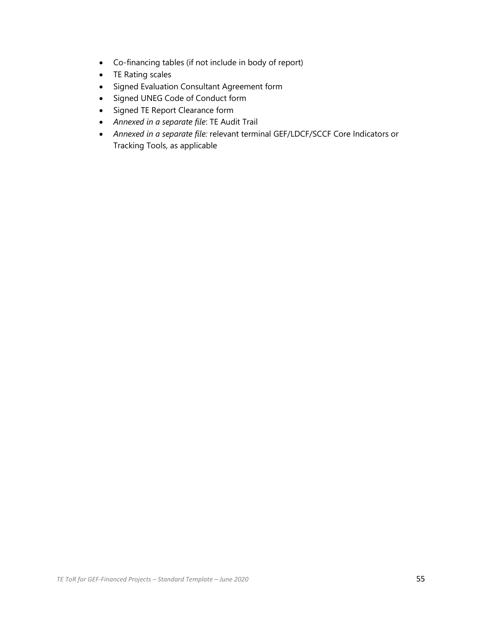- Co-financing tables (if not include in body of report)
- TE Rating scales
- Signed Evaluation Consultant Agreement form
- Signed UNEG Code of Conduct form
- Signed TE Report Clearance form
- *Annexed in a separate file*: TE Audit Trail
- *Annexed in a separate file:* relevant terminal GEF/LDCF/SCCF Core Indicators or Tracking Tools, as applicable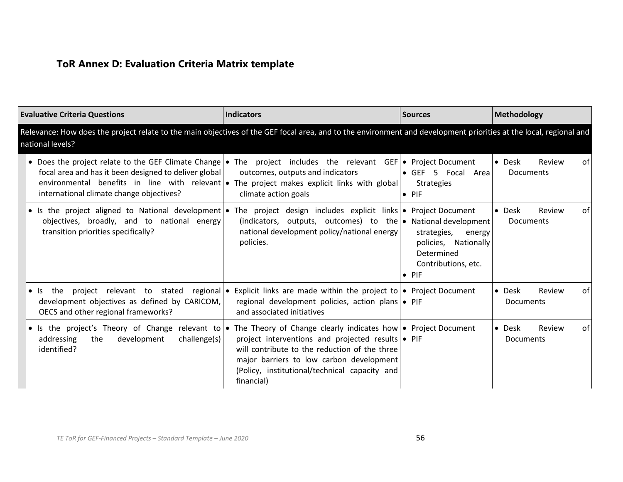# **ToR Annex D: Evaluation Criteria Matrix template**

| <b>Evaluative Criteria Questions</b>                                                                                                                                                                                                                                                                                | <b>Indicators</b>                                                                                                                                                                                             | <b>Sources</b>                                                                                   | <b>Methodology</b>                                   |
|---------------------------------------------------------------------------------------------------------------------------------------------------------------------------------------------------------------------------------------------------------------------------------------------------------------------|---------------------------------------------------------------------------------------------------------------------------------------------------------------------------------------------------------------|--------------------------------------------------------------------------------------------------|------------------------------------------------------|
| Relevance: How does the project relate to the main objectives of the GEF focal area, and to the environment and development priorities at the local, regional and<br>national levels?                                                                                                                               |                                                                                                                                                                                                               |                                                                                                  |                                                      |
| • Does the project relate to the GEF Climate Change • The project includes the relevant GEF • Project Document<br>focal area and has it been designed to deliver global<br>environmental benefits in line with relevant  • The project makes explicit links with global<br>international climate change objectives? | outcomes, outputs and indicators<br>climate action goals                                                                                                                                                      | • GEF 5 Focal Area<br><b>Strategies</b><br>$\bullet$ PIF                                         | $\bullet$ Desk<br>Review<br>of l<br><b>Documents</b> |
| • Is the project aligned to National development • The project design includes explicit links • Project Document<br>objectives, broadly, and to national energy<br>transition priorities specifically?                                                                                                              | (indicators, outputs, outcomes) to the $\bullet$ National development<br>national development policy/national energy<br>policies.                                                                             | strategies, energy<br>policies, Nationally<br>Determined<br>Contributions, etc.<br>$\bullet$ PIF | $\bullet$ Desk<br>Review<br>of I<br><b>Documents</b> |
| the<br>$\bullet$ Is<br>development objectives as defined by CARICOM,<br>OECS and other regional frameworks?                                                                                                                                                                                                         | project relevant to stated regional • Explicit links are made within the project to • Project Document<br>regional development policies, action plans • PIF<br>and associated initiatives                     |                                                                                                  | $\bullet$ Desk<br>Review<br>of l<br><b>Documents</b> |
| • Is the project's Theory of Change relevant to • The Theory of Change clearly indicates how • Project Document<br>addressing<br>development<br>challenge(s)<br>the<br>identified?                                                                                                                                  | project interventions and projected results • PIF<br>will contribute to the reduction of the three<br>major barriers to low carbon development<br>(Policy, institutional/technical capacity and<br>financial) |                                                                                                  | $\bullet$ Desk<br>Review<br>of l<br><b>Documents</b> |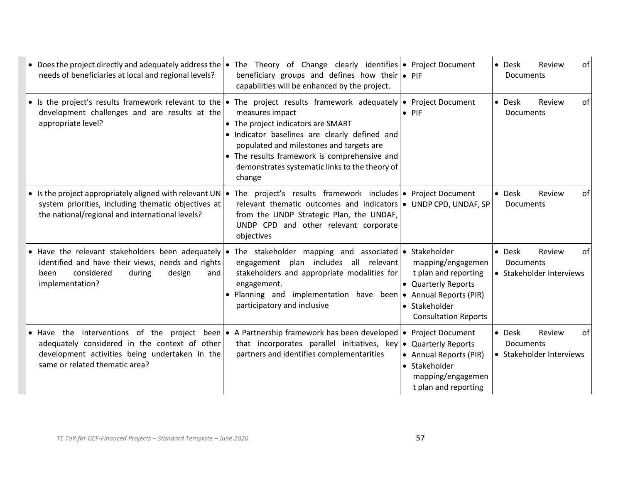| • Does the project directly and adequately address the $\bullet$<br>needs of beneficiaries at local and regional levels?                                                  | The Theory of Change clearly identifies $\bullet$ Project Document<br>beneficiary groups and defines how their $\bullet$ PIF<br>capabilities will be enhanced by the project.                                                                                                                                                                                                        |                                                                                                                                            | • Desk<br>Review<br>of<br>Documents                                     |
|---------------------------------------------------------------------------------------------------------------------------------------------------------------------------|--------------------------------------------------------------------------------------------------------------------------------------------------------------------------------------------------------------------------------------------------------------------------------------------------------------------------------------------------------------------------------------|--------------------------------------------------------------------------------------------------------------------------------------------|-------------------------------------------------------------------------|
| development challenges and are results at the<br>appropriate level?                                                                                                       | • Is the project's results framework relevant to the • The project results framework adequately • Project Document<br>measures impact<br>• The project indicators are SMART<br>· Indicator baselines are clearly defined and<br>populated and milestones and targets are<br>• The results framework is comprehensive and<br>demonstrates systematic links to the theory of<br>change | $\bullet$ PIF                                                                                                                              | Review<br>of<br>$\bullet$ Desk<br><b>Documents</b>                      |
| • Is the project appropriately aligned with relevant UN $\cdot$<br>system priorities, including thematic objectives at<br>the national/regional and international levels? | The project's results framework includes • Project Document<br>relevant thematic outcomes and indicators $\bullet$ UNDP CPD, UNDAF, SP<br>from the UNDP Strategic Plan, the UNDAF,<br>UNDP CPD and other relevant corporate<br>objectives                                                                                                                                            |                                                                                                                                            | of<br>• Desk<br>Review<br>Documents                                     |
| identified and have their views, needs and rights<br>considered<br>during<br>design<br>been<br>implementation?                                                            | • Have the relevant stakeholders been adequately • The stakeholder mapping and associated • Stakeholder<br>engagement plan includes all relevant<br>stakeholders and appropriate modalities for<br>and<br>engagement.<br>• Planning and implementation have been<br>participatory and inclusive                                                                                      | mapping/engagemen<br>t plan and reporting<br>• Quarterly Reports<br>• Annual Reports (PIR)<br>• Stakeholder<br><b>Consultation Reports</b> | • Desk<br>of<br>Review<br><b>Documents</b><br>• Stakeholder Interviews  |
| adequately considered in the context of other<br>development activities being undertaken in the<br>same or related thematic area?                                         | • Have the interventions of the project been • A Partnership framework has been developed •<br>that incorporates parallel initiatives, key<br>partners and identifies complementarities                                                                                                                                                                                              | <b>Project Document</b><br>• Quarterly Reports<br>• Annual Reports (PIR)<br>• Stakeholder<br>mapping/engagemen<br>t plan and reporting     | $\bullet$ Desk<br>Review<br>of<br>Documents<br>• Stakeholder Interviews |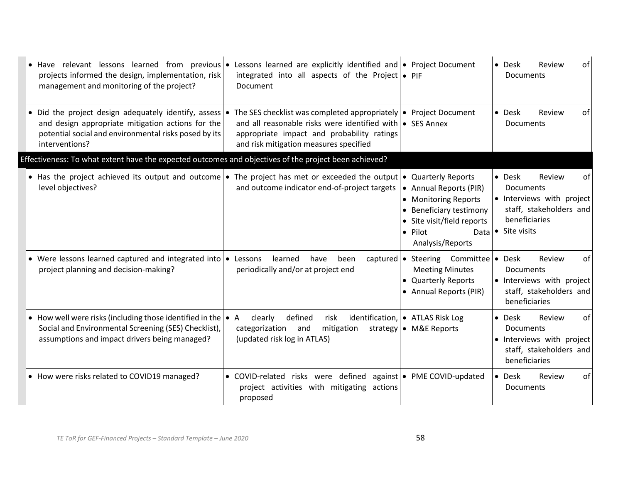| • Have relevant lessons learned from previous • Lessons learned are explicitly identified and • Project Document<br>projects informed the design, implementation, risk<br>management and monitoring of the project? | integrated into all aspects of the Project $\bullet$ PIF<br>Document                                                                                                                                                          |                                                                                                                                                | • Desk<br>Review<br>of<br><b>Documents</b>                                                                                                           |
|---------------------------------------------------------------------------------------------------------------------------------------------------------------------------------------------------------------------|-------------------------------------------------------------------------------------------------------------------------------------------------------------------------------------------------------------------------------|------------------------------------------------------------------------------------------------------------------------------------------------|------------------------------------------------------------------------------------------------------------------------------------------------------|
| • Did the project design adequately identify, assess $\bullet$<br>and design appropriate mitigation actions for the<br>potential social and environmental risks posed by its<br>interventions?                      | The SES checklist was completed appropriately $\bullet$ Project Document<br>and all reasonable risks were identified with • SES Annex<br>appropriate impact and probability ratings<br>and risk mitigation measures specified |                                                                                                                                                | $\bullet$ Desk<br>Review<br>of<br>Documents                                                                                                          |
| Effectiveness: To what extent have the expected outcomes and objectives of the project been achieved?                                                                                                               |                                                                                                                                                                                                                               |                                                                                                                                                |                                                                                                                                                      |
| • Has the project achieved its output and outcome • The project has met or exceeded the output • Quarterly Reports<br>level objectives?                                                                             | and outcome indicator end-of-project targets                                                                                                                                                                                  | • Annual Reports (PIR)<br>• Monitoring Reports<br>• Beneficiary testimony<br>• Site visit/field reports<br>• Pilot<br>Data<br>Analysis/Reports | $\bullet$ Desk<br>Review<br>0f<br><b>Documents</b><br>• Interviews with project<br>staff, stakeholders and<br>beneficiaries<br>$\bullet$ Site visits |
| • Were lessons learned captured and integrated into $\bullet$<br>project planning and decision-making?                                                                                                              | learned<br>Lessons<br>have<br>been<br>periodically and/or at project end                                                                                                                                                      | captured $\bullet$ Steering Committee<br><b>Meeting Minutes</b><br>• Quarterly Reports<br>• Annual Reports (PIR)                               | <b>Desk</b><br>Review<br>οf<br>$\bullet$<br><b>Documents</b><br>• Interviews with project<br>staff, stakeholders and<br>beneficiaries                |
| • How well were risks (including those identified in the $\bullet$ A<br>Social and Environmental Screening (SES) Checklist),<br>assumptions and impact drivers being managed?                                       | defined<br>risk<br>clearly<br>categorization and<br>mitigation<br>(updated risk log in ATLAS)                                                                                                                                 | identification, • ATLAS Risk Log<br>strategy • M&E Reports                                                                                     | of<br>• Desk<br>Review<br><b>Documents</b><br>· Interviews with project<br>staff, stakeholders and<br>beneficiaries                                  |
| • How were risks related to COVID19 managed?                                                                                                                                                                        | • COVID-related risks were defined against   • PME COVID-updated<br>project activities with mitigating actions<br>proposed                                                                                                    |                                                                                                                                                | • Desk<br>Review<br>of<br>Documents                                                                                                                  |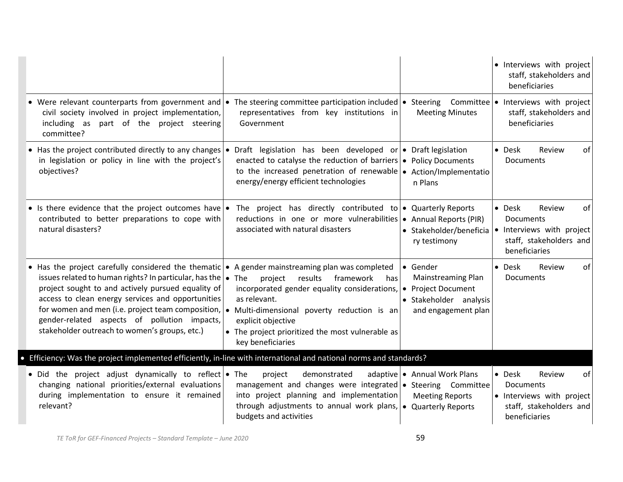|                                                                                                                                                                                                                                                                                                                                                                                                                                    |                                                                                                                                                                                                                                                                                               |                                                                                 | · Interviews with project<br>staff, stakeholders and<br>beneficiaries                                               |
|------------------------------------------------------------------------------------------------------------------------------------------------------------------------------------------------------------------------------------------------------------------------------------------------------------------------------------------------------------------------------------------------------------------------------------|-----------------------------------------------------------------------------------------------------------------------------------------------------------------------------------------------------------------------------------------------------------------------------------------------|---------------------------------------------------------------------------------|---------------------------------------------------------------------------------------------------------------------|
| • Were relevant counterparts from government and • The steering committee participation included • Steering Committee • Interviews with project<br>civil society involved in project implementation,<br>including as part of the project steering<br>committee?                                                                                                                                                                    | representatives from key institutions in<br>Government                                                                                                                                                                                                                                        | <b>Meeting Minutes</b>                                                          | staff, stakeholders and<br>beneficiaries                                                                            |
| • Has the project contributed directly to any changes $\bullet$<br>in legislation or policy in line with the project's<br>objectives?                                                                                                                                                                                                                                                                                              | Draft legislation has been developed or • Draft legislation<br>enacted to catalyse the reduction of barriers $\bullet$ Policy Documents<br>to the increased penetration of renewable $\bullet$ Action/Implementatio<br>energy/energy efficient technologies                                   | n Plans                                                                         | • Desk<br>Review<br>οf<br><b>Documents</b>                                                                          |
| • Is there evidence that the project outcomes have • The project has directly contributed to • Quarterly Reports<br>contributed to better preparations to cope with<br>natural disasters?                                                                                                                                                                                                                                          | reductions in one or more vulnerabilities $\bullet$ Annual Reports (PIR)<br>associated with natural disasters                                                                                                                                                                                 | • Stakeholder/beneficia<br>ry testimony                                         | • Desk<br>Review<br>οf<br><b>Documents</b><br>• Interviews with project<br>staff, stakeholders and<br>beneficiaries |
| • Has the project carefully considered the thematic<br>issues related to human rights? In particular, has the<br>project sought to and actively pursued equality of<br>access to clean energy services and opportunities<br>for women and men (i.e. project team composition, $\bullet$ Multi-dimensional poverty reduction is an<br>gender-related aspects of pollution impacts,<br>stakeholder outreach to women's groups, etc.) | • A gender mainstreaming plan was completed<br>$\bullet$ The<br>project<br>results framework<br>has<br>incorporated gender equality considerations, $\bullet$ Project Document<br>as relevant.<br>explicit objective<br>• The project prioritized the most vulnerable as<br>key beneficiaries | ● Gender<br>Mainstreaming Plan<br>• Stakeholder analysis<br>and engagement plan | • Desk<br>Review<br>of<br><b>Documents</b>                                                                          |
| Efficiency: Was the project implemented efficiently, in-line with international and national norms and standards?                                                                                                                                                                                                                                                                                                                  |                                                                                                                                                                                                                                                                                               |                                                                                 |                                                                                                                     |
| • Did the project adjust dynamically to reflect $\bullet$ The<br>changing national priorities/external evaluations<br>during implementation to ensure it remained<br>relevant?                                                                                                                                                                                                                                                     | demonstrated<br>project<br>management and changes were integrated   • Steering Committee<br>into project planning and implementation<br>through adjustments to annual work plans, $\bullet$ Quarterly Reports<br>budgets and activities                                                       | adaptive   • Annual Work Plans<br><b>Meeting Reports</b>                        | • Desk<br>Review<br>of<br><b>Documents</b><br>· Interviews with project<br>staff, stakeholders and<br>beneficiaries |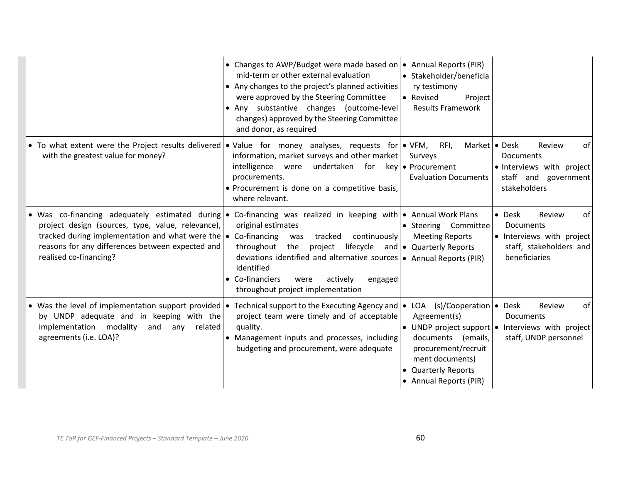|                                                                                                                                                                                                                                                                                                                             | • Changes to AWP/Budget were made based on $\bullet$ Annual Reports (PIR)<br>mid-term or other external evaluation<br>• Any changes to the project's planned activities<br>were approved by the Steering Committee<br>• Any substantive changes (outcome-level<br>changes) approved by the Steering Committee<br>and donor, as required | • Stakeholder/beneficia<br>ry testimony<br>• Revised<br>Project<br><b>Results Framework</b>                                        |                                                                                                                      |
|-----------------------------------------------------------------------------------------------------------------------------------------------------------------------------------------------------------------------------------------------------------------------------------------------------------------------------|-----------------------------------------------------------------------------------------------------------------------------------------------------------------------------------------------------------------------------------------------------------------------------------------------------------------------------------------|------------------------------------------------------------------------------------------------------------------------------------|----------------------------------------------------------------------------------------------------------------------|
| • To what extent were the Project results delivered • Value for money analyses, requests for • VFM,<br>with the greatest value for money?                                                                                                                                                                                   | information, market surveys and other market<br>intelligence<br>were<br>undertaken for key • Procurement<br>procurements.<br>• Procurement is done on a competitive basis,<br>where relevant.                                                                                                                                           | RFI,<br>Market   • Desk<br>Surveys<br><b>Evaluation Documents</b>                                                                  | Review<br>of<br>Documents<br>• Interviews with project<br>staff and government<br>stakeholders                       |
| • Was co-financing adequately estimated during • Co-financing was realized in keeping with • Annual Work Plans<br>project design (sources, type, value, relevance),<br>tracked during implementation and what were the $\bullet$ Co-financing<br>reasons for any differences between expected and<br>realised co-financing? | original estimates<br>tracked continuously<br>was<br>throughout<br>project lifecycle and • Quarterly Reports<br>the<br>deviations identified and alternative sources • Annual Reports (PIR)<br>identified<br>• Co-financiers<br>actively<br>were<br>engaged<br>throughout project implementation                                        | • Steering Committee<br><b>Meeting Reports</b>                                                                                     | of<br>$\bullet$ Desk<br>Review<br>Documents<br>• Interviews with project<br>staff, stakeholders and<br>beneficiaries |
| • Was the level of implementation support provided $\cdot$<br>by UNDP adequate and in keeping with the<br>implementation modality<br>and<br>related<br>any<br>agreements (i.e. LOA)?                                                                                                                                        | Technical support to the Executing Agency and $\bullet$ LOA (s)/Cooperation $\bullet$ Desk<br>project team were timely and of acceptable<br>quality.<br>• Management inputs and processes, including<br>budgeting and procurement, were adequate                                                                                        | Agreement(s)<br>documents (emails,<br>procurement/recruit<br>ment documents)<br><b>Quarterly Reports</b><br>• Annual Reports (PIR) | Review<br>of<br>Documents<br>• UNDP project support $\bullet$ Interviews with project<br>staff, UNDP personnel       |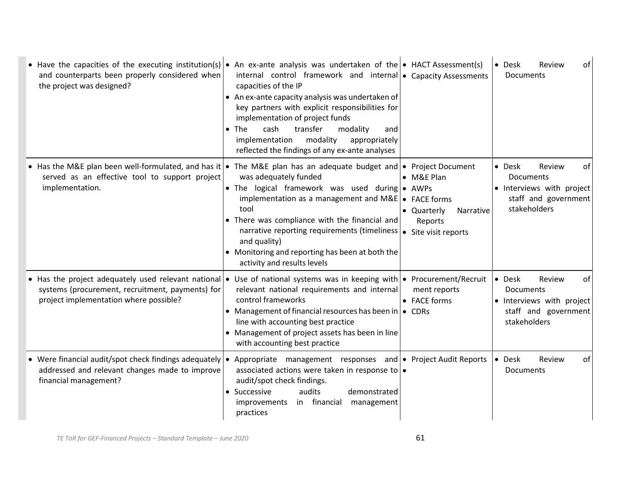| • Have the capacities of the executing institution(s) • An ex-ante analysis was undertaken of the • HACT Assessment(s)<br>and counterparts been properly considered when<br>the project was designed?                 | internal control framework and internal $\bullet$ Capacity Assessments<br>capacities of the IP<br>• An ex-ante capacity analysis was undertaken of<br>key partners with explicit responsibilities for<br>implementation of project funds<br>cash<br>transfer<br><b>The</b><br>modality<br>$\bullet$<br>and<br>modality<br>implementation<br>appropriately<br>reflected the findings of any ex-ante analyses |                                                                           | Review<br>of<br>$\bullet$ Desk<br><b>Documents</b>                                                       |
|-----------------------------------------------------------------------------------------------------------------------------------------------------------------------------------------------------------------------|-------------------------------------------------------------------------------------------------------------------------------------------------------------------------------------------------------------------------------------------------------------------------------------------------------------------------------------------------------------------------------------------------------------|---------------------------------------------------------------------------|----------------------------------------------------------------------------------------------------------|
| • Has the M&E plan been well-formulated, and has it • The M&E plan has an adequate budget and • Project Document<br>served as an effective tool to support project<br>implementation.                                 | was adequately funded<br>• The logical framework was used during • AWPs<br>implementation as a management and $M\&E$ $\bullet$ FACE forms<br>tool<br>There was compliance with the financial and<br>$\bullet$<br>narrative reporting requirements (timeliness<br>and quality)<br>• Monitoring and reporting has been at both the<br>activity and results levels                                             | • M&E Plan<br>• Quarterly<br>Narrative<br>Reports<br>• Site visit reports | • Desk<br>Review<br>0f<br>Documents<br>• Interviews with project<br>staff and government<br>stakeholders |
| • Has the project adequately used relevant national • Use of national systems was in keeping with • Procurement/Recruit<br>systems (procurement, recruitment, payments) for<br>project implementation where possible? | relevant national requirements and internal<br>control frameworks<br>• Management of financial resources has been in $\bullet$ CDRs<br>line with accounting best practice<br>• Management of project assets has been in line<br>with accounting best practice                                                                                                                                               | ment reports<br>• FACE forms                                              | • Desk<br>Review<br>of<br>Documents<br>• Interviews with project<br>staff and government<br>stakeholders |
| • Were financial audit/spot check findings adequately $\bullet$<br>addressed and relevant changes made to improve<br>financial management?                                                                            | Appropriate management responses and   • Project Audit Reports<br>associated actions were taken in response to   .<br>audit/spot check findings.<br>audits<br>Successive<br>demonstrated<br>in financial<br>management<br><i>improvements</i><br>practices                                                                                                                                                  |                                                                           | $\bullet$ Desk<br>Review<br>of<br>Documents                                                              |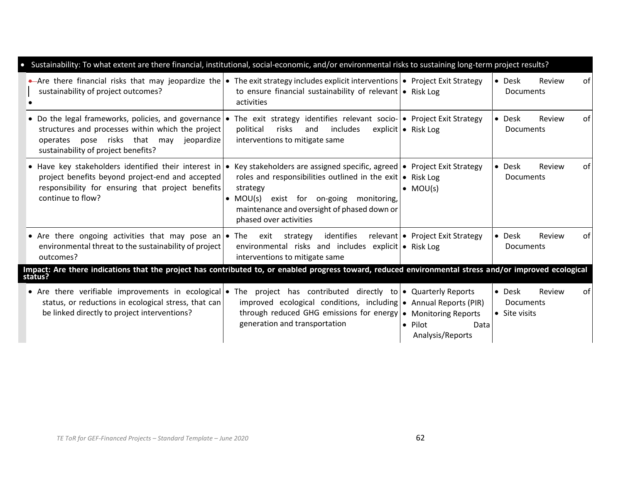| Sustainability: To what extent are there financial, institutional, social-economic, and/or environmental risks to sustaining long-term project results?                                                                                                           |                                                                                                                                                                                                                                                     |                                             |                                                             |
|-------------------------------------------------------------------------------------------------------------------------------------------------------------------------------------------------------------------------------------------------------------------|-----------------------------------------------------------------------------------------------------------------------------------------------------------------------------------------------------------------------------------------------------|---------------------------------------------|-------------------------------------------------------------|
| Are there financial risks that may jeopardize the $\bullet$ The exit strategy includes explicit interventions $\bullet$ Project Exit Strategy<br>sustainability of project outcomes?                                                                              | to ensure financial sustainability of relevant $\bullet$ Risk Log<br>activities                                                                                                                                                                     |                                             | • Desk<br>Review<br>оf<br><b>Documents</b>                  |
| • Do the legal frameworks, policies, and governance • The exit strategy identifies relevant socio- • Project Exit Strategy<br>structures and processes within which the project<br>operates pose risks that may jeopardize<br>sustainability of project benefits? | political<br>risks<br>includes<br>and<br>interventions to mitigate same                                                                                                                                                                             | explicit   • Risk Log                       | • Desk<br>Review<br>0f<br><b>Documents</b>                  |
| • Have key stakeholders identified their interest in • Key stakeholders are assigned specific, agreed • Project Exit Strategy<br>project benefits beyond project-end and accepted<br>responsibility for ensuring that project benefits<br>continue to flow?       | roles and responsibilities outlined in the exit $\bullet$ Risk Log<br>strategy<br>exist for on-going<br>$\bullet$ MOU(s)<br>monitoring,<br>maintenance and oversight of phased down or<br>phased over activities                                    | $\bullet$ MOU(s)                            | $\bullet$ Desk<br>Review<br>0f<br><b>Documents</b>          |
| • Are there ongoing activities that may pose an • The exit strategy<br>environmental threat to the sustainability of project<br>outcomes?                                                                                                                         | identifies<br>environmental risks and includes explicit • Risk Log<br>interventions to mitigate same                                                                                                                                                | relevant   • Project Exit Strategy          | • Desk<br>Review<br>0f<br><b>Documents</b>                  |
| Impact: Are there indications that the project has contributed to, or enabled progress toward, reduced environmental stress and/or improved ecological<br>status?                                                                                                 |                                                                                                                                                                                                                                                     |                                             |                                                             |
| • Are there verifiable improvements in ecological •<br>status, or reductions in ecological stress, that can<br>be linked directly to project interventions?                                                                                                       | The project has contributed directly to $\bullet$ Quarterly Reports<br>improved ecological conditions, including $\bullet$ Annual Reports (PIR)<br>through reduced GHG emissions for energy   • Monitoring Reports<br>generation and transportation | $\bullet$ Pilot<br>Data<br>Analysis/Reports | • Desk<br>Review<br>of<br><b>Documents</b><br>• Site visits |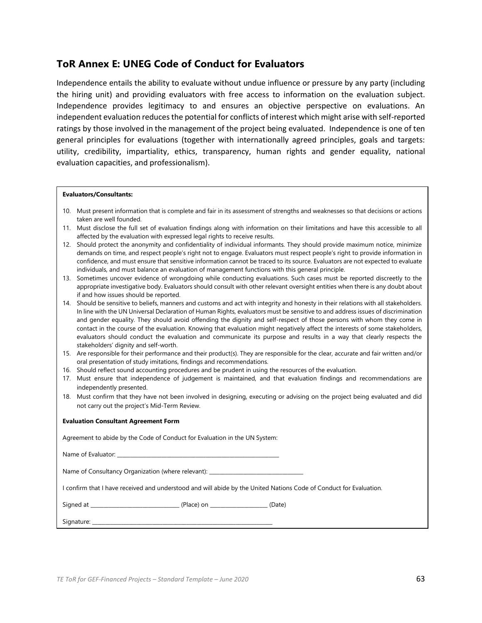#### **ToR Annex E: UNEG Code of Conduct for Evaluators**

Independence entails the ability to evaluate without undue influence or pressure by any party (including the hiring unit) and providing evaluators with free access to information on the evaluation subject. Independence provides legitimacy to and ensures an objective perspective on evaluations. An independent evaluation reduces the potential for conflicts of interest which might arise with self-reported ratings by those involved in the management of the project being evaluated. Independence is one of ten general principles for evaluations (together with internationally agreed principles, goals and targets: utility, credibility, impartiality, ethics, transparency, human rights and gender equality, national evaluation capacities, and professionalism).

#### **Evaluators/Consultants:**

- 10. Must present information that is complete and fair in its assessment of strengths and weaknesses so that decisions or actions taken are well founded.
- 11. Must disclose the full set of evaluation findings along with information on their limitations and have this accessible to all affected by the evaluation with expressed legal rights to receive results.
- 12. Should protect the anonymity and confidentiality of individual informants. They should provide maximum notice, minimize demands on time, and respect people's right not to engage. Evaluators must respect people's right to provide information in confidence, and must ensure that sensitive information cannot be traced to its source. Evaluators are not expected to evaluate individuals, and must balance an evaluation of management functions with this general principle.
- 13. Sometimes uncover evidence of wrongdoing while conducting evaluations. Such cases must be reported discreetly to the appropriate investigative body. Evaluators should consult with other relevant oversight entities when there is any doubt about if and how issues should be reported.
- 14. Should be sensitive to beliefs, manners and customs and act with integrity and honesty in their relations with all stakeholders. In line with the UN Universal Declaration of Human Rights, evaluators must be sensitive to and address issues of discrimination and gender equality. They should avoid offending the dignity and self-respect of those persons with whom they come in contact in the course of the evaluation. Knowing that evaluation might negatively affect the interests of some stakeholders, evaluators should conduct the evaluation and communicate its purpose and results in a way that clearly respects the stakeholders' dignity and self-worth.
- 15. Are responsible for their performance and their product(s). They are responsible for the clear, accurate and fair written and/or oral presentation of study imitations, findings and recommendations.
- 16. Should reflect sound accounting procedures and be prudent in using the resources of the evaluation.
- 17. Must ensure that independence of judgement is maintained, and that evaluation findings and recommendations are independently presented.
- 18. Must confirm that they have not been involved in designing, executing or advising on the project being evaluated and did not carry out the project's Mid-Term Review.

#### **Evaluation Consultant Agreement Form**

| Agreement to abide by the Code of Conduct for Evaluation in the UN System: |  |
|----------------------------------------------------------------------------|--|
|----------------------------------------------------------------------------|--|

| Name of Evaluator: |
|--------------------|
|--------------------|

Name of Consultancy Organization (where relevant): \_

I confirm that I have received and understood and will abide by the United Nations Code of Conduct for Evaluation.

| Signed at | n n |  |
|-----------|-----|--|
|           |     |  |

Signature: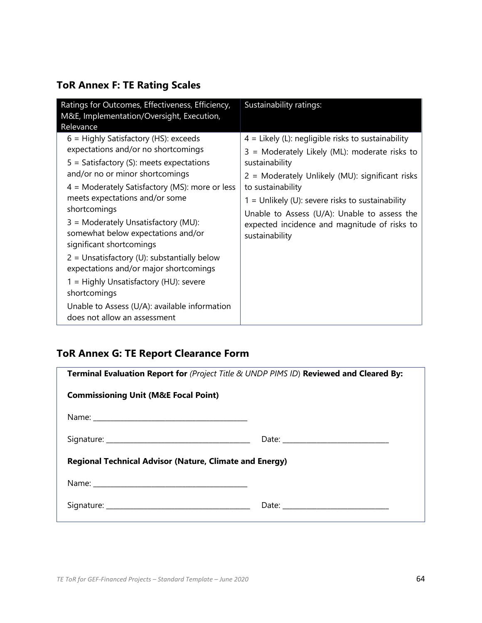## **ToR Annex F: TE Rating Scales**

| Ratings for Outcomes, Effectiveness, Efficiency,<br>M&E, Implementation/Oversight, Execution,<br>Relevance                                                                                                                                                                                                                                                                                                                                                                                                                                                                                                           | Sustainability ratings:                                                                                                                                                                                                                                                                                                                                                 |
|----------------------------------------------------------------------------------------------------------------------------------------------------------------------------------------------------------------------------------------------------------------------------------------------------------------------------------------------------------------------------------------------------------------------------------------------------------------------------------------------------------------------------------------------------------------------------------------------------------------------|-------------------------------------------------------------------------------------------------------------------------------------------------------------------------------------------------------------------------------------------------------------------------------------------------------------------------------------------------------------------------|
| $6$ = Highly Satisfactory (HS): exceeds<br>expectations and/or no shortcomings<br>$5 =$ Satisfactory (S): meets expectations<br>and/or no or minor shortcomings<br>$4$ = Moderately Satisfactory (MS): more or less<br>meets expectations and/or some<br>shortcomings<br>3 = Moderately Unsatisfactory (MU):<br>somewhat below expectations and/or<br>significant shortcomings<br>$2$ = Unsatisfactory (U): substantially below<br>expectations and/or major shortcomings<br>1 = Highly Unsatisfactory (HU): severe<br>shortcomings<br>Unable to Assess (U/A): available information<br>does not allow an assessment | $4 =$ Likely (L): negligible risks to sustainability<br>3 = Moderately Likely (ML): moderate risks to<br>sustainability<br>2 = Moderately Unlikely (MU): significant risks<br>to sustainability<br>$1 =$ Unlikely (U): severe risks to sustainability<br>Unable to Assess (U/A): Unable to assess the<br>expected incidence and magnitude of risks to<br>sustainability |

## **ToR Annex G: TE Report Clearance Form**

| Terminal Evaluation Report for (Project Title & UNDP PIMS ID) Reviewed and Cleared By: |  |  |  |
|----------------------------------------------------------------------------------------|--|--|--|
| <b>Commissioning Unit (M&amp;E Focal Point)</b>                                        |  |  |  |
|                                                                                        |  |  |  |
|                                                                                        |  |  |  |
| <b>Regional Technical Advisor (Nature, Climate and Energy)</b>                         |  |  |  |
|                                                                                        |  |  |  |
|                                                                                        |  |  |  |